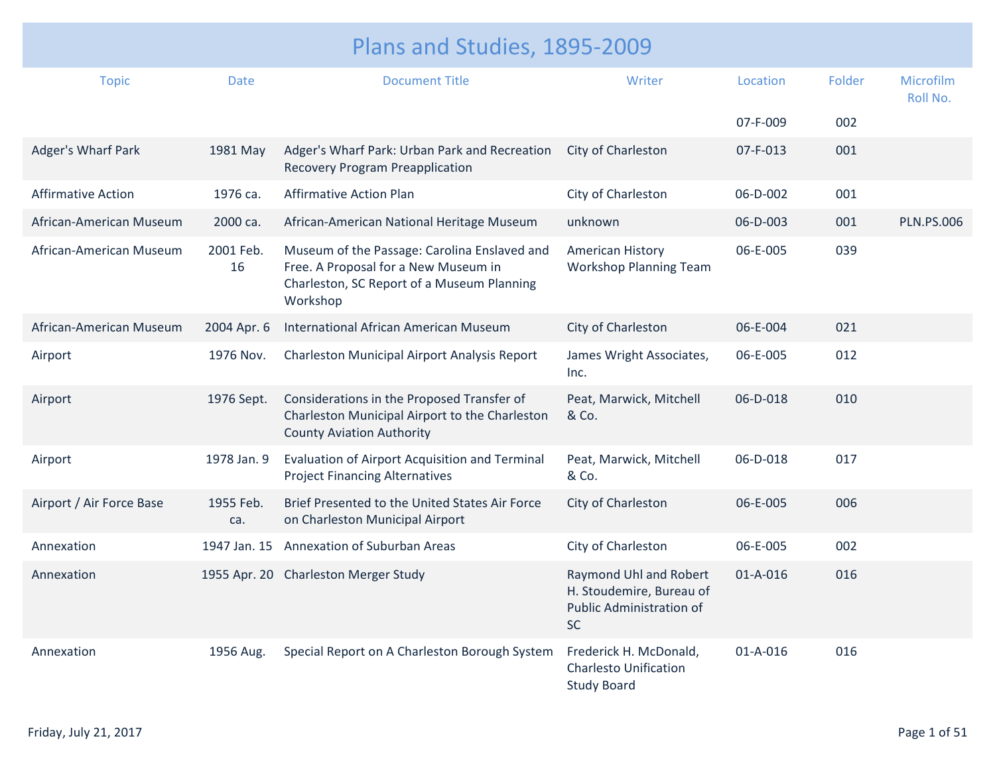| Plans and Studies, 1895-2009 |                  |                                                                                                                                                |                                                                                             |          |        |                              |  |
|------------------------------|------------------|------------------------------------------------------------------------------------------------------------------------------------------------|---------------------------------------------------------------------------------------------|----------|--------|------------------------------|--|
| <b>Topic</b>                 | <b>Date</b>      | <b>Document Title</b>                                                                                                                          | Writer                                                                                      | Location | Folder | <b>Microfilm</b><br>Roll No. |  |
|                              |                  |                                                                                                                                                |                                                                                             | 07-F-009 | 002    |                              |  |
| Adger's Wharf Park           | 1981 May         | Adger's Wharf Park: Urban Park and Recreation<br><b>Recovery Program Preapplication</b>                                                        | City of Charleston                                                                          | 07-F-013 | 001    |                              |  |
| <b>Affirmative Action</b>    | 1976 ca.         | <b>Affirmative Action Plan</b>                                                                                                                 | City of Charleston                                                                          | 06-D-002 | 001    |                              |  |
| African-American Museum      | 2000 ca.         | African-American National Heritage Museum                                                                                                      | unknown                                                                                     | 06-D-003 | 001    | <b>PLN.PS.006</b>            |  |
| African-American Museum      | 2001 Feb.<br>16  | Museum of the Passage: Carolina Enslaved and<br>Free. A Proposal for a New Museum in<br>Charleston, SC Report of a Museum Planning<br>Workshop | American History<br><b>Workshop Planning Team</b>                                           | 06-E-005 | 039    |                              |  |
| African-American Museum      | 2004 Apr. 6      | International African American Museum                                                                                                          | City of Charleston                                                                          | 06-E-004 | 021    |                              |  |
| Airport                      | 1976 Nov.        | Charleston Municipal Airport Analysis Report                                                                                                   | James Wright Associates,<br>Inc.                                                            | 06-E-005 | 012    |                              |  |
| Airport                      | 1976 Sept.       | Considerations in the Proposed Transfer of<br>Charleston Municipal Airport to the Charleston<br><b>County Aviation Authority</b>               | Peat, Marwick, Mitchell<br>& Co.                                                            | 06-D-018 | 010    |                              |  |
| Airport                      | 1978 Jan. 9      | Evaluation of Airport Acquisition and Terminal<br><b>Project Financing Alternatives</b>                                                        | Peat, Marwick, Mitchell<br>& Co.                                                            | 06-D-018 | 017    |                              |  |
| Airport / Air Force Base     | 1955 Feb.<br>ca. | Brief Presented to the United States Air Force<br>on Charleston Municipal Airport                                                              | City of Charleston                                                                          | 06-E-005 | 006    |                              |  |
| Annexation                   | 1947 Jan. 15     | Annexation of Suburban Areas                                                                                                                   | City of Charleston                                                                          | 06-E-005 | 002    |                              |  |
| Annexation                   |                  | 1955 Apr. 20 Charleston Merger Study                                                                                                           | Raymond Uhl and Robert<br>H. Stoudemire, Bureau of<br>Public Administration of<br><b>SC</b> | 01-A-016 | 016    |                              |  |
| Annexation                   | 1956 Aug.        | Special Report on A Charleston Borough System                                                                                                  | Frederick H. McDonald,<br><b>Charlesto Unification</b><br><b>Study Board</b>                | 01-A-016 | 016    |                              |  |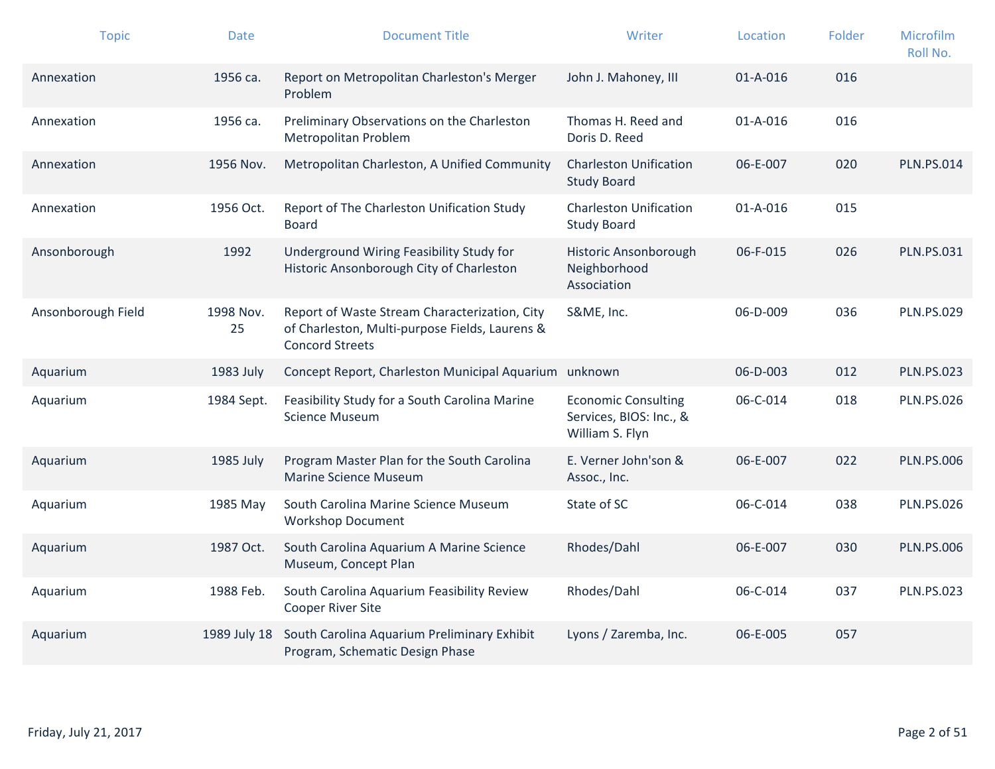| <b>Topic</b>       | <b>Date</b>     | <b>Document Title</b>                                                                                                     | Writer                                                                   | Location       | Folder | Microfilm<br>Roll No. |
|--------------------|-----------------|---------------------------------------------------------------------------------------------------------------------------|--------------------------------------------------------------------------|----------------|--------|-----------------------|
| Annexation         | 1956 ca.        | Report on Metropolitan Charleston's Merger<br>Problem                                                                     | John J. Mahoney, III                                                     | $01 - A - 016$ | 016    |                       |
| Annexation         | 1956 ca.        | Preliminary Observations on the Charleston<br>Metropolitan Problem                                                        | Thomas H. Reed and<br>Doris D. Reed                                      | $01 - A - 016$ | 016    |                       |
| Annexation         | 1956 Nov.       | Metropolitan Charleston, A Unified Community                                                                              | <b>Charleston Unification</b><br><b>Study Board</b>                      | 06-E-007       | 020    | <b>PLN.PS.014</b>     |
| Annexation         | 1956 Oct.       | Report of The Charleston Unification Study<br><b>Board</b>                                                                | <b>Charleston Unification</b><br><b>Study Board</b>                      | $01 - A - 016$ | 015    |                       |
| Ansonborough       | 1992            | Underground Wiring Feasibility Study for<br>Historic Ansonborough City of Charleston                                      | Historic Ansonborough<br>Neighborhood<br>Association                     | 06-F-015       | 026    | <b>PLN.PS.031</b>     |
| Ansonborough Field | 1998 Nov.<br>25 | Report of Waste Stream Characterization, City<br>of Charleston, Multi-purpose Fields, Laurens &<br><b>Concord Streets</b> | S&ME, Inc.                                                               | 06-D-009       | 036    | <b>PLN.PS.029</b>     |
| Aquarium           | 1983 July       | Concept Report, Charleston Municipal Aquarium                                                                             | unknown                                                                  | 06-D-003       | 012    | <b>PLN.PS.023</b>     |
| Aquarium           | 1984 Sept.      | Feasibility Study for a South Carolina Marine<br><b>Science Museum</b>                                                    | <b>Economic Consulting</b><br>Services, BIOS: Inc., &<br>William S. Flyn | 06-C-014       | 018    | <b>PLN.PS.026</b>     |
| Aquarium           | 1985 July       | Program Master Plan for the South Carolina<br><b>Marine Science Museum</b>                                                | E. Verner John'son &<br>Assoc., Inc.                                     | 06-E-007       | 022    | <b>PLN.PS.006</b>     |
| Aquarium           | 1985 May        | South Carolina Marine Science Museum<br><b>Workshop Document</b>                                                          | State of SC                                                              | 06-C-014       | 038    | <b>PLN.PS.026</b>     |
| Aquarium           | 1987 Oct.       | South Carolina Aquarium A Marine Science<br>Museum, Concept Plan                                                          | Rhodes/Dahl                                                              | 06-E-007       | 030    | <b>PLN.PS.006</b>     |
| Aquarium           | 1988 Feb.       | South Carolina Aquarium Feasibility Review<br><b>Cooper River Site</b>                                                    | Rhodes/Dahl                                                              | 06-C-014       | 037    | <b>PLN.PS.023</b>     |
| Aquarium           | 1989 July 18    | South Carolina Aquarium Preliminary Exhibit<br>Program, Schematic Design Phase                                            | Lyons / Zaremba, Inc.                                                    | 06-E-005       | 057    |                       |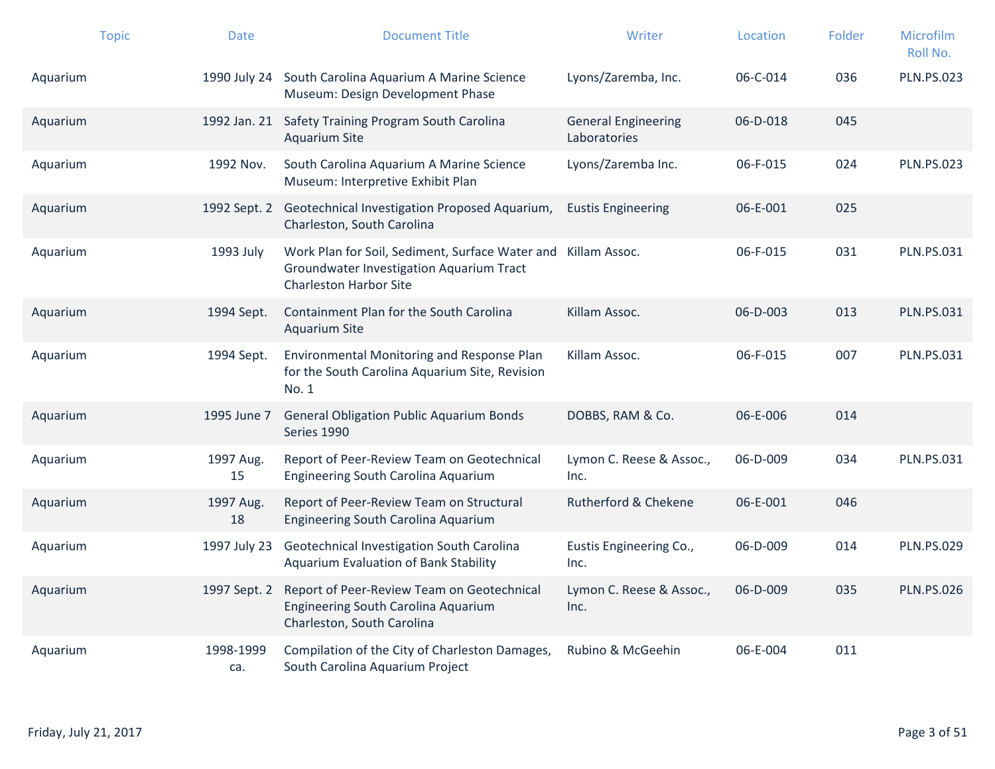|          | <b>Topic</b> | <b>Date</b>      | <b>Document Title</b>                                                                                                                      | Writer                                     | Location | Folder | Microfilm<br>Roll No. |
|----------|--------------|------------------|--------------------------------------------------------------------------------------------------------------------------------------------|--------------------------------------------|----------|--------|-----------------------|
| Aquarium |              |                  | 1990 July 24 South Carolina Aquarium A Marine Science<br>Museum: Design Development Phase                                                  | Lyons/Zaremba, Inc.                        | 06-C-014 | 036    | <b>PLN.PS.023</b>     |
| Aquarium |              |                  | 1992 Jan. 21 Safety Training Program South Carolina<br><b>Aquarium Site</b>                                                                | <b>General Engineering</b><br>Laboratories | 06-D-018 | 045    |                       |
| Aquarium |              | 1992 Nov.        | South Carolina Aquarium A Marine Science<br>Museum: Interpretive Exhibit Plan                                                              | Lyons/Zaremba Inc.                         | 06-F-015 | 024    | <b>PLN.PS.023</b>     |
| Aquarium |              |                  | 1992 Sept. 2 Geotechnical Investigation Proposed Aquarium,<br>Charleston, South Carolina                                                   | <b>Eustis Engineering</b>                  | 06-E-001 | 025    |                       |
| Aquarium |              | 1993 July        | Work Plan for Soil, Sediment, Surface Water and Killam Assoc.<br>Groundwater Investigation Aquarium Tract<br><b>Charleston Harbor Site</b> |                                            | 06-F-015 | 031    | <b>PLN.PS.031</b>     |
| Aquarium |              | 1994 Sept.       | Containment Plan for the South Carolina<br><b>Aquarium Site</b>                                                                            | Killam Assoc.                              | 06-D-003 | 013    | <b>PLN.PS.031</b>     |
| Aquarium |              | 1994 Sept.       | Environmental Monitoring and Response Plan<br>for the South Carolina Aquarium Site, Revision<br>No. 1                                      | Killam Assoc.                              | 06-F-015 | 007    | <b>PLN.PS.031</b>     |
| Aquarium |              | 1995 June 7      | <b>General Obligation Public Aquarium Bonds</b><br>Series 1990                                                                             | DOBBS, RAM & Co.                           | 06-E-006 | 014    |                       |
| Aquarium |              | 1997 Aug.<br>15  | Report of Peer-Review Team on Geotechnical<br>Engineering South Carolina Aquarium                                                          | Lymon C. Reese & Assoc.,<br>Inc.           | 06-D-009 | 034    | <b>PLN.PS.031</b>     |
| Aquarium |              | 1997 Aug.<br>18  | Report of Peer-Review Team on Structural<br>Engineering South Carolina Aquarium                                                            | Rutherford & Chekene                       | 06-E-001 | 046    |                       |
| Aquarium |              | 1997 July 23     | Geotechnical Investigation South Carolina<br>Aquarium Evaluation of Bank Stability                                                         | Eustis Engineering Co.,<br>Inc.            | 06-D-009 | 014    | <b>PLN.PS.029</b>     |
| Aquarium |              | 1997 Sept. 2     | Report of Peer-Review Team on Geotechnical<br>Engineering South Carolina Aquarium<br>Charleston, South Carolina                            | Lymon C. Reese & Assoc.,<br>Inc.           | 06-D-009 | 035    | <b>PLN.PS.026</b>     |
| Aquarium |              | 1998-1999<br>ca. | Compilation of the City of Charleston Damages,<br>South Carolina Aquarium Project                                                          | Rubino & McGeehin                          | 06-E-004 | 011    |                       |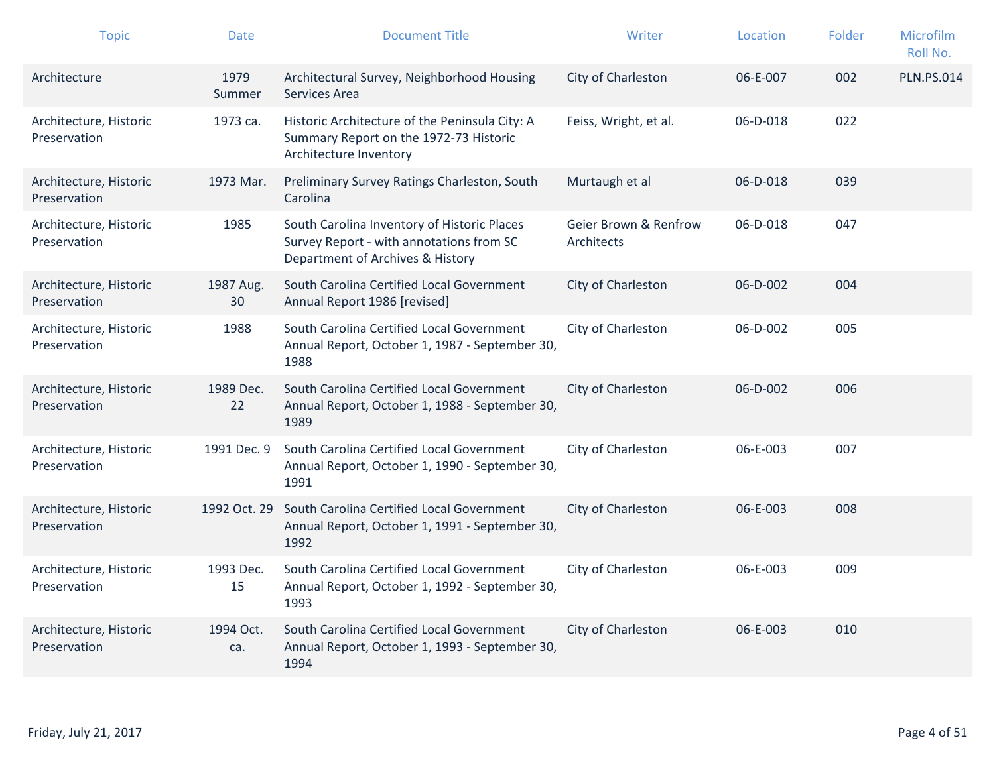| <b>Topic</b>                           | <b>Date</b>      | <b>Document Title</b>                                                                                                       | Writer                              | Location | Folder | Microfilm<br>Roll No. |
|----------------------------------------|------------------|-----------------------------------------------------------------------------------------------------------------------------|-------------------------------------|----------|--------|-----------------------|
| Architecture                           | 1979<br>Summer   | Architectural Survey, Neighborhood Housing<br>Services Area                                                                 | City of Charleston                  | 06-E-007 | 002    | <b>PLN.PS.014</b>     |
| Architecture, Historic<br>Preservation | 1973 ca.         | Historic Architecture of the Peninsula City: A<br>Summary Report on the 1972-73 Historic<br>Architecture Inventory          | Feiss, Wright, et al.               | 06-D-018 | 022    |                       |
| Architecture, Historic<br>Preservation | 1973 Mar.        | Preliminary Survey Ratings Charleston, South<br>Carolina                                                                    | Murtaugh et al                      | 06-D-018 | 039    |                       |
| Architecture, Historic<br>Preservation | 1985             | South Carolina Inventory of Historic Places<br>Survey Report - with annotations from SC<br>Department of Archives & History | Geier Brown & Renfrow<br>Architects | 06-D-018 | 047    |                       |
| Architecture, Historic<br>Preservation | 1987 Aug.<br>30  | South Carolina Certified Local Government<br>Annual Report 1986 [revised]                                                   | City of Charleston                  | 06-D-002 | 004    |                       |
| Architecture, Historic<br>Preservation | 1988             | South Carolina Certified Local Government<br>Annual Report, October 1, 1987 - September 30,<br>1988                         | City of Charleston                  | 06-D-002 | 005    |                       |
| Architecture, Historic<br>Preservation | 1989 Dec.<br>22  | South Carolina Certified Local Government<br>Annual Report, October 1, 1988 - September 30,<br>1989                         | City of Charleston                  | 06-D-002 | 006    |                       |
| Architecture, Historic<br>Preservation | 1991 Dec. 9      | South Carolina Certified Local Government<br>Annual Report, October 1, 1990 - September 30,<br>1991                         | City of Charleston                  | 06-E-003 | 007    |                       |
| Architecture, Historic<br>Preservation | 1992 Oct. 29     | South Carolina Certified Local Government<br>Annual Report, October 1, 1991 - September 30,<br>1992                         | City of Charleston                  | 06-E-003 | 008    |                       |
| Architecture, Historic<br>Preservation | 1993 Dec.<br>15  | South Carolina Certified Local Government<br>Annual Report, October 1, 1992 - September 30,<br>1993                         | City of Charleston                  | 06-E-003 | 009    |                       |
| Architecture, Historic<br>Preservation | 1994 Oct.<br>ca. | South Carolina Certified Local Government<br>Annual Report, October 1, 1993 - September 30,<br>1994                         | City of Charleston                  | 06-E-003 | 010    |                       |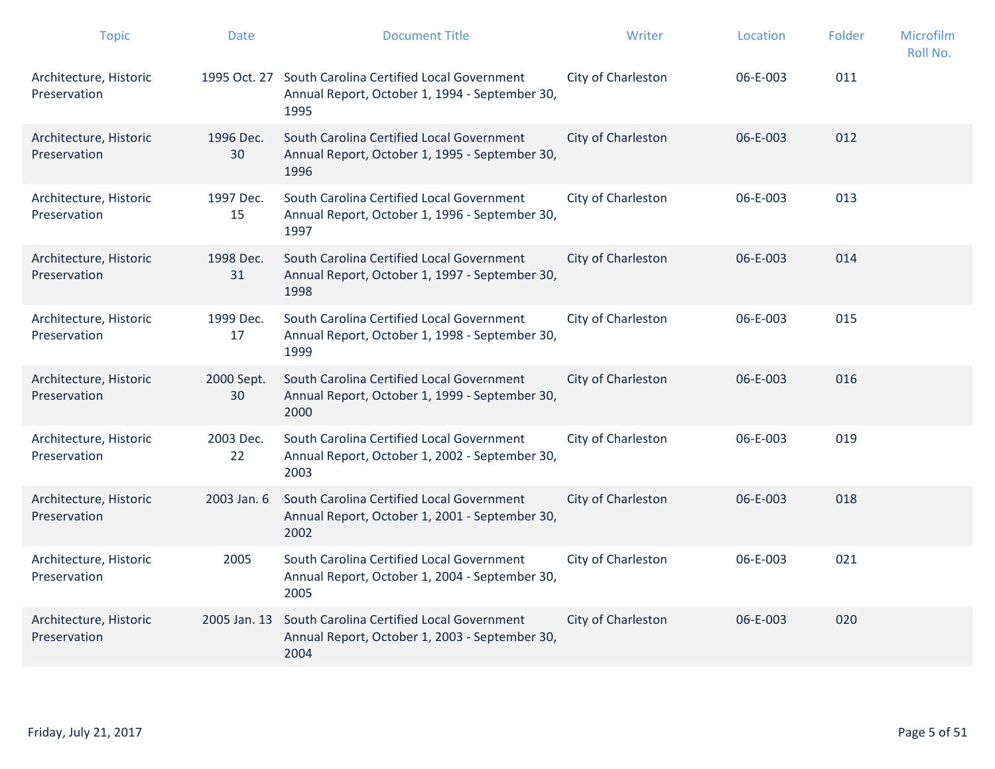| <b>Topic</b>                           | <b>Date</b>      | <b>Document Title</b>                                                                                            | Writer             | Location | Folder | Microfilm<br>Roll No. |
|----------------------------------------|------------------|------------------------------------------------------------------------------------------------------------------|--------------------|----------|--------|-----------------------|
| Architecture, Historic<br>Preservation |                  | 1995 Oct. 27 South Carolina Certified Local Government<br>Annual Report, October 1, 1994 - September 30,<br>1995 | City of Charleston | 06-E-003 | 011    |                       |
| Architecture, Historic<br>Preservation | 1996 Dec.<br>30  | South Carolina Certified Local Government<br>Annual Report, October 1, 1995 - September 30,<br>1996              | City of Charleston | 06-E-003 | 012    |                       |
| Architecture, Historic<br>Preservation | 1997 Dec.<br>15  | South Carolina Certified Local Government<br>Annual Report, October 1, 1996 - September 30,<br>1997              | City of Charleston | 06-E-003 | 013    |                       |
| Architecture, Historic<br>Preservation | 1998 Dec.<br>31  | South Carolina Certified Local Government<br>Annual Report, October 1, 1997 - September 30,<br>1998              | City of Charleston | 06-E-003 | 014    |                       |
| Architecture, Historic<br>Preservation | 1999 Dec.<br>17  | South Carolina Certified Local Government<br>Annual Report, October 1, 1998 - September 30,<br>1999              | City of Charleston | 06-E-003 | 015    |                       |
| Architecture, Historic<br>Preservation | 2000 Sept.<br>30 | South Carolina Certified Local Government<br>Annual Report, October 1, 1999 - September 30,<br>2000              | City of Charleston | 06-E-003 | 016    |                       |
| Architecture, Historic<br>Preservation | 2003 Dec.<br>22  | South Carolina Certified Local Government<br>Annual Report, October 1, 2002 - September 30,<br>2003              | City of Charleston | 06-E-003 | 019    |                       |
| Architecture, Historic<br>Preservation | 2003 Jan. 6      | South Carolina Certified Local Government<br>Annual Report, October 1, 2001 - September 30,<br>2002              | City of Charleston | 06-E-003 | 018    |                       |
| Architecture, Historic<br>Preservation | 2005             | South Carolina Certified Local Government<br>Annual Report, October 1, 2004 - September 30,<br>2005              | City of Charleston | 06-E-003 | 021    |                       |
| Architecture, Historic<br>Preservation | 2005 Jan. 13     | South Carolina Certified Local Government<br>Annual Report, October 1, 2003 - September 30,<br>2004              | City of Charleston | 06-E-003 | 020    |                       |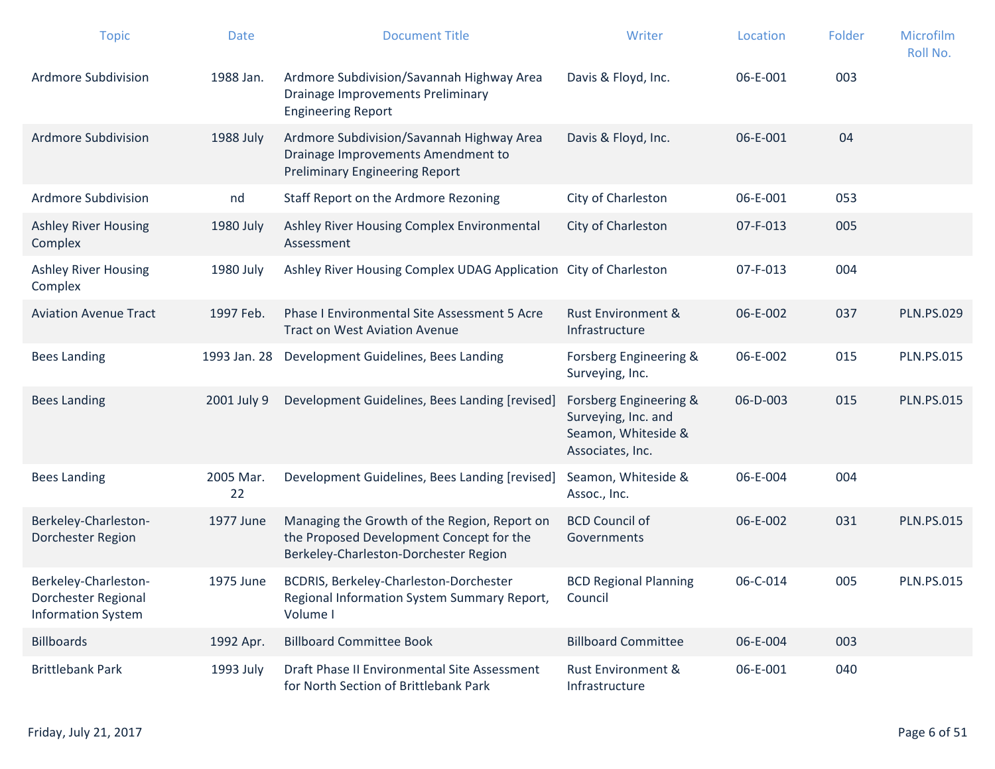| <b>Topic</b>                                                             | <b>Date</b>     | <b>Document Title</b>                                                                                                             | Writer                                                                                   | Location | Folder | Microfilm<br>Roll No. |
|--------------------------------------------------------------------------|-----------------|-----------------------------------------------------------------------------------------------------------------------------------|------------------------------------------------------------------------------------------|----------|--------|-----------------------|
| Ardmore Subdivision                                                      | 1988 Jan.       | Ardmore Subdivision/Savannah Highway Area<br><b>Drainage Improvements Preliminary</b><br><b>Engineering Report</b>                | Davis & Floyd, Inc.                                                                      | 06-E-001 | 003    |                       |
| Ardmore Subdivision                                                      | 1988 July       | Ardmore Subdivision/Savannah Highway Area<br>Drainage Improvements Amendment to<br><b>Preliminary Engineering Report</b>          | Davis & Floyd, Inc.                                                                      | 06-E-001 | 04     |                       |
| <b>Ardmore Subdivision</b>                                               | nd              | Staff Report on the Ardmore Rezoning                                                                                              | City of Charleston                                                                       | 06-E-001 | 053    |                       |
| <b>Ashley River Housing</b><br>Complex                                   | 1980 July       | Ashley River Housing Complex Environmental<br>Assessment                                                                          | City of Charleston                                                                       | 07-F-013 | 005    |                       |
| <b>Ashley River Housing</b><br>Complex                                   | 1980 July       | Ashley River Housing Complex UDAG Application                                                                                     | City of Charleston                                                                       | 07-F-013 | 004    |                       |
| <b>Aviation Avenue Tract</b>                                             | 1997 Feb.       | Phase I Environmental Site Assessment 5 Acre<br><b>Tract on West Aviation Avenue</b>                                              | <b>Rust Environment &amp;</b><br>Infrastructure                                          | 06-E-002 | 037    | <b>PLN.PS.029</b>     |
| <b>Bees Landing</b>                                                      | 1993 Jan. 28    | Development Guidelines, Bees Landing                                                                                              | Forsberg Engineering &<br>Surveying, Inc.                                                | 06-E-002 | 015    | <b>PLN.PS.015</b>     |
| <b>Bees Landing</b>                                                      | 2001 July 9     | Development Guidelines, Bees Landing [revised]                                                                                    | Forsberg Engineering &<br>Surveying, Inc. and<br>Seamon, Whiteside &<br>Associates, Inc. | 06-D-003 | 015    | <b>PLN.PS.015</b>     |
| <b>Bees Landing</b>                                                      | 2005 Mar.<br>22 | Development Guidelines, Bees Landing [revised]                                                                                    | Seamon, Whiteside &<br>Assoc., Inc.                                                      | 06-E-004 | 004    |                       |
| Berkeley-Charleston-<br>Dorchester Region                                | 1977 June       | Managing the Growth of the Region, Report on<br>the Proposed Development Concept for the<br>Berkeley-Charleston-Dorchester Region | <b>BCD Council of</b><br>Governments                                                     | 06-E-002 | 031    | <b>PLN.PS.015</b>     |
| Berkeley-Charleston-<br>Dorchester Regional<br><b>Information System</b> | 1975 June       | BCDRIS, Berkeley-Charleston-Dorchester<br>Regional Information System Summary Report,<br>Volume I                                 | <b>BCD Regional Planning</b><br>Council                                                  | 06-C-014 | 005    | <b>PLN.PS.015</b>     |
| <b>Billboards</b>                                                        | 1992 Apr.       | <b>Billboard Committee Book</b>                                                                                                   | <b>Billboard Committee</b>                                                               | 06-E-004 | 003    |                       |
| <b>Brittlebank Park</b>                                                  | 1993 July       | Draft Phase II Environmental Site Assessment<br>for North Section of Brittlebank Park                                             | Rust Environment &<br>Infrastructure                                                     | 06-E-001 | 040    |                       |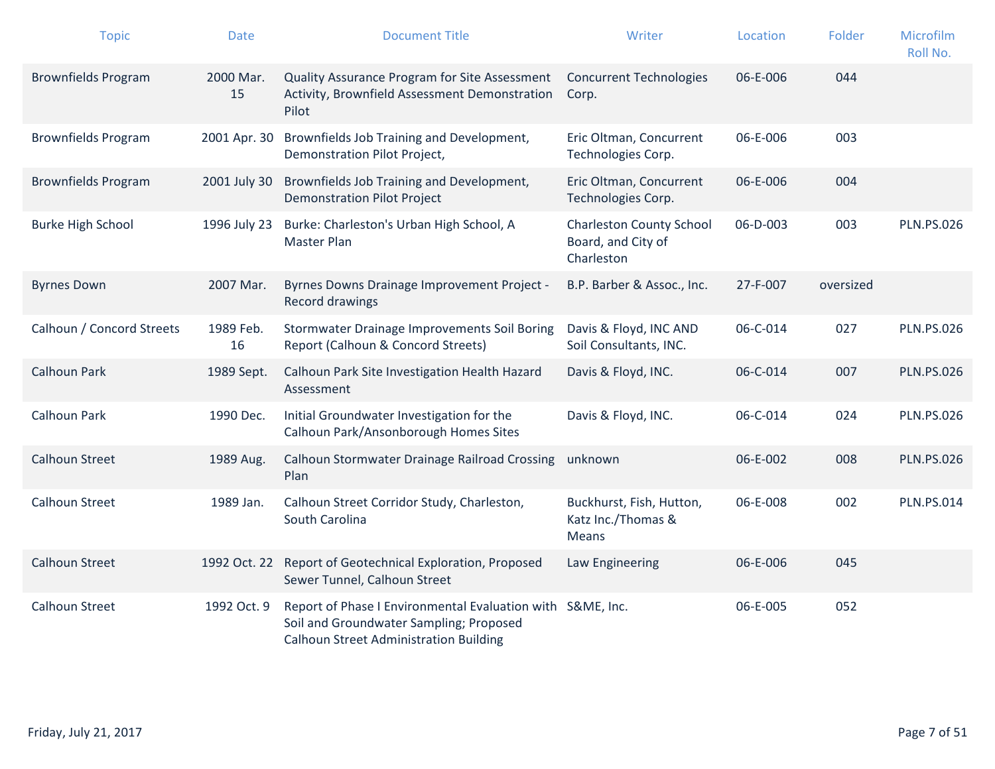| <b>Topic</b>               | <b>Date</b>     | <b>Document Title</b>                                                                                                                                  | Writer                                                              | Location | Folder    | Microfilm<br>Roll No. |
|----------------------------|-----------------|--------------------------------------------------------------------------------------------------------------------------------------------------------|---------------------------------------------------------------------|----------|-----------|-----------------------|
| <b>Brownfields Program</b> | 2000 Mar.<br>15 | Quality Assurance Program for Site Assessment<br>Activity, Brownfield Assessment Demonstration<br>Pilot                                                | <b>Concurrent Technologies</b><br>Corp.                             | 06-E-006 | 044       |                       |
| <b>Brownfields Program</b> | 2001 Apr. 30    | Brownfields Job Training and Development,<br>Demonstration Pilot Project,                                                                              | Eric Oltman, Concurrent<br>Technologies Corp.                       | 06-E-006 | 003       |                       |
| <b>Brownfields Program</b> | 2001 July 30    | Brownfields Job Training and Development,<br><b>Demonstration Pilot Project</b>                                                                        | Eric Oltman, Concurrent<br>Technologies Corp.                       | 06-E-006 | 004       |                       |
| <b>Burke High School</b>   | 1996 July 23    | Burke: Charleston's Urban High School, A<br>Master Plan                                                                                                | <b>Charleston County School</b><br>Board, and City of<br>Charleston | 06-D-003 | 003       | <b>PLN.PS.026</b>     |
| <b>Byrnes Down</b>         | 2007 Mar.       | Byrnes Downs Drainage Improvement Project -<br><b>Record drawings</b>                                                                                  | B.P. Barber & Assoc., Inc.                                          | 27-F-007 | oversized |                       |
| Calhoun / Concord Streets  | 1989 Feb.<br>16 | Stormwater Drainage Improvements Soil Boring<br>Report (Calhoun & Concord Streets)                                                                     | Davis & Floyd, INC AND<br>Soil Consultants, INC.                    | 06-C-014 | 027       | <b>PLN.PS.026</b>     |
| <b>Calhoun Park</b>        | 1989 Sept.      | Calhoun Park Site Investigation Health Hazard<br>Assessment                                                                                            | Davis & Floyd, INC.                                                 | 06-C-014 | 007       | <b>PLN.PS.026</b>     |
| Calhoun Park               | 1990 Dec.       | Initial Groundwater Investigation for the<br>Calhoun Park/Ansonborough Homes Sites                                                                     | Davis & Floyd, INC.                                                 | 06-C-014 | 024       | <b>PLN.PS.026</b>     |
| <b>Calhoun Street</b>      | 1989 Aug.       | Calhoun Stormwater Drainage Railroad Crossing<br>Plan                                                                                                  | unknown                                                             | 06-E-002 | 008       | <b>PLN.PS.026</b>     |
| <b>Calhoun Street</b>      | 1989 Jan.       | Calhoun Street Corridor Study, Charleston,<br>South Carolina                                                                                           | Buckhurst, Fish, Hutton,<br>Katz Inc./Thomas &<br>Means             | 06-E-008 | 002       | <b>PLN.PS.014</b>     |
| <b>Calhoun Street</b>      | 1992 Oct. 22    | Report of Geotechnical Exploration, Proposed<br>Sewer Tunnel, Calhoun Street                                                                           | Law Engineering                                                     | 06-E-006 | 045       |                       |
| <b>Calhoun Street</b>      | 1992 Oct. 9     | Report of Phase I Environmental Evaluation with S&ME, Inc.<br>Soil and Groundwater Sampling; Proposed<br><b>Calhoun Street Administration Building</b> |                                                                     | 06-E-005 | 052       |                       |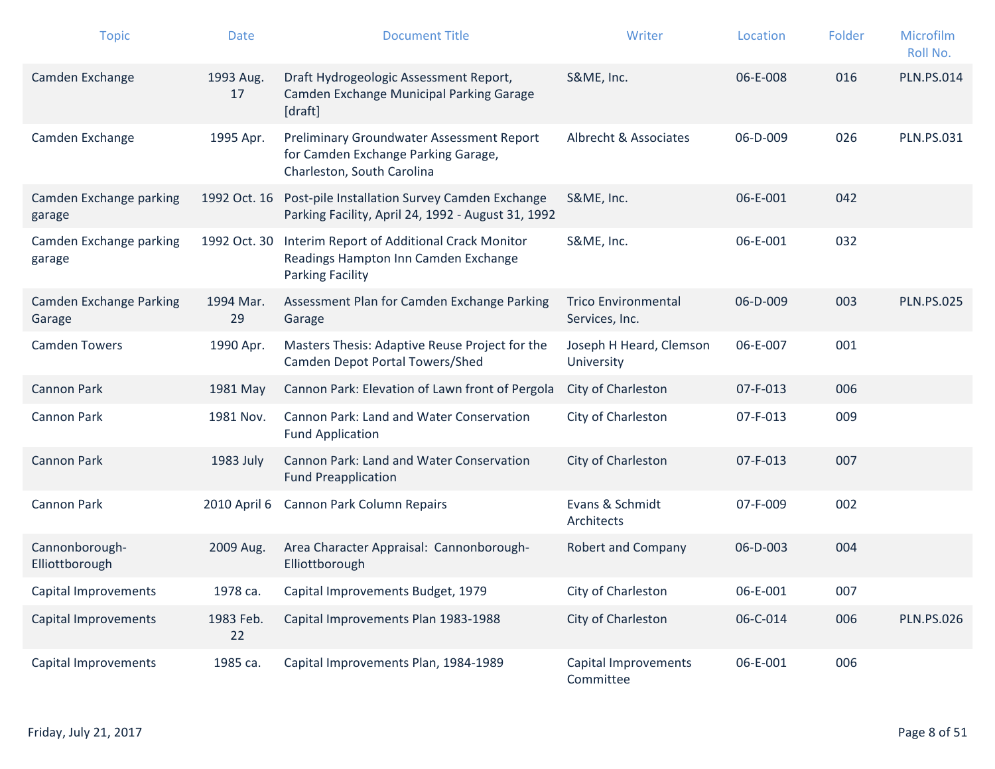| <b>Topic</b>                      | <b>Date</b>     | <b>Document Title</b>                                                                                            | Writer                                       | Location | Folder | <b>Microfilm</b><br>Roll No. |
|-----------------------------------|-----------------|------------------------------------------------------------------------------------------------------------------|----------------------------------------------|----------|--------|------------------------------|
| Camden Exchange                   | 1993 Aug.<br>17 | Draft Hydrogeologic Assessment Report,<br>Camden Exchange Municipal Parking Garage<br>[draft]                    | S&ME, Inc.                                   | 06-E-008 | 016    | <b>PLN.PS.014</b>            |
| Camden Exchange                   | 1995 Apr.       | Preliminary Groundwater Assessment Report<br>for Camden Exchange Parking Garage,<br>Charleston, South Carolina   | Albrecht & Associates                        | 06-D-009 | 026    | <b>PLN.PS.031</b>            |
| Camden Exchange parking<br>garage |                 | 1992 Oct. 16 Post-pile Installation Survey Camden Exchange<br>Parking Facility, April 24, 1992 - August 31, 1992 | S&ME, Inc.                                   | 06-E-001 | 042    |                              |
| Camden Exchange parking<br>garage | 1992 Oct. 30    | Interim Report of Additional Crack Monitor<br>Readings Hampton Inn Camden Exchange<br><b>Parking Facility</b>    | S&ME, Inc.                                   | 06-E-001 | 032    |                              |
| Camden Exchange Parking<br>Garage | 1994 Mar.<br>29 | Assessment Plan for Camden Exchange Parking<br>Garage                                                            | <b>Trico Environmental</b><br>Services, Inc. | 06-D-009 | 003    | <b>PLN.PS.025</b>            |
| <b>Camden Towers</b>              | 1990 Apr.       | Masters Thesis: Adaptive Reuse Project for the<br>Camden Depot Portal Towers/Shed                                | Joseph H Heard, Clemson<br>University        | 06-E-007 | 001    |                              |
| <b>Cannon Park</b>                | 1981 May        | Cannon Park: Elevation of Lawn front of Pergola                                                                  | City of Charleston                           | 07-F-013 | 006    |                              |
| <b>Cannon Park</b>                | 1981 Nov.       | Cannon Park: Land and Water Conservation<br><b>Fund Application</b>                                              | City of Charleston                           | 07-F-013 | 009    |                              |
| <b>Cannon Park</b>                | 1983 July       | Cannon Park: Land and Water Conservation<br><b>Fund Preapplication</b>                                           | City of Charleston                           | 07-F-013 | 007    |                              |
| <b>Cannon Park</b>                | 2010 April 6    | Cannon Park Column Repairs                                                                                       | Evans & Schmidt<br>Architects                | 07-F-009 | 002    |                              |
| Cannonborough-<br>Elliottborough  | 2009 Aug.       | Area Character Appraisal: Cannonborough-<br>Elliottborough                                                       | <b>Robert and Company</b>                    | 06-D-003 | 004    |                              |
| Capital Improvements              | 1978 ca.        | Capital Improvements Budget, 1979                                                                                | City of Charleston                           | 06-E-001 | 007    |                              |
| Capital Improvements              | 1983 Feb.<br>22 | Capital Improvements Plan 1983-1988                                                                              | City of Charleston                           | 06-C-014 | 006    | <b>PLN.PS.026</b>            |
| Capital Improvements              | 1985 ca.        | Capital Improvements Plan, 1984-1989                                                                             | Capital Improvements<br>Committee            | 06-E-001 | 006    |                              |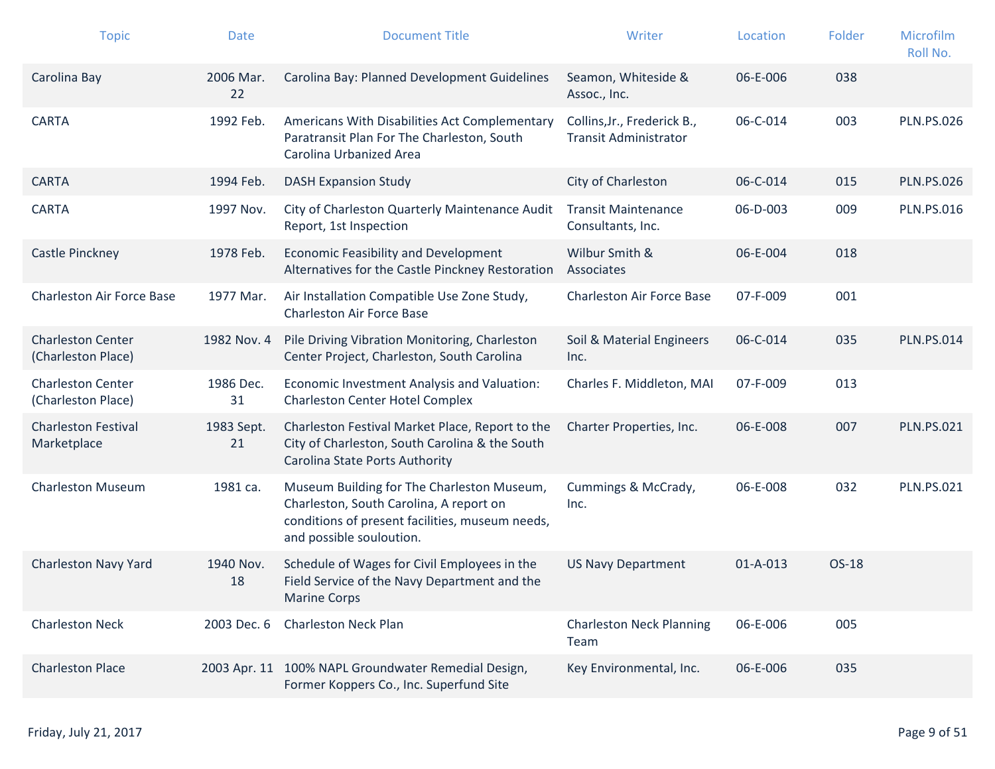| <b>Topic</b>                                   | <b>Date</b>      | <b>Document Title</b>                                                                                                                                                | Writer                                                      | Location       | Folder | Microfilm<br>Roll No. |
|------------------------------------------------|------------------|----------------------------------------------------------------------------------------------------------------------------------------------------------------------|-------------------------------------------------------------|----------------|--------|-----------------------|
| Carolina Bay                                   | 2006 Mar.<br>22  | Carolina Bay: Planned Development Guidelines                                                                                                                         | Seamon, Whiteside &<br>Assoc., Inc.                         | 06-E-006       | 038    |                       |
| <b>CARTA</b>                                   | 1992 Feb.        | Americans With Disabilities Act Complementary<br>Paratransit Plan For The Charleston, South<br>Carolina Urbanized Area                                               | Collins, Jr., Frederick B.,<br><b>Transit Administrator</b> | 06-C-014       | 003    | <b>PLN.PS.026</b>     |
| <b>CARTA</b>                                   | 1994 Feb.        | <b>DASH Expansion Study</b>                                                                                                                                          | City of Charleston                                          | 06-C-014       | 015    | <b>PLN.PS.026</b>     |
| <b>CARTA</b>                                   | 1997 Nov.        | City of Charleston Quarterly Maintenance Audit<br>Report, 1st Inspection                                                                                             | <b>Transit Maintenance</b><br>Consultants, Inc.             | 06-D-003       | 009    | <b>PLN.PS.016</b>     |
| Castle Pinckney                                | 1978 Feb.        | Economic Feasibility and Development<br>Alternatives for the Castle Pinckney Restoration                                                                             | Wilbur Smith &<br>Associates                                | 06-E-004       | 018    |                       |
| <b>Charleston Air Force Base</b>               | 1977 Mar.        | Air Installation Compatible Use Zone Study,<br><b>Charleston Air Force Base</b>                                                                                      | Charleston Air Force Base                                   | 07-F-009       | 001    |                       |
| <b>Charleston Center</b><br>(Charleston Place) | 1982 Nov. 4      | Pile Driving Vibration Monitoring, Charleston<br>Center Project, Charleston, South Carolina                                                                          | Soil & Material Engineers<br>Inc.                           | 06-C-014       | 035    | <b>PLN.PS.014</b>     |
| <b>Charleston Center</b><br>(Charleston Place) | 1986 Dec.<br>31  | Economic Investment Analysis and Valuation:<br><b>Charleston Center Hotel Complex</b>                                                                                | Charles F. Middleton, MAI                                   | 07-F-009       | 013    |                       |
| <b>Charleston Festival</b><br>Marketplace      | 1983 Sept.<br>21 | Charleston Festival Market Place, Report to the<br>City of Charleston, South Carolina & the South<br>Carolina State Ports Authority                                  | Charter Properties, Inc.                                    | 06-E-008       | 007    | <b>PLN.PS.021</b>     |
| <b>Charleston Museum</b>                       | 1981 ca.         | Museum Building for The Charleston Museum,<br>Charleston, South Carolina, A report on<br>conditions of present facilities, museum needs,<br>and possible souloution. | Cummings & McCrady,<br>Inc.                                 | 06-E-008       | 032    | <b>PLN.PS.021</b>     |
| Charleston Navy Yard                           | 1940 Nov.<br>18  | Schedule of Wages for Civil Employees in the<br>Field Service of the Navy Department and the<br><b>Marine Corps</b>                                                  | <b>US Navy Department</b>                                   | $01 - A - 013$ | OS-18  |                       |
| <b>Charleston Neck</b>                         | 2003 Dec. 6      | <b>Charleston Neck Plan</b>                                                                                                                                          | <b>Charleston Neck Planning</b><br>Team                     | 06-E-006       | 005    |                       |
| <b>Charleston Place</b>                        |                  | 2003 Apr. 11 100% NAPL Groundwater Remedial Design,<br>Former Koppers Co., Inc. Superfund Site                                                                       | Key Environmental, Inc.                                     | 06-E-006       | 035    |                       |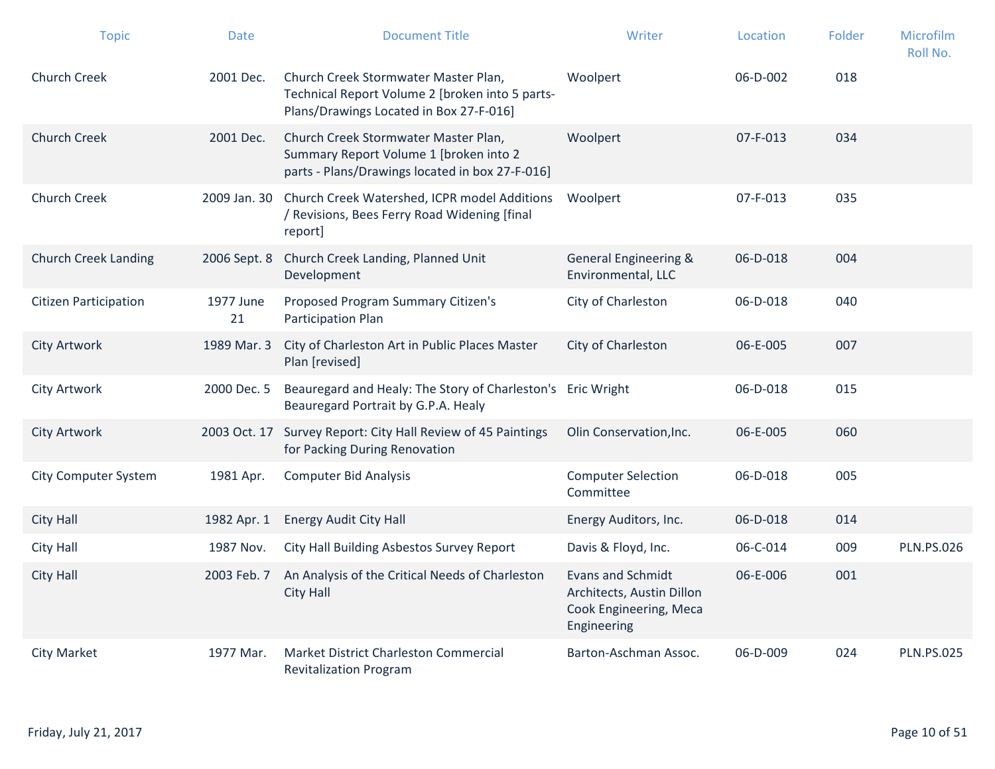| <b>Topic</b>                 | <b>Date</b>     | <b>Document Title</b>                                                                                                              | Writer                                                                                         | Location | Folder | Microfilm<br>Roll No. |
|------------------------------|-----------------|------------------------------------------------------------------------------------------------------------------------------------|------------------------------------------------------------------------------------------------|----------|--------|-----------------------|
| <b>Church Creek</b>          | 2001 Dec.       | Church Creek Stormwater Master Plan,<br>Technical Report Volume 2 [broken into 5 parts-<br>Plans/Drawings Located in Box 27-F-016] | Woolpert                                                                                       | 06-D-002 | 018    |                       |
| <b>Church Creek</b>          | 2001 Dec.       | Church Creek Stormwater Master Plan,<br>Summary Report Volume 1 [broken into 2<br>parts - Plans/Drawings located in box 27-F-016]  | Woolpert                                                                                       | 07-F-013 | 034    |                       |
| <b>Church Creek</b>          | 2009 Jan. 30    | Church Creek Watershed, ICPR model Additions<br>/ Revisions, Bees Ferry Road Widening [final<br>report]                            | Woolpert                                                                                       | 07-F-013 | 035    |                       |
| <b>Church Creek Landing</b>  | 2006 Sept. 8    | Church Creek Landing, Planned Unit<br>Development                                                                                  | <b>General Engineering &amp;</b><br>Environmental, LLC                                         | 06-D-018 | 004    |                       |
| <b>Citizen Participation</b> | 1977 June<br>21 | Proposed Program Summary Citizen's<br>Participation Plan                                                                           | City of Charleston                                                                             | 06-D-018 | 040    |                       |
| <b>City Artwork</b>          | 1989 Mar. 3     | City of Charleston Art in Public Places Master<br>Plan [revised]                                                                   | City of Charleston                                                                             | 06-E-005 | 007    |                       |
| <b>City Artwork</b>          | 2000 Dec. 5     | Beauregard and Healy: The Story of Charleston's<br>Beauregard Portrait by G.P.A. Healy                                             | <b>Eric Wright</b>                                                                             | 06-D-018 | 015    |                       |
| City Artwork                 |                 | 2003 Oct. 17 Survey Report: City Hall Review of 45 Paintings<br>for Packing During Renovation                                      | Olin Conservation, Inc.                                                                        | 06-E-005 | 060    |                       |
| <b>City Computer System</b>  | 1981 Apr.       | <b>Computer Bid Analysis</b>                                                                                                       | <b>Computer Selection</b><br>Committee                                                         | 06-D-018 | 005    |                       |
| City Hall                    | 1982 Apr. 1     | <b>Energy Audit City Hall</b>                                                                                                      | Energy Auditors, Inc.                                                                          | 06-D-018 | 014    |                       |
| City Hall                    | 1987 Nov.       | City Hall Building Asbestos Survey Report                                                                                          | Davis & Floyd, Inc.                                                                            | 06-C-014 | 009    | <b>PLN.PS.026</b>     |
| City Hall                    | 2003 Feb. 7     | An Analysis of the Critical Needs of Charleston<br>City Hall                                                                       | <b>Evans and Schmidt</b><br>Architects, Austin Dillon<br>Cook Engineering, Meca<br>Engineering | 06-E-006 | 001    |                       |
| <b>City Market</b>           | 1977 Mar.       | Market District Charleston Commercial<br><b>Revitalization Program</b>                                                             | Barton-Aschman Assoc.                                                                          | 06-D-009 | 024    | <b>PLN.PS.025</b>     |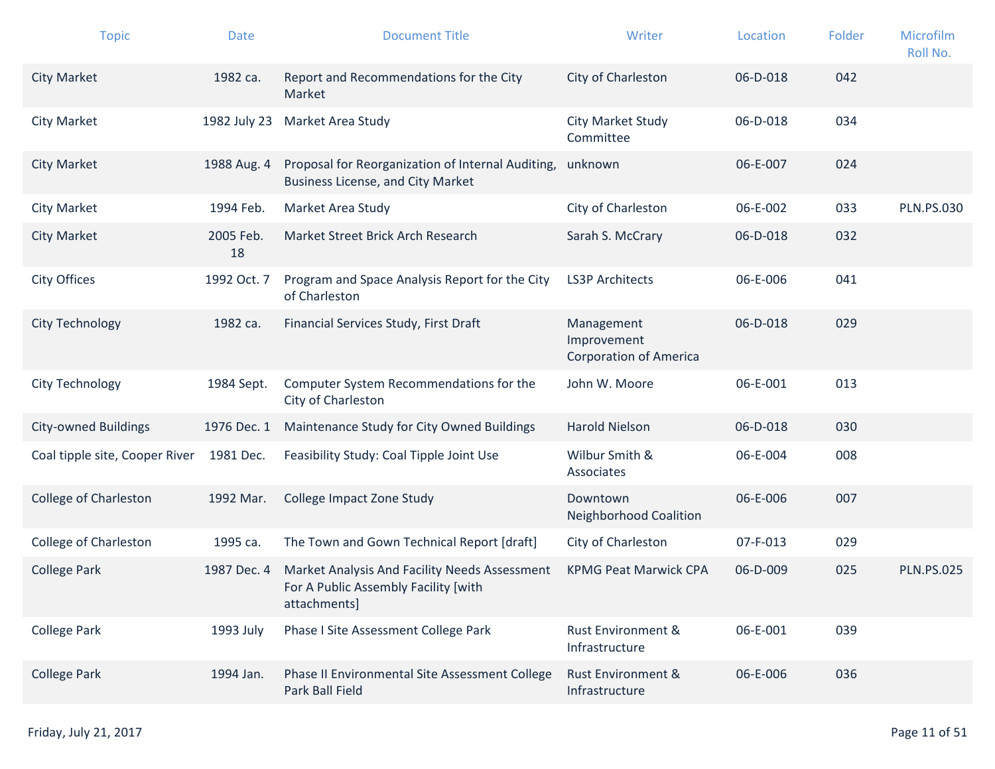| <b>Topic</b>                   | <b>Date</b>     | <b>Document Title</b>                                                                                 | Writer                                                     | Location | Folder | Microfilm<br>Roll No. |
|--------------------------------|-----------------|-------------------------------------------------------------------------------------------------------|------------------------------------------------------------|----------|--------|-----------------------|
| <b>City Market</b>             | 1982 ca.        | Report and Recommendations for the City<br>Market                                                     | City of Charleston                                         | 06-D-018 | 042    |                       |
| <b>City Market</b>             | 1982 July 23    | Market Area Study                                                                                     | City Market Study<br>Committee                             | 06-D-018 | 034    |                       |
| <b>City Market</b>             | 1988 Aug. 4     | Proposal for Reorganization of Internal Auditing,<br><b>Business License, and City Market</b>         | unknown                                                    | 06-E-007 | 024    |                       |
| <b>City Market</b>             | 1994 Feb.       | Market Area Study                                                                                     | City of Charleston                                         | 06-E-002 | 033    | <b>PLN.PS.030</b>     |
| <b>City Market</b>             | 2005 Feb.<br>18 | Market Street Brick Arch Research                                                                     | Sarah S. McCrary                                           | 06-D-018 | 032    |                       |
| City Offices                   | 1992 Oct. 7     | Program and Space Analysis Report for the City<br>of Charleston                                       | <b>LS3P Architects</b>                                     | 06-E-006 | 041    |                       |
| City Technology                | 1982 са.        | Financial Services Study, First Draft                                                                 | Management<br>Improvement<br><b>Corporation of America</b> | 06-D-018 | 029    |                       |
| City Technology                | 1984 Sept.      | Computer System Recommendations for the<br>City of Charleston                                         | John W. Moore                                              | 06-E-001 | 013    |                       |
| <b>City-owned Buildings</b>    | 1976 Dec. 1     | Maintenance Study for City Owned Buildings                                                            | <b>Harold Nielson</b>                                      | 06-D-018 | 030    |                       |
| Coal tipple site, Cooper River | 1981 Dec.       | Feasibility Study: Coal Tipple Joint Use                                                              | Wilbur Smith &<br>Associates                               | 06-E-004 | 008    |                       |
| <b>College of Charleston</b>   | 1992 Mar.       | College Impact Zone Study                                                                             | Downtown<br><b>Neighborhood Coalition</b>                  | 06-E-006 | 007    |                       |
| <b>College of Charleston</b>   | 1995 са.        | The Town and Gown Technical Report [draft]                                                            | City of Charleston                                         | 07-F-013 | 029    |                       |
| <b>College Park</b>            | 1987 Dec. 4     | Market Analysis And Facility Needs Assessment<br>For A Public Assembly Facility [with<br>attachments] | <b>KPMG Peat Marwick CPA</b>                               | 06-D-009 | 025    | <b>PLN.PS.025</b>     |
| <b>College Park</b>            | 1993 July       | Phase I Site Assessment College Park                                                                  | <b>Rust Environment &amp;</b><br>Infrastructure            | 06-E-001 | 039    |                       |
| <b>College Park</b>            | 1994 Jan.       | Phase II Environmental Site Assessment College<br>Park Ball Field                                     | Rust Environment &<br>Infrastructure                       | 06-E-006 | 036    |                       |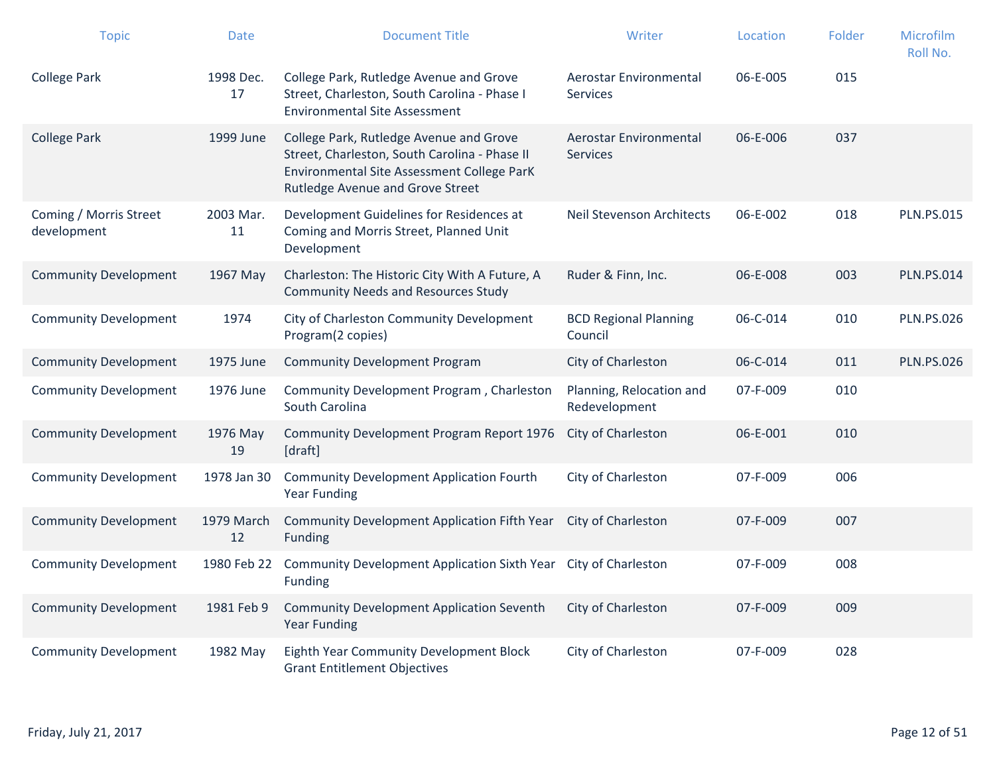| <b>Topic</b>                          | <b>Date</b>      | <b>Document Title</b>                                                                                                                                                      | Writer                                    | Location | Folder | Microfilm<br>Roll No. |
|---------------------------------------|------------------|----------------------------------------------------------------------------------------------------------------------------------------------------------------------------|-------------------------------------------|----------|--------|-----------------------|
| <b>College Park</b>                   | 1998 Dec.<br>17  | College Park, Rutledge Avenue and Grove<br>Street, Charleston, South Carolina - Phase I<br><b>Environmental Site Assessment</b>                                            | Aerostar Environmental<br>Services        | 06-E-005 | 015    |                       |
| <b>College Park</b>                   | 1999 June        | College Park, Rutledge Avenue and Grove<br>Street, Charleston, South Carolina - Phase II<br>Environmental Site Assessment College ParK<br>Rutledge Avenue and Grove Street | Aerostar Environmental<br><b>Services</b> | 06-E-006 | 037    |                       |
| Coming / Morris Street<br>development | 2003 Mar.<br>11  | Development Guidelines for Residences at<br>Coming and Morris Street, Planned Unit<br>Development                                                                          | <b>Neil Stevenson Architects</b>          | 06-E-002 | 018    | <b>PLN.PS.015</b>     |
| <b>Community Development</b>          | 1967 May         | Charleston: The Historic City With A Future, A<br><b>Community Needs and Resources Study</b>                                                                               | Ruder & Finn, Inc.                        | 06-E-008 | 003    | <b>PLN.PS.014</b>     |
| <b>Community Development</b>          | 1974             | City of Charleston Community Development<br>Program(2 copies)                                                                                                              | <b>BCD Regional Planning</b><br>Council   | 06-C-014 | 010    | <b>PLN.PS.026</b>     |
| <b>Community Development</b>          | 1975 June        | <b>Community Development Program</b>                                                                                                                                       | City of Charleston                        | 06-C-014 | 011    | <b>PLN.PS.026</b>     |
| <b>Community Development</b>          | 1976 June        | Community Development Program, Charleston<br>South Carolina                                                                                                                | Planning, Relocation and<br>Redevelopment | 07-F-009 | 010    |                       |
| <b>Community Development</b>          | 1976 May<br>19   | Community Development Program Report 1976<br>[draft]                                                                                                                       | City of Charleston                        | 06-E-001 | 010    |                       |
| <b>Community Development</b>          | 1978 Jan 30      | <b>Community Development Application Fourth</b><br><b>Year Funding</b>                                                                                                     | City of Charleston                        | 07-F-009 | 006    |                       |
| <b>Community Development</b>          | 1979 March<br>12 | Community Development Application Fifth Year<br>Funding                                                                                                                    | City of Charleston                        | 07-F-009 | 007    |                       |
| <b>Community Development</b>          | 1980 Feb 22      | Community Development Application Sixth Year<br>Funding                                                                                                                    | City of Charleston                        | 07-F-009 | 008    |                       |
| <b>Community Development</b>          | 1981 Feb 9       | <b>Community Development Application Seventh</b><br><b>Year Funding</b>                                                                                                    | City of Charleston                        | 07-F-009 | 009    |                       |
| <b>Community Development</b>          | 1982 May         | Eighth Year Community Development Block<br><b>Grant Entitlement Objectives</b>                                                                                             | City of Charleston                        | 07-F-009 | 028    |                       |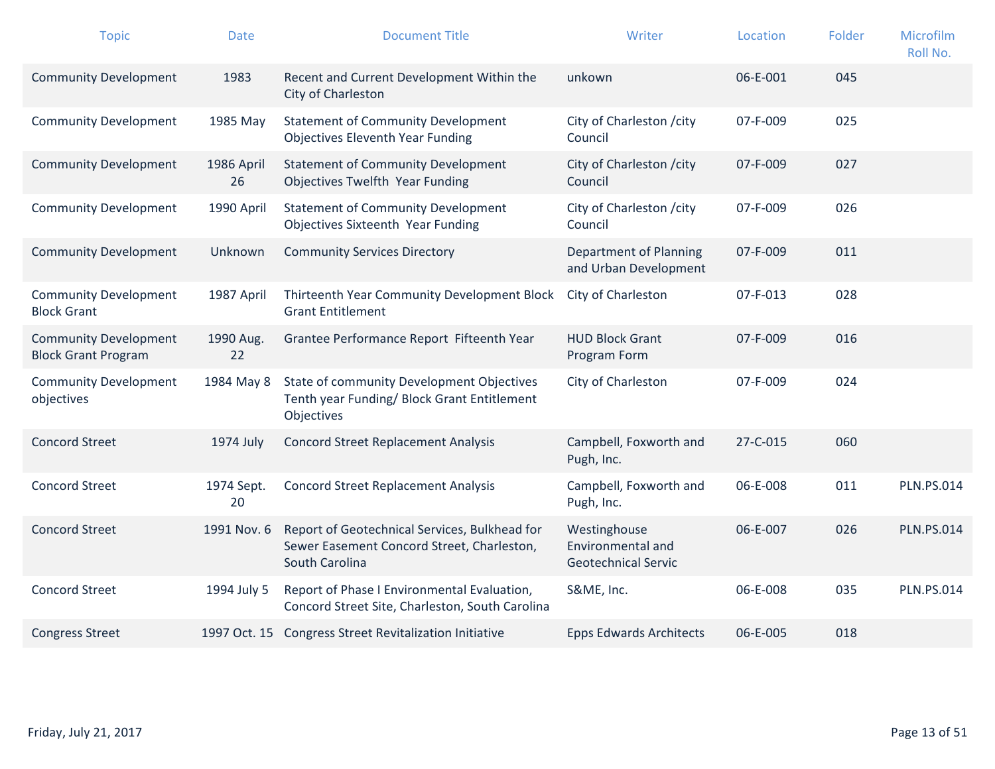| <b>Topic</b>                                               | Date             | <b>Document Title</b>                                                                                         | Writer                                                          | Location | Folder | Microfilm<br>Roll No. |
|------------------------------------------------------------|------------------|---------------------------------------------------------------------------------------------------------------|-----------------------------------------------------------------|----------|--------|-----------------------|
| <b>Community Development</b>                               | 1983             | Recent and Current Development Within the<br>City of Charleston                                               | unkown                                                          | 06-E-001 | 045    |                       |
| <b>Community Development</b>                               | 1985 May         | <b>Statement of Community Development</b><br><b>Objectives Eleventh Year Funding</b>                          | City of Charleston / city<br>Council                            | 07-F-009 | 025    |                       |
| <b>Community Development</b>                               | 1986 April<br>26 | <b>Statement of Community Development</b><br>Objectives Twelfth Year Funding                                  | City of Charleston / city<br>Council                            | 07-F-009 | 027    |                       |
| <b>Community Development</b>                               | 1990 April       | <b>Statement of Community Development</b><br><b>Objectives Sixteenth Year Funding</b>                         | City of Charleston / city<br>Council                            | 07-F-009 | 026    |                       |
| <b>Community Development</b>                               | Unknown          | <b>Community Services Directory</b>                                                                           | Department of Planning<br>and Urban Development                 | 07-F-009 | 011    |                       |
| <b>Community Development</b><br><b>Block Grant</b>         | 1987 April       | Thirteenth Year Community Development Block<br><b>Grant Entitlement</b>                                       | City of Charleston                                              | 07-F-013 | 028    |                       |
| <b>Community Development</b><br><b>Block Grant Program</b> | 1990 Aug.<br>22  | Grantee Performance Report Fifteenth Year                                                                     | <b>HUD Block Grant</b><br>Program Form                          | 07-F-009 | 016    |                       |
| <b>Community Development</b><br>objectives                 | 1984 May 8       | State of community Development Objectives<br>Tenth year Funding/ Block Grant Entitlement<br>Objectives        | City of Charleston                                              | 07-F-009 | 024    |                       |
| <b>Concord Street</b>                                      | 1974 July        | <b>Concord Street Replacement Analysis</b>                                                                    | Campbell, Foxworth and<br>Pugh, Inc.                            | 27-C-015 | 060    |                       |
| <b>Concord Street</b>                                      | 1974 Sept.<br>20 | <b>Concord Street Replacement Analysis</b>                                                                    | Campbell, Foxworth and<br>Pugh, Inc.                            | 06-E-008 | 011    | <b>PLN.PS.014</b>     |
| <b>Concord Street</b>                                      | 1991 Nov. 6      | Report of Geotechnical Services, Bulkhead for<br>Sewer Easement Concord Street, Charleston,<br>South Carolina | Westinghouse<br>Environmental and<br><b>Geotechnical Servic</b> | 06-E-007 | 026    | <b>PLN.PS.014</b>     |
| <b>Concord Street</b>                                      | 1994 July 5      | Report of Phase I Environmental Evaluation,<br>Concord Street Site, Charleston, South Carolina                | S&ME, Inc.                                                      | 06-E-008 | 035    | <b>PLN.PS.014</b>     |
| <b>Congress Street</b>                                     |                  | 1997 Oct. 15 Congress Street Revitalization Initiative                                                        | <b>Epps Edwards Architects</b>                                  | 06-E-005 | 018    |                       |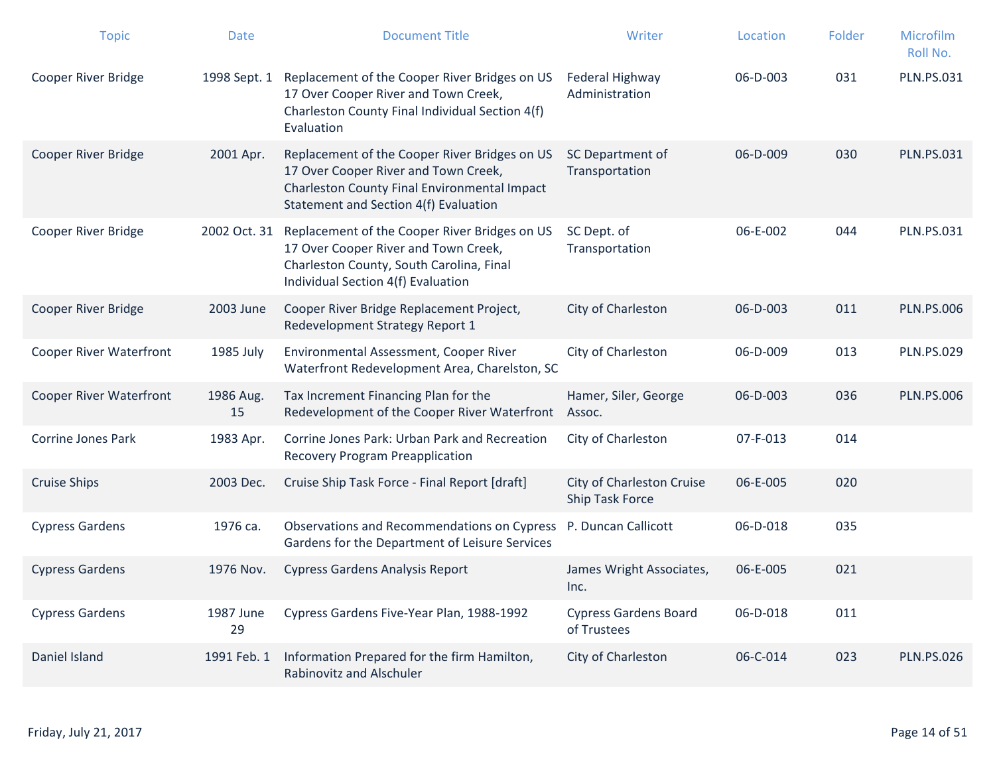| <b>Topic</b>                   | <b>Date</b>     | <b>Document Title</b>                                                                                                                                                          | Writer                                       | Location       | Folder | Microfilm<br>Roll No. |
|--------------------------------|-----------------|--------------------------------------------------------------------------------------------------------------------------------------------------------------------------------|----------------------------------------------|----------------|--------|-----------------------|
| <b>Cooper River Bridge</b>     | 1998 Sept. 1    | Replacement of the Cooper River Bridges on US<br>17 Over Cooper River and Town Creek,<br>Charleston County Final Individual Section 4(f)<br>Evaluation                         | Federal Highway<br>Administration            | 06-D-003       | 031    | <b>PLN.PS.031</b>     |
| <b>Cooper River Bridge</b>     | 2001 Apr.       | Replacement of the Cooper River Bridges on US<br>17 Over Cooper River and Town Creek,<br>Charleston County Final Environmental Impact<br>Statement and Section 4(f) Evaluation | SC Department of<br>Transportation           | 06-D-009       | 030    | <b>PLN.PS.031</b>     |
| <b>Cooper River Bridge</b>     | 2002 Oct. 31    | Replacement of the Cooper River Bridges on US<br>17 Over Cooper River and Town Creek,<br>Charleston County, South Carolina, Final<br>Individual Section 4(f) Evaluation        | SC Dept. of<br>Transportation                | 06-E-002       | 044    | <b>PLN.PS.031</b>     |
| <b>Cooper River Bridge</b>     | 2003 June       | Cooper River Bridge Replacement Project,<br>Redevelopment Strategy Report 1                                                                                                    | City of Charleston                           | 06-D-003       | 011    | <b>PLN.PS.006</b>     |
| <b>Cooper River Waterfront</b> | 1985 July       | Environmental Assessment, Cooper River<br>Waterfront Redevelopment Area, Charelston, SC                                                                                        | City of Charleston                           | 06-D-009       | 013    | <b>PLN.PS.029</b>     |
| <b>Cooper River Waterfront</b> | 1986 Aug.<br>15 | Tax Increment Financing Plan for the<br>Redevelopment of the Cooper River Waterfront                                                                                           | Hamer, Siler, George<br>Assoc.               | 06-D-003       | 036    | <b>PLN.PS.006</b>     |
| <b>Corrine Jones Park</b>      | 1983 Apr.       | Corrine Jones Park: Urban Park and Recreation<br><b>Recovery Program Preapplication</b>                                                                                        | City of Charleston                           | 07-F-013       | 014    |                       |
| <b>Cruise Ships</b>            | 2003 Dec.       | Cruise Ship Task Force - Final Report [draft]                                                                                                                                  | City of Charleston Cruise<br>Ship Task Force | 06-E-005       | 020    |                       |
| <b>Cypress Gardens</b>         | 1976 са.        | Observations and Recommendations on Cypress<br>Gardens for the Department of Leisure Services                                                                                  | P. Duncan Callicott                          | 06-D-018       | 035    |                       |
| <b>Cypress Gardens</b>         | 1976 Nov.       | <b>Cypress Gardens Analysis Report</b>                                                                                                                                         | James Wright Associates,<br>Inc.             | 06-E-005       | 021    |                       |
| <b>Cypress Gardens</b>         | 1987 June<br>29 | Cypress Gardens Five-Year Plan, 1988-1992                                                                                                                                      | <b>Cypress Gardens Board</b><br>of Trustees  | $06 - D - 018$ | 011    |                       |
| Daniel Island                  | 1991 Feb. 1     | Information Prepared for the firm Hamilton,<br>Rabinovitz and Alschuler                                                                                                        | City of Charleston                           | 06-C-014       | 023    | <b>PLN.PS.026</b>     |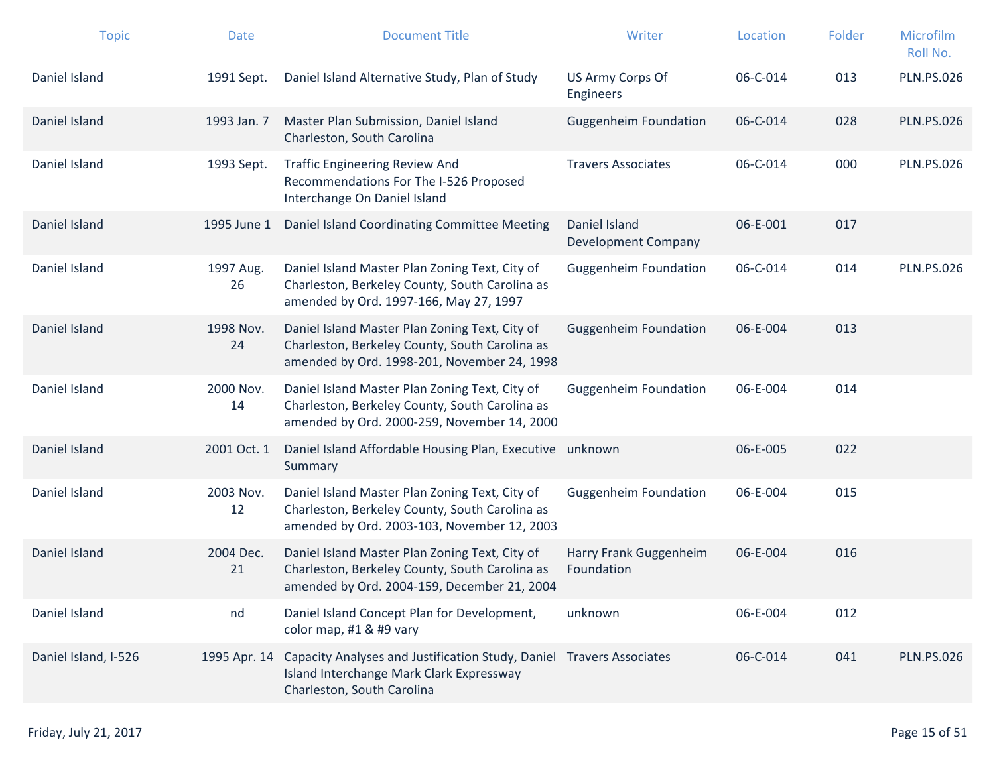| <b>Topic</b>         | <b>Date</b>     | <b>Document Title</b>                                                                                                                                       | Writer                                      | Location | Folder | Microfilm<br>Roll No. |
|----------------------|-----------------|-------------------------------------------------------------------------------------------------------------------------------------------------------------|---------------------------------------------|----------|--------|-----------------------|
| Daniel Island        | 1991 Sept.      | Daniel Island Alternative Study, Plan of Study                                                                                                              | US Army Corps Of<br><b>Engineers</b>        | 06-C-014 | 013    | <b>PLN.PS.026</b>     |
| Daniel Island        | 1993 Jan. 7     | Master Plan Submission, Daniel Island<br>Charleston, South Carolina                                                                                         | <b>Guggenheim Foundation</b>                | 06-C-014 | 028    | <b>PLN.PS.026</b>     |
| Daniel Island        | 1993 Sept.      | <b>Traffic Engineering Review And</b><br>Recommendations For The I-526 Proposed<br>Interchange On Daniel Island                                             | <b>Travers Associates</b>                   | 06-C-014 | 000    | <b>PLN.PS.026</b>     |
| Daniel Island        | 1995 June 1     | Daniel Island Coordinating Committee Meeting                                                                                                                | Daniel Island<br><b>Development Company</b> | 06-E-001 | 017    |                       |
| Daniel Island        | 1997 Aug.<br>26 | Daniel Island Master Plan Zoning Text, City of<br>Charleston, Berkeley County, South Carolina as<br>amended by Ord. 1997-166, May 27, 1997                  | <b>Guggenheim Foundation</b>                | 06-C-014 | 014    | <b>PLN.PS.026</b>     |
| Daniel Island        | 1998 Nov.<br>24 | Daniel Island Master Plan Zoning Text, City of<br>Charleston, Berkeley County, South Carolina as<br>amended by Ord. 1998-201, November 24, 1998             | <b>Guggenheim Foundation</b>                | 06-E-004 | 013    |                       |
| Daniel Island        | 2000 Nov.<br>14 | Daniel Island Master Plan Zoning Text, City of<br>Charleston, Berkeley County, South Carolina as<br>amended by Ord. 2000-259, November 14, 2000             | <b>Guggenheim Foundation</b>                | 06-E-004 | 014    |                       |
| Daniel Island        | 2001 Oct. 1     | Daniel Island Affordable Housing Plan, Executive<br>Summary                                                                                                 | unknown                                     | 06-E-005 | 022    |                       |
| Daniel Island        | 2003 Nov.<br>12 | Daniel Island Master Plan Zoning Text, City of<br>Charleston, Berkeley County, South Carolina as<br>amended by Ord. 2003-103, November 12, 2003             | <b>Guggenheim Foundation</b>                | 06-E-004 | 015    |                       |
| Daniel Island        | 2004 Dec.<br>21 | Daniel Island Master Plan Zoning Text, City of<br>Charleston, Berkeley County, South Carolina as<br>amended by Ord. 2004-159, December 21, 2004             | Harry Frank Guggenheim<br>Foundation        | 06-E-004 | 016    |                       |
| Daniel Island        | nd              | Daniel Island Concept Plan for Development,<br>color map, #1 & #9 vary                                                                                      | unknown                                     | 06-E-004 | 012    |                       |
| Daniel Island, I-526 |                 | 1995 Apr. 14 Capacity Analyses and Justification Study, Daniel Travers Associates<br>Island Interchange Mark Clark Expressway<br>Charleston, South Carolina |                                             | 06-C-014 | 041    | <b>PLN.PS.026</b>     |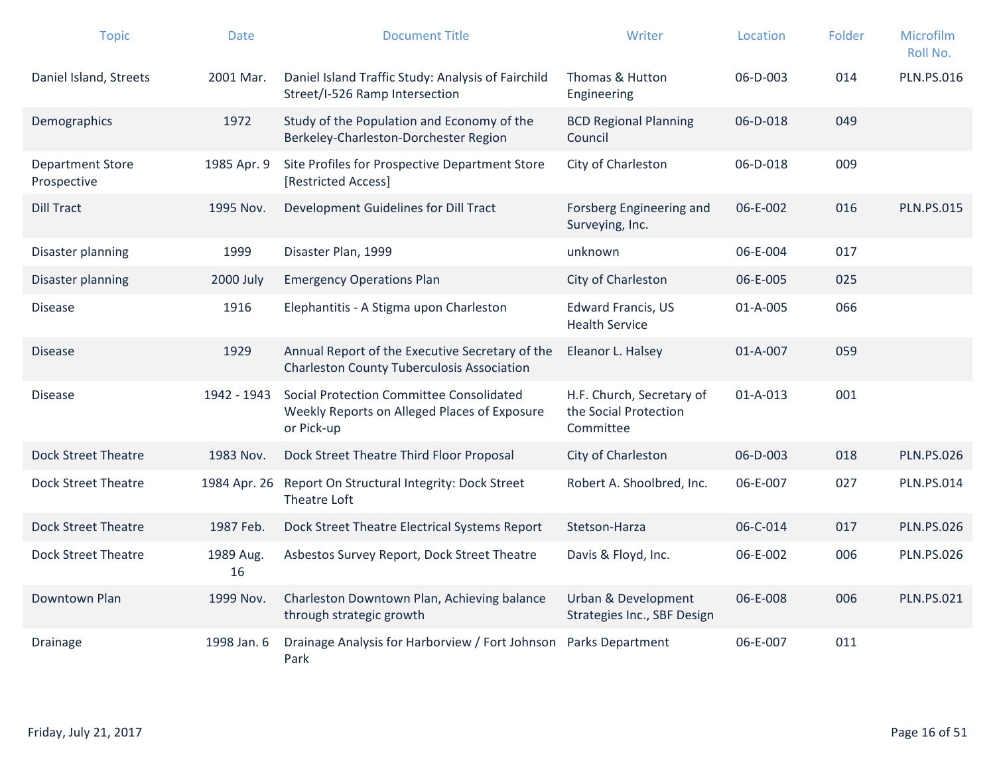| <b>Topic</b>                           | <b>Date</b>     | <b>Document Title</b>                                                                                  | Writer                                                          | Location       | Folder | Microfilm<br>Roll No. |
|----------------------------------------|-----------------|--------------------------------------------------------------------------------------------------------|-----------------------------------------------------------------|----------------|--------|-----------------------|
| Daniel Island, Streets                 | 2001 Mar.       | Daniel Island Traffic Study: Analysis of Fairchild<br>Street/I-526 Ramp Intersection                   | Thomas & Hutton<br>Engineering                                  | 06-D-003       | 014    | <b>PLN.PS.016</b>     |
| Demographics                           | 1972            | Study of the Population and Economy of the<br>Berkeley-Charleston-Dorchester Region                    | <b>BCD Regional Planning</b><br>Council                         | 06-D-018       | 049    |                       |
| <b>Department Store</b><br>Prospective | 1985 Apr. 9     | Site Profiles for Prospective Department Store<br>[Restricted Access]                                  | City of Charleston                                              | 06-D-018       | 009    |                       |
| <b>Dill Tract</b>                      | 1995 Nov.       | Development Guidelines for Dill Tract                                                                  | Forsberg Engineering and<br>Surveying, Inc.                     | 06-E-002       | 016    | <b>PLN.PS.015</b>     |
| Disaster planning                      | 1999            | Disaster Plan, 1999                                                                                    | unknown                                                         | 06-E-004       | 017    |                       |
| Disaster planning                      | 2000 July       | <b>Emergency Operations Plan</b>                                                                       | City of Charleston                                              | 06-E-005       | 025    |                       |
| <b>Disease</b>                         | 1916            | Elephantitis - A Stigma upon Charleston                                                                | <b>Edward Francis, US</b><br><b>Health Service</b>              | 01-A-005       | 066    |                       |
| <b>Disease</b>                         | 1929            | Annual Report of the Executive Secretary of the<br><b>Charleston County Tuberculosis Association</b>   | Eleanor L. Halsey                                               | 01-A-007       | 059    |                       |
| <b>Disease</b>                         | 1942 - 1943     | Social Protection Committee Consolidated<br>Weekly Reports on Alleged Places of Exposure<br>or Pick-up | H.F. Church, Secretary of<br>the Social Protection<br>Committee | $01 - A - 013$ | 001    |                       |
| <b>Dock Street Theatre</b>             | 1983 Nov.       | Dock Street Theatre Third Floor Proposal                                                               | City of Charleston                                              | 06-D-003       | 018    | <b>PLN.PS.026</b>     |
| <b>Dock Street Theatre</b>             | 1984 Apr. 26    | Report On Structural Integrity: Dock Street<br>Theatre Loft                                            | Robert A. Shoolbred, Inc.                                       | 06-E-007       | 027    | <b>PLN.PS.014</b>     |
| <b>Dock Street Theatre</b>             | 1987 Feb.       | Dock Street Theatre Electrical Systems Report                                                          | Stetson-Harza                                                   | 06-C-014       | 017    | <b>PLN.PS.026</b>     |
| <b>Dock Street Theatre</b>             | 1989 Aug.<br>16 | Asbestos Survey Report, Dock Street Theatre                                                            | Davis & Floyd, Inc.                                             | 06-E-002       | 006    | <b>PLN.PS.026</b>     |
| Downtown Plan                          | 1999 Nov.       | Charleston Downtown Plan, Achieving balance<br>through strategic growth                                | <b>Urban &amp; Development</b><br>Strategies Inc., SBF Design   | 06-E-008       | 006    | <b>PLN.PS.021</b>     |
| Drainage                               | 1998 Jan. 6     | Drainage Analysis for Harborview / Fort Johnson<br>Park                                                | Parks Department                                                | 06-E-007       | 011    |                       |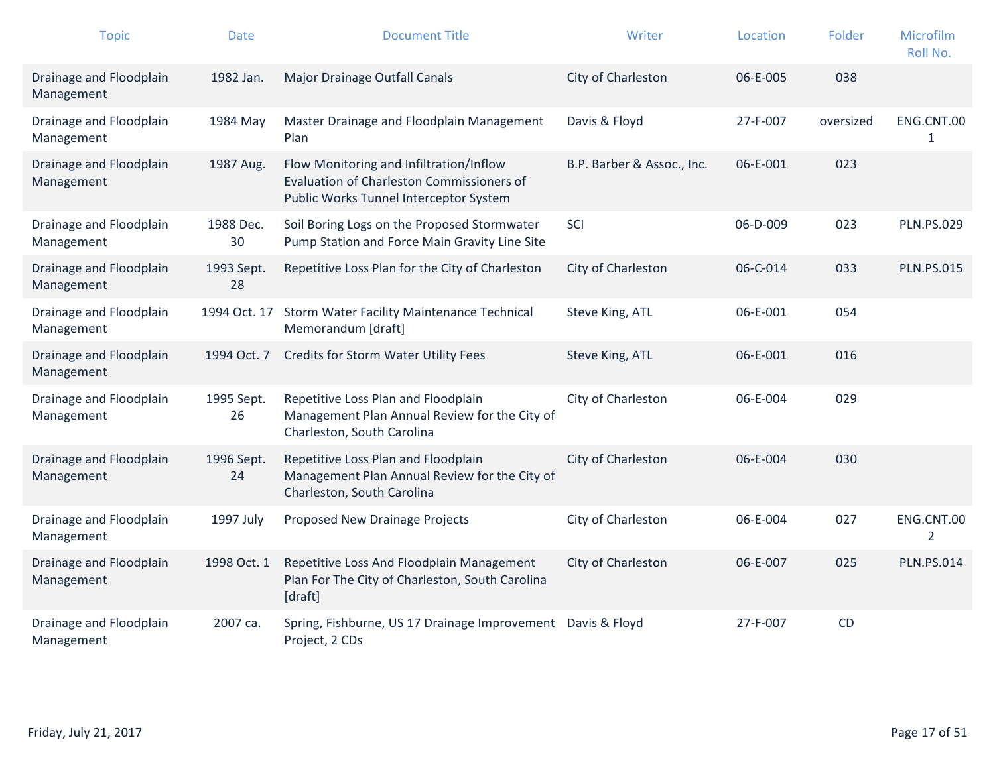| <b>Topic</b>                          | <b>Date</b>      | <b>Document Title</b>                                                                                                          | Writer                     | Location | Folder    | Microfilm<br>Roll No. |
|---------------------------------------|------------------|--------------------------------------------------------------------------------------------------------------------------------|----------------------------|----------|-----------|-----------------------|
| Drainage and Floodplain<br>Management | 1982 Jan.        | Major Drainage Outfall Canals                                                                                                  | City of Charleston         | 06-E-005 | 038       |                       |
| Drainage and Floodplain<br>Management | 1984 May         | Master Drainage and Floodplain Management<br>Plan                                                                              | Davis & Floyd              | 27-F-007 | oversized | ENG.CNT.00<br>1       |
| Drainage and Floodplain<br>Management | 1987 Aug.        | Flow Monitoring and Infiltration/Inflow<br>Evaluation of Charleston Commissioners of<br>Public Works Tunnel Interceptor System | B.P. Barber & Assoc., Inc. | 06-E-001 | 023       |                       |
| Drainage and Floodplain<br>Management | 1988 Dec.<br>30  | Soil Boring Logs on the Proposed Stormwater<br>Pump Station and Force Main Gravity Line Site                                   | SCI                        | 06-D-009 | 023       | <b>PLN.PS.029</b>     |
| Drainage and Floodplain<br>Management | 1993 Sept.<br>28 | Repetitive Loss Plan for the City of Charleston                                                                                | City of Charleston         | 06-C-014 | 033       | <b>PLN.PS.015</b>     |
| Drainage and Floodplain<br>Management |                  | 1994 Oct. 17 Storm Water Facility Maintenance Technical<br>Memorandum [draft]                                                  | Steve King, ATL            | 06-E-001 | 054       |                       |
| Drainage and Floodplain<br>Management | 1994 Oct. 7      | Credits for Storm Water Utility Fees                                                                                           | Steve King, ATL            | 06-E-001 | 016       |                       |
| Drainage and Floodplain<br>Management | 1995 Sept.<br>26 | Repetitive Loss Plan and Floodplain<br>Management Plan Annual Review for the City of<br>Charleston, South Carolina             | City of Charleston         | 06-E-004 | 029       |                       |
| Drainage and Floodplain<br>Management | 1996 Sept.<br>24 | Repetitive Loss Plan and Floodplain<br>Management Plan Annual Review for the City of<br>Charleston, South Carolina             | City of Charleston         | 06-E-004 | 030       |                       |
| Drainage and Floodplain<br>Management | 1997 July        | Proposed New Drainage Projects                                                                                                 | City of Charleston         | 06-E-004 | 027       | ENG.CNT.00<br>2       |
| Drainage and Floodplain<br>Management | 1998 Oct. 1      | Repetitive Loss And Floodplain Management<br>Plan For The City of Charleston, South Carolina<br>[draft]                        | City of Charleston         | 06-E-007 | 025       | <b>PLN.PS.014</b>     |
| Drainage and Floodplain<br>Management | 2007 ca.         | Spring, Fishburne, US 17 Drainage Improvement<br>Project, 2 CDs                                                                | Davis & Floyd              | 27-F-007 | CD        |                       |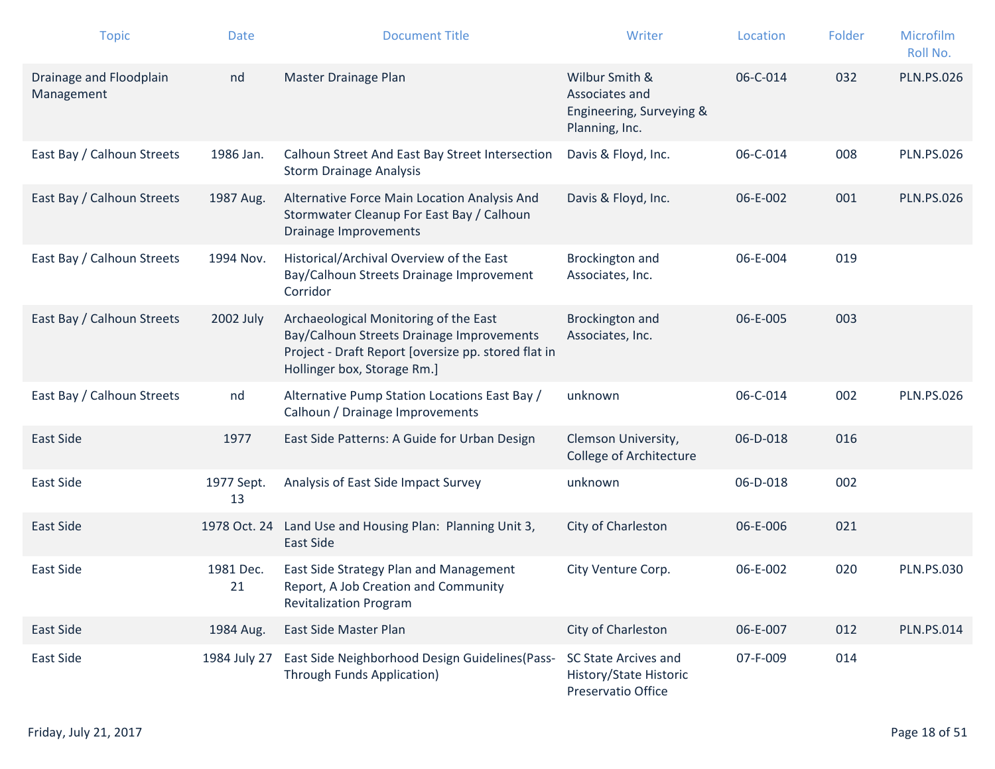| <b>Topic</b>                          | <b>Date</b>      | <b>Document Title</b>                                                                                                                                                    | Writer                                                                         | Location | Folder | Microfilm<br>Roll No. |
|---------------------------------------|------------------|--------------------------------------------------------------------------------------------------------------------------------------------------------------------------|--------------------------------------------------------------------------------|----------|--------|-----------------------|
| Drainage and Floodplain<br>Management | nd               | Master Drainage Plan                                                                                                                                                     | Wilbur Smith &<br>Associates and<br>Engineering, Surveying &<br>Planning, Inc. | 06-C-014 | 032    | <b>PLN.PS.026</b>     |
| East Bay / Calhoun Streets            | 1986 Jan.        | Calhoun Street And East Bay Street Intersection<br><b>Storm Drainage Analysis</b>                                                                                        | Davis & Floyd, Inc.                                                            | 06-C-014 | 008    | <b>PLN.PS.026</b>     |
| East Bay / Calhoun Streets            | 1987 Aug.        | Alternative Force Main Location Analysis And<br>Stormwater Cleanup For East Bay / Calhoun<br>Drainage Improvements                                                       | Davis & Floyd, Inc.                                                            | 06-E-002 | 001    | <b>PLN.PS.026</b>     |
| East Bay / Calhoun Streets            | 1994 Nov.        | Historical/Archival Overview of the East<br>Bay/Calhoun Streets Drainage Improvement<br>Corridor                                                                         | Brockington and<br>Associates, Inc.                                            | 06-E-004 | 019    |                       |
| East Bay / Calhoun Streets            | 2002 July        | Archaeological Monitoring of the East<br>Bay/Calhoun Streets Drainage Improvements<br>Project - Draft Report [oversize pp. stored flat in<br>Hollinger box, Storage Rm.] | Brockington and<br>Associates, Inc.                                            | 06-E-005 | 003    |                       |
| East Bay / Calhoun Streets            | nd               | Alternative Pump Station Locations East Bay /<br>Calhoun / Drainage Improvements                                                                                         | unknown                                                                        | 06-C-014 | 002    | <b>PLN.PS.026</b>     |
| <b>East Side</b>                      | 1977             | East Side Patterns: A Guide for Urban Design                                                                                                                             | Clemson University,<br><b>College of Architecture</b>                          | 06-D-018 | 016    |                       |
| East Side                             | 1977 Sept.<br>13 | Analysis of East Side Impact Survey                                                                                                                                      | unknown                                                                        | 06-D-018 | 002    |                       |
| East Side                             | 1978 Oct. 24     | Land Use and Housing Plan: Planning Unit 3,<br><b>East Side</b>                                                                                                          | City of Charleston                                                             | 06-E-006 | 021    |                       |
| East Side                             | 1981 Dec.<br>21  | East Side Strategy Plan and Management<br>Report, A Job Creation and Community<br><b>Revitalization Program</b>                                                          | City Venture Corp.                                                             | 06-E-002 | 020    | <b>PLN.PS.030</b>     |
| East Side                             | 1984 Aug.        | East Side Master Plan                                                                                                                                                    | City of Charleston                                                             | 06-E-007 | 012    | <b>PLN.PS.014</b>     |
| East Side                             | 1984 July 27     | East Side Neighborhood Design Guidelines (Pass-<br>Through Funds Application)                                                                                            | SC State Arcives and<br>History/State Historic<br>Preservatio Office           | 07-F-009 | 014    |                       |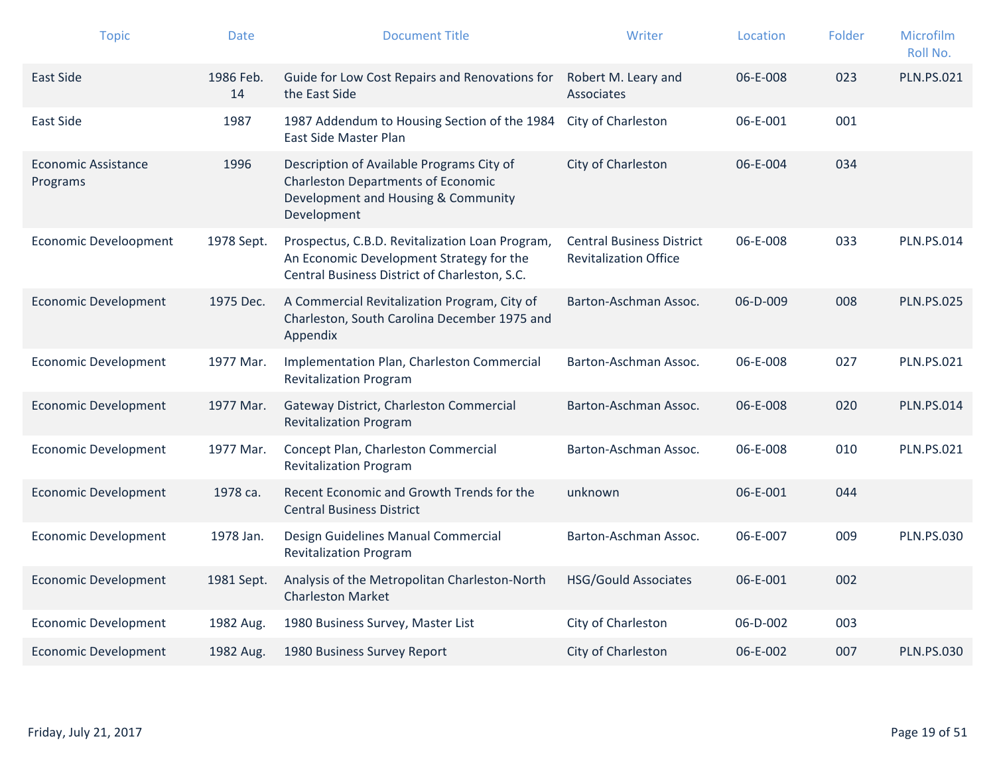| <b>Topic</b>                    | <b>Date</b>     | <b>Document Title</b>                                                                                                                        | Writer                                                           | Location       | Folder | Microfilm<br>Roll No. |
|---------------------------------|-----------------|----------------------------------------------------------------------------------------------------------------------------------------------|------------------------------------------------------------------|----------------|--------|-----------------------|
| <b>East Side</b>                | 1986 Feb.<br>14 | Guide for Low Cost Repairs and Renovations for<br>the East Side                                                                              | Robert M. Leary and<br>Associates                                | 06-E-008       | 023    | <b>PLN.PS.021</b>     |
| East Side                       | 1987            | 1987 Addendum to Housing Section of the 1984<br>East Side Master Plan                                                                        | City of Charleston                                               | 06-E-001       | 001    |                       |
| Economic Assistance<br>Programs | 1996            | Description of Available Programs City of<br><b>Charleston Departments of Economic</b><br>Development and Housing & Community<br>Development | City of Charleston                                               | 06-E-004       | 034    |                       |
| <b>Economic Develoopment</b>    | 1978 Sept.      | Prospectus, C.B.D. Revitalization Loan Program,<br>An Economic Development Strategy for the<br>Central Business District of Charleston, S.C. | <b>Central Business District</b><br><b>Revitalization Office</b> | 06-E-008       | 033    | <b>PLN.PS.014</b>     |
| <b>Economic Development</b>     | 1975 Dec.       | A Commercial Revitalization Program, City of<br>Charleston, South Carolina December 1975 and<br>Appendix                                     | Barton-Aschman Assoc.                                            | 06-D-009       | 008    | <b>PLN.PS.025</b>     |
| <b>Economic Development</b>     | 1977 Mar.       | Implementation Plan, Charleston Commercial<br><b>Revitalization Program</b>                                                                  | Barton-Aschman Assoc.                                            | 06-E-008       | 027    | <b>PLN.PS.021</b>     |
| <b>Economic Development</b>     | 1977 Mar.       | Gateway District, Charleston Commercial<br><b>Revitalization Program</b>                                                                     | Barton-Aschman Assoc.                                            | 06-E-008       | 020    | <b>PLN.PS.014</b>     |
| <b>Economic Development</b>     | 1977 Mar.       | Concept Plan, Charleston Commercial<br><b>Revitalization Program</b>                                                                         | Barton-Aschman Assoc.                                            | 06-E-008       | 010    | <b>PLN.PS.021</b>     |
| <b>Economic Development</b>     | 1978 ca.        | Recent Economic and Growth Trends for the<br><b>Central Business District</b>                                                                | unknown                                                          | 06-E-001       | 044    |                       |
| <b>Economic Development</b>     | 1978 Jan.       | Design Guidelines Manual Commercial<br><b>Revitalization Program</b>                                                                         | Barton-Aschman Assoc.                                            | 06-E-007       | 009    | <b>PLN.PS.030</b>     |
| <b>Economic Development</b>     | 1981 Sept.      | Analysis of the Metropolitan Charleston-North<br><b>Charleston Market</b>                                                                    | <b>HSG/Gould Associates</b>                                      | 06-E-001       | 002    |                       |
| <b>Economic Development</b>     | 1982 Aug.       | 1980 Business Survey, Master List                                                                                                            | City of Charleston                                               | 06-D-002       | 003    |                       |
| <b>Economic Development</b>     | 1982 Aug.       | 1980 Business Survey Report                                                                                                                  | City of Charleston                                               | $06 - E - 002$ | 007    | <b>PLN.PS.030</b>     |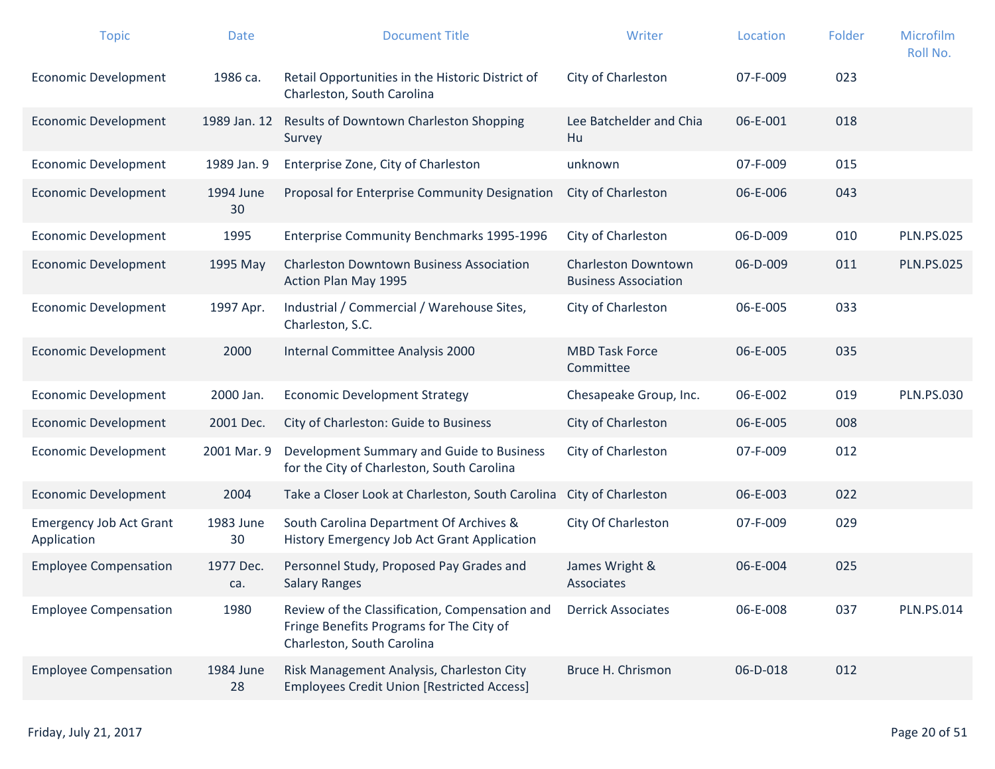| <b>Topic</b>                                  | <b>Date</b>      | <b>Document Title</b>                                                                                                    | Writer                                                    | Location | Folder | Microfilm<br>Roll No. |
|-----------------------------------------------|------------------|--------------------------------------------------------------------------------------------------------------------------|-----------------------------------------------------------|----------|--------|-----------------------|
| <b>Economic Development</b>                   | 1986 ca.         | Retail Opportunities in the Historic District of<br>Charleston, South Carolina                                           | City of Charleston                                        | 07-F-009 | 023    |                       |
| <b>Economic Development</b>                   | 1989 Jan. 12     | Results of Downtown Charleston Shopping<br>Survey                                                                        | Lee Batchelder and Chia<br>Hu                             | 06-E-001 | 018    |                       |
| <b>Economic Development</b>                   | 1989 Jan. 9      | Enterprise Zone, City of Charleston                                                                                      | unknown                                                   | 07-F-009 | 015    |                       |
| <b>Economic Development</b>                   | 1994 June<br>30  | Proposal for Enterprise Community Designation                                                                            | City of Charleston                                        | 06-E-006 | 043    |                       |
| <b>Economic Development</b>                   | 1995             | Enterprise Community Benchmarks 1995-1996                                                                                | City of Charleston                                        | 06-D-009 | 010    | <b>PLN.PS.025</b>     |
| <b>Economic Development</b>                   | 1995 May         | <b>Charleston Downtown Business Association</b><br>Action Plan May 1995                                                  | <b>Charleston Downtown</b><br><b>Business Association</b> | 06-D-009 | 011    | <b>PLN.PS.025</b>     |
| <b>Economic Development</b>                   | 1997 Apr.        | Industrial / Commercial / Warehouse Sites,<br>Charleston, S.C.                                                           | City of Charleston                                        | 06-E-005 | 033    |                       |
| <b>Economic Development</b>                   | 2000             | Internal Committee Analysis 2000                                                                                         | <b>MBD Task Force</b><br>Committee                        | 06-E-005 | 035    |                       |
| <b>Economic Development</b>                   | 2000 Jan.        | <b>Economic Development Strategy</b>                                                                                     | Chesapeake Group, Inc.                                    | 06-E-002 | 019    | <b>PLN.PS.030</b>     |
| <b>Economic Development</b>                   | 2001 Dec.        | City of Charleston: Guide to Business                                                                                    | City of Charleston                                        | 06-E-005 | 008    |                       |
| <b>Economic Development</b>                   | 2001 Mar. 9      | Development Summary and Guide to Business<br>for the City of Charleston, South Carolina                                  | City of Charleston                                        | 07-F-009 | 012    |                       |
| <b>Economic Development</b>                   | 2004             | Take a Closer Look at Charleston, South Carolina                                                                         | City of Charleston                                        | 06-E-003 | 022    |                       |
| <b>Emergency Job Act Grant</b><br>Application | 1983 June<br>30  | South Carolina Department Of Archives &<br>History Emergency Job Act Grant Application                                   | City Of Charleston                                        | 07-F-009 | 029    |                       |
| <b>Employee Compensation</b>                  | 1977 Dec.<br>ca. | Personnel Study, Proposed Pay Grades and<br><b>Salary Ranges</b>                                                         | James Wright &<br>Associates                              | 06-E-004 | 025    |                       |
| <b>Employee Compensation</b>                  | 1980             | Review of the Classification, Compensation and<br>Fringe Benefits Programs for The City of<br>Charleston, South Carolina | <b>Derrick Associates</b>                                 | 06-E-008 | 037    | <b>PLN.PS.014</b>     |
| <b>Employee Compensation</b>                  | 1984 June<br>28  | Risk Management Analysis, Charleston City<br><b>Employees Credit Union [Restricted Access]</b>                           | Bruce H. Chrismon                                         | 06-D-018 | 012    |                       |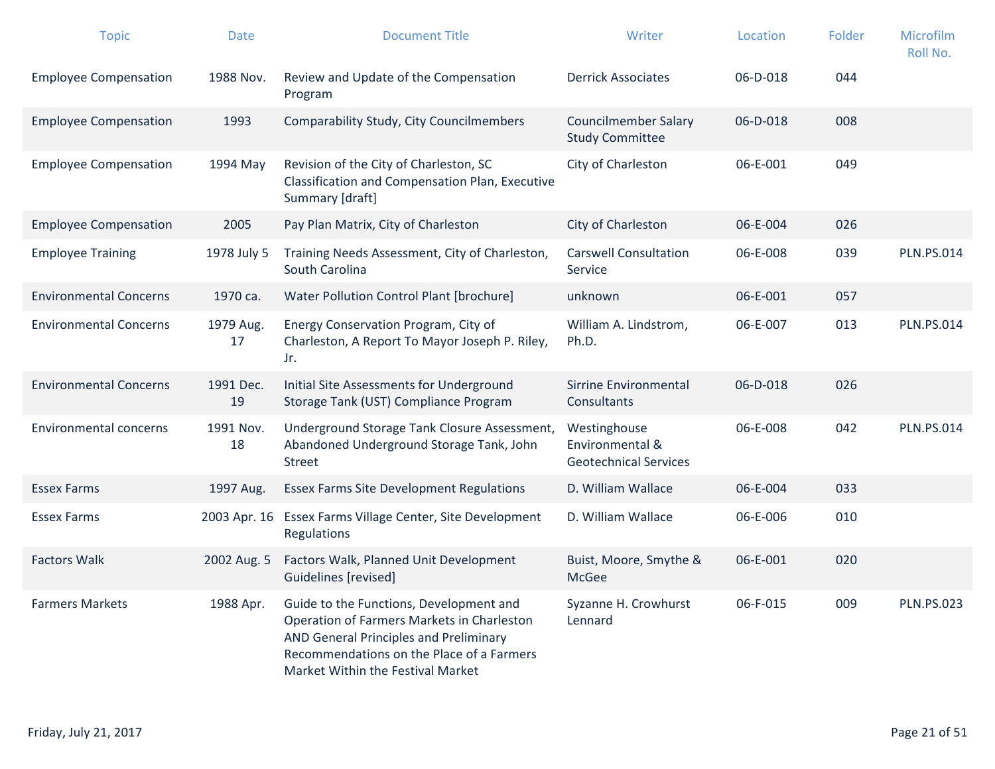| <b>Topic</b>                  | <b>Date</b>     | <b>Document Title</b>                                                                                                                                                                                             | Writer                                                          | Location | Folder | <b>Microfilm</b><br>Roll No. |
|-------------------------------|-----------------|-------------------------------------------------------------------------------------------------------------------------------------------------------------------------------------------------------------------|-----------------------------------------------------------------|----------|--------|------------------------------|
| <b>Employee Compensation</b>  | 1988 Nov.       | Review and Update of the Compensation<br>Program                                                                                                                                                                  | <b>Derrick Associates</b>                                       | 06-D-018 | 044    |                              |
| <b>Employee Compensation</b>  | 1993            | Comparability Study, City Councilmembers                                                                                                                                                                          | <b>Councilmember Salary</b><br><b>Study Committee</b>           | 06-D-018 | 008    |                              |
| <b>Employee Compensation</b>  | 1994 May        | Revision of the City of Charleston, SC<br>Classification and Compensation Plan, Executive<br>Summary [draft]                                                                                                      | City of Charleston                                              | 06-E-001 | 049    |                              |
| <b>Employee Compensation</b>  | 2005            | Pay Plan Matrix, City of Charleston                                                                                                                                                                               | City of Charleston                                              | 06-E-004 | 026    |                              |
| <b>Employee Training</b>      | 1978 July 5     | Training Needs Assessment, City of Charleston,<br>South Carolina                                                                                                                                                  | <b>Carswell Consultation</b><br>Service                         | 06-E-008 | 039    | <b>PLN.PS.014</b>            |
| <b>Environmental Concerns</b> | 1970 ca.        | Water Pollution Control Plant [brochure]                                                                                                                                                                          | unknown                                                         | 06-E-001 | 057    |                              |
| <b>Environmental Concerns</b> | 1979 Aug.<br>17 | Energy Conservation Program, City of<br>Charleston, A Report To Mayor Joseph P. Riley,<br>Jr.                                                                                                                     | William A. Lindstrom,<br>Ph.D.                                  | 06-E-007 | 013    | <b>PLN.PS.014</b>            |
| <b>Environmental Concerns</b> | 1991 Dec.<br>19 | Initial Site Assessments for Underground<br>Storage Tank (UST) Compliance Program                                                                                                                                 | Sirrine Environmental<br>Consultants                            | 06-D-018 | 026    |                              |
| <b>Environmental concerns</b> | 1991 Nov.<br>18 | Underground Storage Tank Closure Assessment,<br>Abandoned Underground Storage Tank, John<br><b>Street</b>                                                                                                         | Westinghouse<br>Environmental &<br><b>Geotechnical Services</b> | 06-E-008 | 042    | <b>PLN.PS.014</b>            |
| <b>Essex Farms</b>            | 1997 Aug.       | <b>Essex Farms Site Development Regulations</b>                                                                                                                                                                   | D. William Wallace                                              | 06-E-004 | 033    |                              |
| <b>Essex Farms</b>            | 2003 Apr. 16    | Essex Farms Village Center, Site Development<br>Regulations                                                                                                                                                       | D. William Wallace                                              | 06-E-006 | 010    |                              |
| <b>Factors Walk</b>           | 2002 Aug. 5     | Factors Walk, Planned Unit Development<br>Guidelines [revised]                                                                                                                                                    | Buist, Moore, Smythe &<br>McGee                                 | 06-E-001 | 020    |                              |
| <b>Farmers Markets</b>        | 1988 Apr.       | Guide to the Functions, Development and<br>Operation of Farmers Markets in Charleston<br>AND General Principles and Preliminary<br>Recommendations on the Place of a Farmers<br>Market Within the Festival Market | Syzanne H. Crowhurst<br>Lennard                                 | 06-F-015 | 009    | <b>PLN.PS.023</b>            |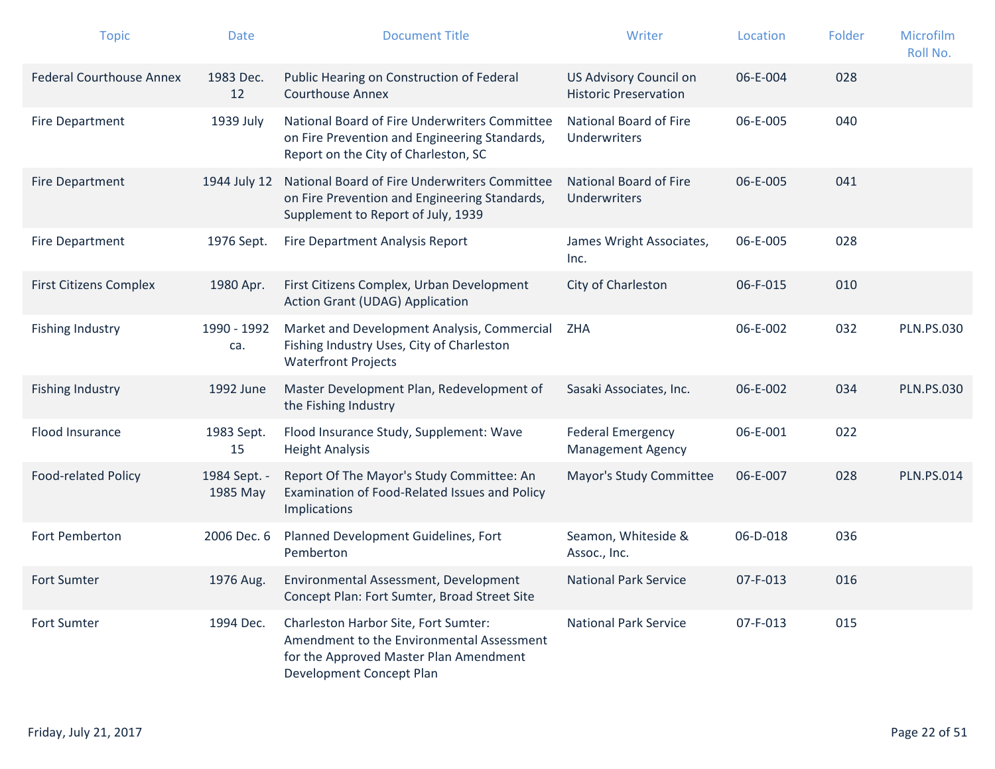| <b>Topic</b>                    | <b>Date</b>              | <b>Document Title</b>                                                                                                                                   | Writer                                                 | Location | Folder | Microfilm<br>Roll No. |
|---------------------------------|--------------------------|---------------------------------------------------------------------------------------------------------------------------------------------------------|--------------------------------------------------------|----------|--------|-----------------------|
| <b>Federal Courthouse Annex</b> | 1983 Dec.<br>12          | Public Hearing on Construction of Federal<br><b>Courthouse Annex</b>                                                                                    | US Advisory Council on<br><b>Historic Preservation</b> | 06-E-004 | 028    |                       |
| <b>Fire Department</b>          | 1939 July                | National Board of Fire Underwriters Committee<br>on Fire Prevention and Engineering Standards,<br>Report on the City of Charleston, SC                  | National Board of Fire<br><b>Underwriters</b>          | 06-E-005 | 040    |                       |
| <b>Fire Department</b>          | 1944 July 12             | National Board of Fire Underwriters Committee<br>on Fire Prevention and Engineering Standards,<br>Supplement to Report of July, 1939                    | National Board of Fire<br><b>Underwriters</b>          | 06-E-005 | 041    |                       |
| Fire Department                 | 1976 Sept.               | Fire Department Analysis Report                                                                                                                         | James Wright Associates,<br>Inc.                       | 06-E-005 | 028    |                       |
| <b>First Citizens Complex</b>   | 1980 Apr.                | First Citizens Complex, Urban Development<br><b>Action Grant (UDAG) Application</b>                                                                     | City of Charleston                                     | 06-F-015 | 010    |                       |
| <b>Fishing Industry</b>         | 1990 - 1992<br>ca.       | Market and Development Analysis, Commercial<br>Fishing Industry Uses, City of Charleston<br><b>Waterfront Projects</b>                                  | <b>ZHA</b>                                             | 06-E-002 | 032    | <b>PLN.PS.030</b>     |
| <b>Fishing Industry</b>         | 1992 June                | Master Development Plan, Redevelopment of<br>the Fishing Industry                                                                                       | Sasaki Associates, Inc.                                | 06-E-002 | 034    | <b>PLN.PS.030</b>     |
| Flood Insurance                 | 1983 Sept.<br>15         | Flood Insurance Study, Supplement: Wave<br><b>Height Analysis</b>                                                                                       | <b>Federal Emergency</b><br><b>Management Agency</b>   | 06-E-001 | 022    |                       |
| <b>Food-related Policy</b>      | 1984 Sept. -<br>1985 May | Report Of The Mayor's Study Committee: An<br>Examination of Food-Related Issues and Policy<br>Implications                                              | Mayor's Study Committee                                | 06-E-007 | 028    | <b>PLN.PS.014</b>     |
| Fort Pemberton                  | 2006 Dec. 6              | Planned Development Guidelines, Fort<br>Pemberton                                                                                                       | Seamon, Whiteside &<br>Assoc., Inc.                    | 06-D-018 | 036    |                       |
| <b>Fort Sumter</b>              | 1976 Aug.                | Environmental Assessment, Development<br>Concept Plan: Fort Sumter, Broad Street Site                                                                   | <b>National Park Service</b>                           | 07-F-013 | 016    |                       |
| <b>Fort Sumter</b>              | 1994 Dec.                | Charleston Harbor Site, Fort Sumter:<br>Amendment to the Environmental Assessment<br>for the Approved Master Plan Amendment<br>Development Concept Plan | <b>National Park Service</b>                           | 07-F-013 | 015    |                       |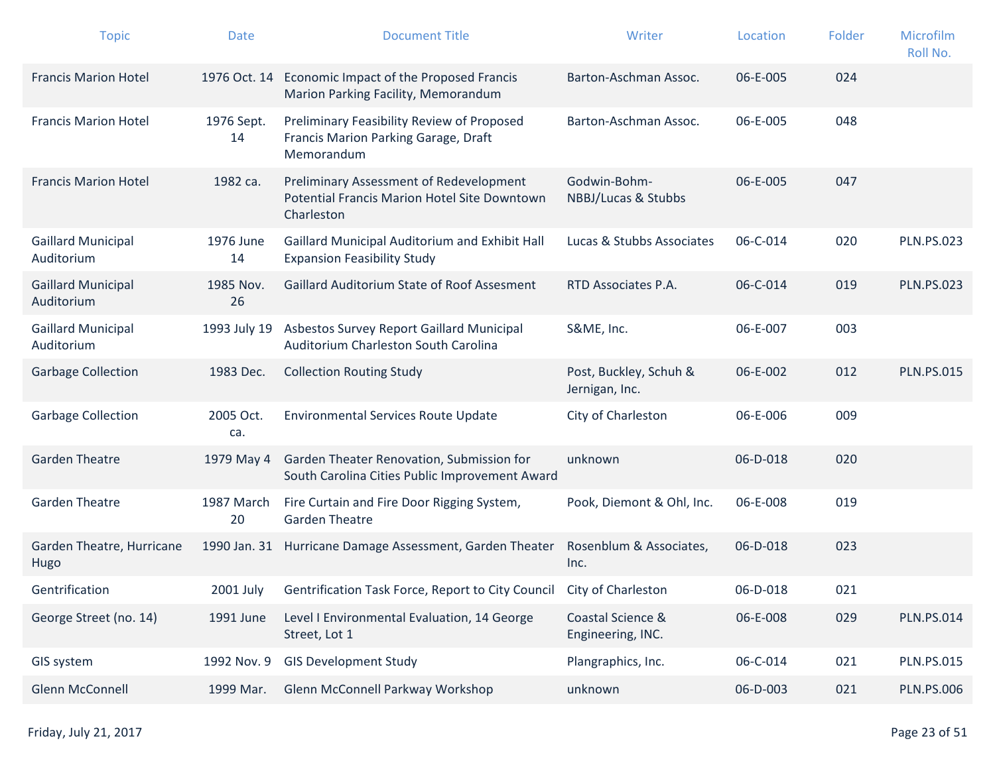| <b>Topic</b>                            | <b>Date</b>      | <b>Document Title</b>                                                                                        | Writer                                   | Location | Folder | Microfilm<br>Roll No. |
|-----------------------------------------|------------------|--------------------------------------------------------------------------------------------------------------|------------------------------------------|----------|--------|-----------------------|
| <b>Francis Marion Hotel</b>             | 1976 Oct. 14     | Economic Impact of the Proposed Francis<br>Marion Parking Facility, Memorandum                               | Barton-Aschman Assoc.                    | 06-E-005 | 024    |                       |
| <b>Francis Marion Hotel</b>             | 1976 Sept.<br>14 | Preliminary Feasibility Review of Proposed<br>Francis Marion Parking Garage, Draft<br>Memorandum             | Barton-Aschman Assoc.                    | 06-E-005 | 048    |                       |
| <b>Francis Marion Hotel</b>             | 1982 са.         | Preliminary Assessment of Redevelopment<br><b>Potential Francis Marion Hotel Site Downtown</b><br>Charleston | Godwin-Bohm-<br>NBBJ/Lucas & Stubbs      | 06-E-005 | 047    |                       |
| <b>Gaillard Municipal</b><br>Auditorium | 1976 June<br>14  | Gaillard Municipal Auditorium and Exhibit Hall<br><b>Expansion Feasibility Study</b>                         | Lucas & Stubbs Associates                | 06-C-014 | 020    | <b>PLN.PS.023</b>     |
| <b>Gaillard Municipal</b><br>Auditorium | 1985 Nov.<br>26  | Gaillard Auditorium State of Roof Assesment                                                                  | RTD Associates P.A.                      | 06-C-014 | 019    | <b>PLN.PS.023</b>     |
| <b>Gaillard Municipal</b><br>Auditorium | 1993 July 19     | Asbestos Survey Report Gaillard Municipal<br>Auditorium Charleston South Carolina                            | S&ME, Inc.                               | 06-E-007 | 003    |                       |
| <b>Garbage Collection</b>               | 1983 Dec.        | <b>Collection Routing Study</b>                                                                              | Post, Buckley, Schuh &<br>Jernigan, Inc. | 06-E-002 | 012    | <b>PLN.PS.015</b>     |
| <b>Garbage Collection</b>               | 2005 Oct.<br>ca. | <b>Environmental Services Route Update</b>                                                                   | City of Charleston                       | 06-E-006 | 009    |                       |
| <b>Garden Theatre</b>                   | 1979 May 4       | Garden Theater Renovation, Submission for<br>South Carolina Cities Public Improvement Award                  | unknown                                  | 06-D-018 | 020    |                       |
| <b>Garden Theatre</b>                   | 1987 March<br>20 | Fire Curtain and Fire Door Rigging System,<br><b>Garden Theatre</b>                                          | Pook, Diemont & Ohl, Inc.                | 06-E-008 | 019    |                       |
| Garden Theatre, Hurricane<br>Hugo       | 1990 Jan. 31     | Hurricane Damage Assessment, Garden Theater                                                                  | Rosenblum & Associates,<br>Inc.          | 06-D-018 | 023    |                       |
| Gentrification                          |                  | 2001 July Gentrification Task Force, Report to City Council City of Charleston                               |                                          | 06-D-018 | 021    |                       |
| George Street (no. 14)                  | 1991 June        | Level I Environmental Evaluation, 14 George<br>Street, Lot 1                                                 | Coastal Science &<br>Engineering, INC.   | 06-E-008 | 029    | <b>PLN.PS.014</b>     |
| GIS system                              | 1992 Nov. 9      | <b>GIS Development Study</b>                                                                                 | Plangraphics, Inc.                       | 06-C-014 | 021    | <b>PLN.PS.015</b>     |
| Glenn McConnell                         | 1999 Mar.        | Glenn McConnell Parkway Workshop                                                                             | unknown                                  | 06-D-003 | 021    | <b>PLN.PS.006</b>     |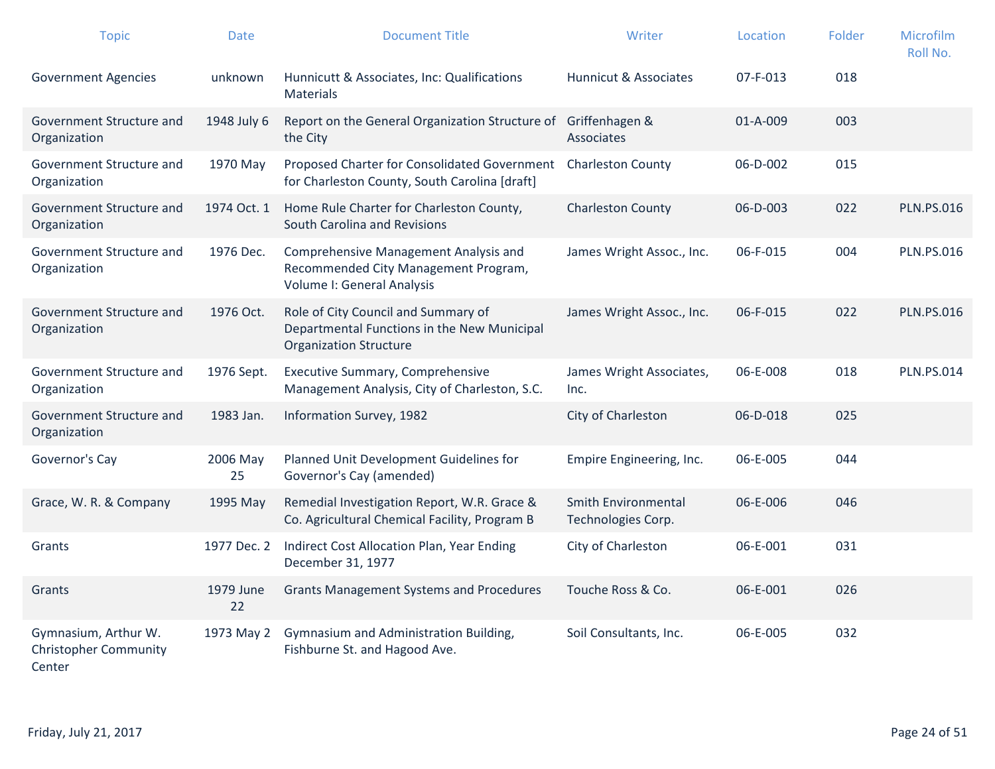| <b>Topic</b>                                                   | <b>Date</b>     | <b>Document Title</b>                                                                                               | Writer                                           | Location       | Folder | Microfilm<br>Roll No. |
|----------------------------------------------------------------|-----------------|---------------------------------------------------------------------------------------------------------------------|--------------------------------------------------|----------------|--------|-----------------------|
| <b>Government Agencies</b>                                     | unknown         | Hunnicutt & Associates, Inc: Qualifications<br>Materials                                                            | Hunnicut & Associates                            | $07 - F - 013$ | 018    |                       |
| Government Structure and<br>Organization                       | 1948 July 6     | Report on the General Organization Structure of<br>the City                                                         | Griffenhagen &<br>Associates                     | $01 - A - 009$ | 003    |                       |
| Government Structure and<br>Organization                       | 1970 May        | Proposed Charter for Consolidated Government<br>for Charleston County, South Carolina [draft]                       | <b>Charleston County</b>                         | 06-D-002       | 015    |                       |
| Government Structure and<br>Organization                       | 1974 Oct. 1     | Home Rule Charter for Charleston County,<br>South Carolina and Revisions                                            | <b>Charleston County</b>                         | 06-D-003       | 022    | <b>PLN.PS.016</b>     |
| Government Structure and<br>Organization                       | 1976 Dec.       | Comprehensive Management Analysis and<br>Recommended City Management Program,<br>Volume I: General Analysis         | James Wright Assoc., Inc.                        | 06-F-015       | 004    | <b>PLN.PS.016</b>     |
| Government Structure and<br>Organization                       | 1976 Oct.       | Role of City Council and Summary of<br>Departmental Functions in the New Municipal<br><b>Organization Structure</b> | James Wright Assoc., Inc.                        | 06-F-015       | 022    | <b>PLN.PS.016</b>     |
| Government Structure and<br>Organization                       | 1976 Sept.      | <b>Executive Summary, Comprehensive</b><br>Management Analysis, City of Charleston, S.C.                            | James Wright Associates,<br>Inc.                 | 06-E-008       | 018    | <b>PLN.PS.014</b>     |
| Government Structure and<br>Organization                       | 1983 Jan.       | Information Survey, 1982                                                                                            | City of Charleston                               | 06-D-018       | 025    |                       |
| Governor's Cay                                                 | 2006 May<br>25  | Planned Unit Development Guidelines for<br>Governor's Cay (amended)                                                 | Empire Engineering, Inc.                         | 06-E-005       | 044    |                       |
| Grace, W. R. & Company                                         | 1995 May        | Remedial Investigation Report, W.R. Grace &<br>Co. Agricultural Chemical Facility, Program B                        | <b>Smith Environmental</b><br>Technologies Corp. | 06-E-006       | 046    |                       |
| Grants                                                         | 1977 Dec. 2     | Indirect Cost Allocation Plan, Year Ending<br>December 31, 1977                                                     | City of Charleston                               | 06-E-001       | 031    |                       |
| Grants                                                         | 1979 June<br>22 | <b>Grants Management Systems and Procedures</b>                                                                     | Touche Ross & Co.                                | 06-E-001       | 026    |                       |
| Gymnasium, Arthur W.<br><b>Christopher Community</b><br>Center | 1973 May 2      | Gymnasium and Administration Building,<br>Fishburne St. and Hagood Ave.                                             | Soil Consultants, Inc.                           | 06-E-005       | 032    |                       |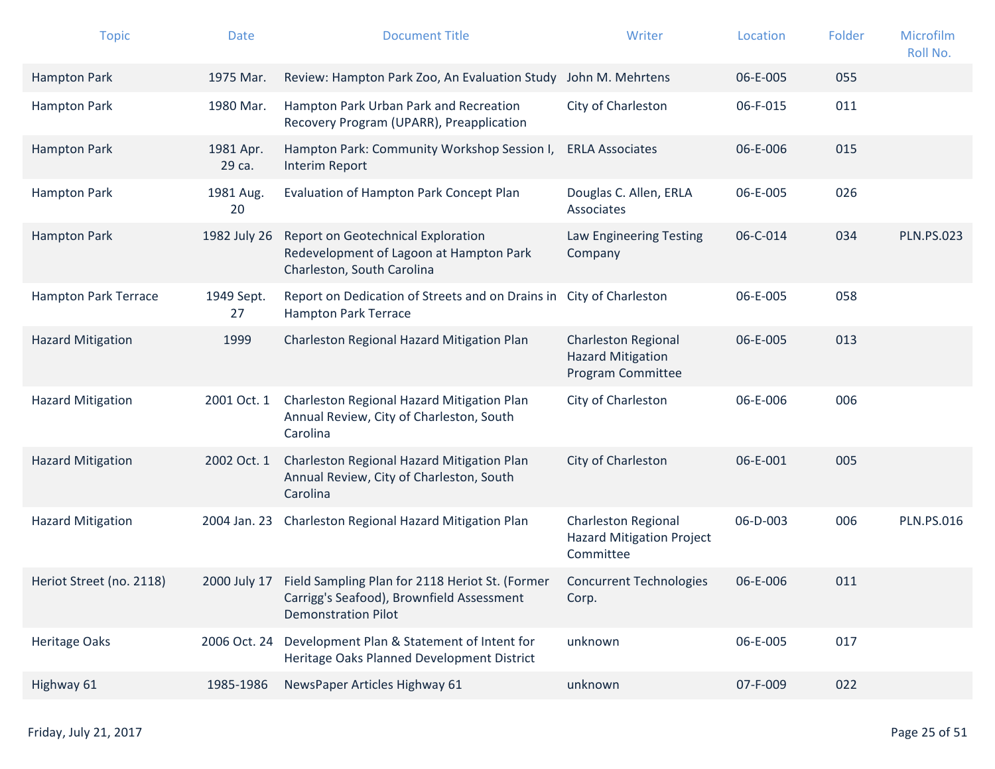| <b>Topic</b>                | <b>Date</b>         | <b>Document Title</b>                                                                                                                   | Writer                                                                      | Location | Folder | Microfilm<br>Roll No. |
|-----------------------------|---------------------|-----------------------------------------------------------------------------------------------------------------------------------------|-----------------------------------------------------------------------------|----------|--------|-----------------------|
| <b>Hampton Park</b>         | 1975 Mar.           | Review: Hampton Park Zoo, An Evaluation Study John M. Mehrtens                                                                          |                                                                             | 06-E-005 | 055    |                       |
| <b>Hampton Park</b>         | 1980 Mar.           | Hampton Park Urban Park and Recreation<br>Recovery Program (UPARR), Preapplication                                                      | City of Charleston                                                          | 06-F-015 | 011    |                       |
| <b>Hampton Park</b>         | 1981 Apr.<br>29 са. | Hampton Park: Community Workshop Session I,<br>Interim Report                                                                           | <b>ERLA Associates</b>                                                      | 06-E-006 | 015    |                       |
| <b>Hampton Park</b>         | 1981 Aug.<br>20     | Evaluation of Hampton Park Concept Plan                                                                                                 | Douglas C. Allen, ERLA<br>Associates                                        | 06-E-005 | 026    |                       |
| <b>Hampton Park</b>         | 1982 July 26        | Report on Geotechnical Exploration<br>Redevelopment of Lagoon at Hampton Park<br>Charleston, South Carolina                             | Law Engineering Testing<br>Company                                          | 06-C-014 | 034    | <b>PLN.PS.023</b>     |
| <b>Hampton Park Terrace</b> | 1949 Sept.<br>27    | Report on Dedication of Streets and on Drains in<br><b>Hampton Park Terrace</b>                                                         | City of Charleston                                                          | 06-E-005 | 058    |                       |
| <b>Hazard Mitigation</b>    | 1999                | Charleston Regional Hazard Mitigation Plan                                                                                              | <b>Charleston Regional</b><br><b>Hazard Mitigation</b><br>Program Committee | 06-E-005 | 013    |                       |
| <b>Hazard Mitigation</b>    | 2001 Oct. 1         | Charleston Regional Hazard Mitigation Plan<br>Annual Review, City of Charleston, South<br>Carolina                                      | City of Charleston                                                          | 06-E-006 | 006    |                       |
| <b>Hazard Mitigation</b>    | 2002 Oct. 1         | Charleston Regional Hazard Mitigation Plan<br>Annual Review, City of Charleston, South<br>Carolina                                      | City of Charleston                                                          | 06-E-001 | 005    |                       |
| <b>Hazard Mitigation</b>    | 2004 Jan. 23        | Charleston Regional Hazard Mitigation Plan                                                                                              | <b>Charleston Regional</b><br><b>Hazard Mitigation Project</b><br>Committee | 06-D-003 | 006    | <b>PLN.PS.016</b>     |
| Heriot Street (no. 2118)    |                     | 2000 July 17 Field Sampling Plan for 2118 Heriot St. (Former<br>Carrigg's Seafood), Brownfield Assessment<br><b>Demonstration Pilot</b> | <b>Concurrent Technologies</b><br>Corp.                                     | 06-E-006 | 011    |                       |
| <b>Heritage Oaks</b>        | 2006 Oct. 24        | Development Plan & Statement of Intent for<br>Heritage Oaks Planned Development District                                                | unknown                                                                     | 06-E-005 | 017    |                       |
| Highway 61                  | 1985-1986           | NewsPaper Articles Highway 61                                                                                                           | unknown                                                                     | 07-F-009 | 022    |                       |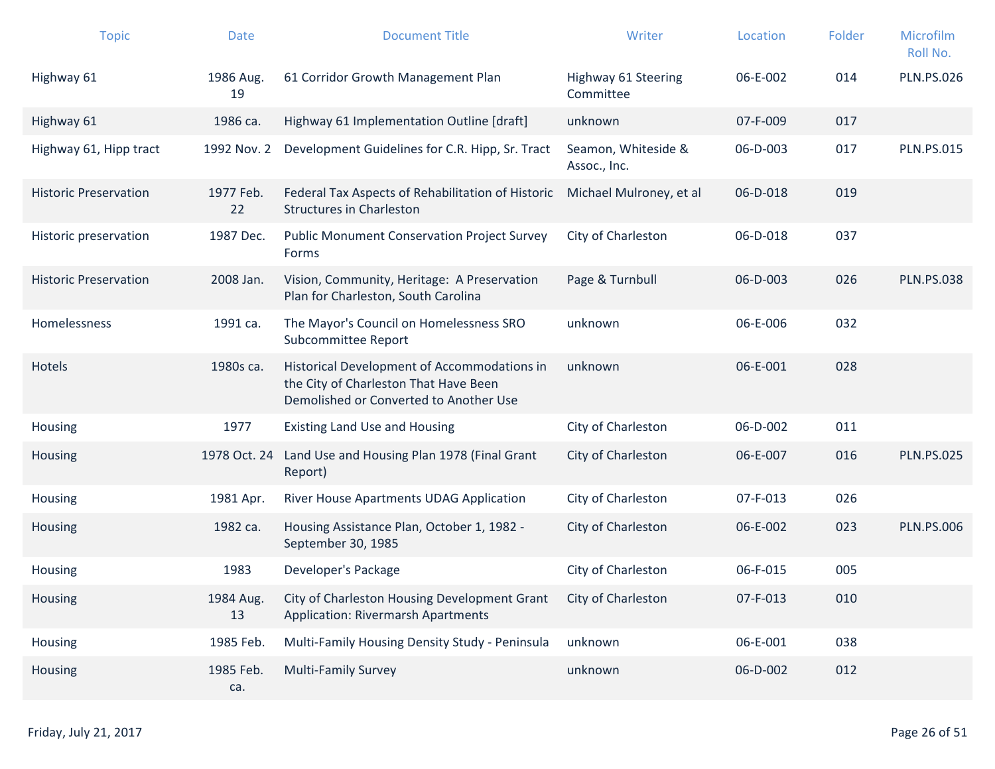| <b>Topic</b>                 | <b>Date</b>      | <b>Document Title</b>                                                                                                          | Writer                              | Location | Folder | Microfilm<br>Roll No. |
|------------------------------|------------------|--------------------------------------------------------------------------------------------------------------------------------|-------------------------------------|----------|--------|-----------------------|
| Highway 61                   | 1986 Aug.<br>19  | 61 Corridor Growth Management Plan                                                                                             | Highway 61 Steering<br>Committee    | 06-E-002 | 014    | <b>PLN.PS.026</b>     |
| Highway 61                   | 1986 ca.         | Highway 61 Implementation Outline [draft]                                                                                      | unknown                             | 07-F-009 | 017    |                       |
| Highway 61, Hipp tract       | 1992 Nov. 2      | Development Guidelines for C.R. Hipp, Sr. Tract                                                                                | Seamon, Whiteside &<br>Assoc., Inc. | 06-D-003 | 017    | <b>PLN.PS.015</b>     |
| <b>Historic Preservation</b> | 1977 Feb.<br>22  | Federal Tax Aspects of Rehabilitation of Historic<br><b>Structures in Charleston</b>                                           | Michael Mulroney, et al             | 06-D-018 | 019    |                       |
| Historic preservation        | 1987 Dec.        | <b>Public Monument Conservation Project Survey</b><br>Forms                                                                    | City of Charleston                  | 06-D-018 | 037    |                       |
| <b>Historic Preservation</b> | 2008 Jan.        | Vision, Community, Heritage: A Preservation<br>Plan for Charleston, South Carolina                                             | Page & Turnbull                     | 06-D-003 | 026    | <b>PLN.PS.038</b>     |
| <b>Homelessness</b>          | 1991 са.         | The Mayor's Council on Homelessness SRO<br>Subcommittee Report                                                                 | unknown                             | 06-E-006 | 032    |                       |
| Hotels                       | 1980s ca.        | Historical Development of Accommodations in<br>the City of Charleston That Have Been<br>Demolished or Converted to Another Use | unknown                             | 06-E-001 | 028    |                       |
| Housing                      | 1977             | <b>Existing Land Use and Housing</b>                                                                                           | City of Charleston                  | 06-D-002 | 011    |                       |
| Housing                      | 1978 Oct. 24     | Land Use and Housing Plan 1978 (Final Grant<br>Report)                                                                         | City of Charleston                  | 06-E-007 | 016    | <b>PLN.PS.025</b>     |
| Housing                      | 1981 Apr.        | River House Apartments UDAG Application                                                                                        | City of Charleston                  | 07-F-013 | 026    |                       |
| Housing                      | 1982 ca.         | Housing Assistance Plan, October 1, 1982 -<br>September 30, 1985                                                               | City of Charleston                  | 06-E-002 | 023    | <b>PLN.PS.006</b>     |
| Housing                      | 1983             | Developer's Package                                                                                                            | City of Charleston                  | 06-F-015 | 005    |                       |
| Housing                      | 1984 Aug.<br>13  | City of Charleston Housing Development Grant<br><b>Application: Rivermarsh Apartments</b>                                      | City of Charleston                  | 07-F-013 | 010    |                       |
| Housing                      | 1985 Feb.        | Multi-Family Housing Density Study - Peninsula                                                                                 | unknown                             | 06-E-001 | 038    |                       |
| Housing                      | 1985 Feb.<br>ca. | <b>Multi-Family Survey</b>                                                                                                     | unknown                             | 06-D-002 | 012    |                       |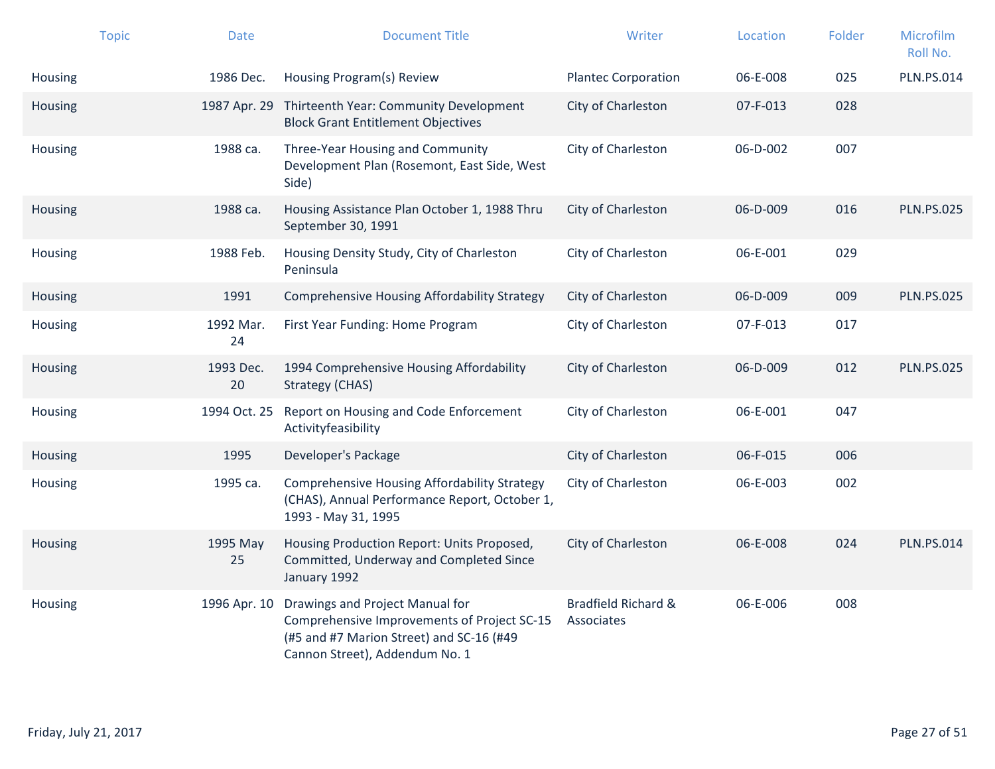|         | <b>Topic</b> | <b>Date</b>     | <b>Document Title</b>                                                                                                                                        | Writer                            | Location | Folder | Microfilm<br>Roll No. |
|---------|--------------|-----------------|--------------------------------------------------------------------------------------------------------------------------------------------------------------|-----------------------------------|----------|--------|-----------------------|
| Housing |              | 1986 Dec.       | Housing Program(s) Review                                                                                                                                    | <b>Plantec Corporation</b>        | 06-E-008 | 025    | <b>PLN.PS.014</b>     |
| Housing |              |                 | 1987 Apr. 29 Thirteenth Year: Community Development<br><b>Block Grant Entitlement Objectives</b>                                                             | City of Charleston                | 07-F-013 | 028    |                       |
| Housing |              | 1988 ca.        | Three-Year Housing and Community<br>Development Plan (Rosemont, East Side, West<br>Side)                                                                     | City of Charleston                | 06-D-002 | 007    |                       |
| Housing |              | 1988 ca.        | Housing Assistance Plan October 1, 1988 Thru<br>September 30, 1991                                                                                           | City of Charleston                | 06-D-009 | 016    | <b>PLN.PS.025</b>     |
| Housing |              | 1988 Feb.       | Housing Density Study, City of Charleston<br>Peninsula                                                                                                       | City of Charleston                | 06-E-001 | 029    |                       |
| Housing |              | 1991            | <b>Comprehensive Housing Affordability Strategy</b>                                                                                                          | City of Charleston                | 06-D-009 | 009    | <b>PLN.PS.025</b>     |
| Housing |              | 1992 Mar.<br>24 | First Year Funding: Home Program                                                                                                                             | City of Charleston                | 07-F-013 | 017    |                       |
| Housing |              | 1993 Dec.<br>20 | 1994 Comprehensive Housing Affordability<br><b>Strategy (CHAS)</b>                                                                                           | City of Charleston                | 06-D-009 | 012    | <b>PLN.PS.025</b>     |
| Housing |              | 1994 Oct. 25    | Report on Housing and Code Enforcement<br>Activityfeasibility                                                                                                | City of Charleston                | 06-E-001 | 047    |                       |
| Housing |              | 1995            | Developer's Package                                                                                                                                          | City of Charleston                | 06-F-015 | 006    |                       |
| Housing |              | 1995 ca.        | <b>Comprehensive Housing Affordability Strategy</b><br>(CHAS), Annual Performance Report, October 1,<br>1993 - May 31, 1995                                  | City of Charleston                | 06-E-003 | 002    |                       |
| Housing |              | 1995 May<br>25  | Housing Production Report: Units Proposed,<br>Committed, Underway and Completed Since<br>January 1992                                                        | City of Charleston                | 06-E-008 | 024    | <b>PLN.PS.014</b>     |
| Housing |              | 1996 Apr. 10    | Drawings and Project Manual for<br>Comprehensive Improvements of Project SC-15<br>(#5 and #7 Marion Street) and SC-16 (#49<br>Cannon Street), Addendum No. 1 | Bradfield Richard &<br>Associates | 06-E-006 | 008    |                       |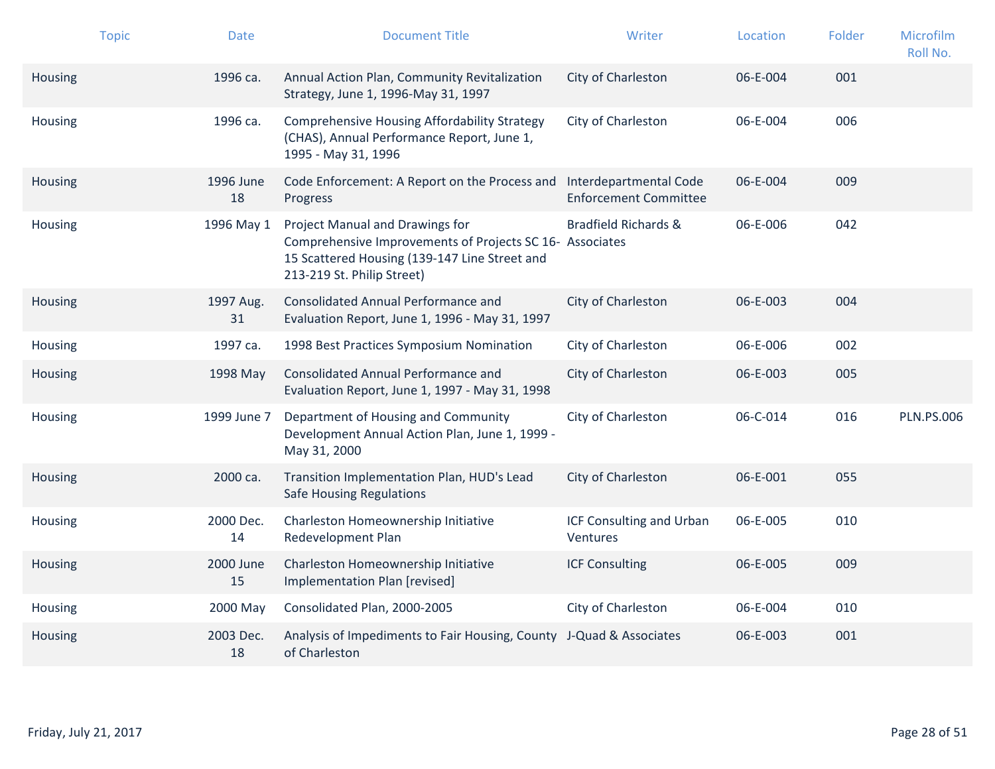|         | <b>Topic</b> | <b>Date</b>     | <b>Document Title</b>                                                                                                                                                      | Writer                                                 | Location | Folder | Microfilm<br>Roll No. |
|---------|--------------|-----------------|----------------------------------------------------------------------------------------------------------------------------------------------------------------------------|--------------------------------------------------------|----------|--------|-----------------------|
| Housing |              | 1996 ca.        | Annual Action Plan, Community Revitalization<br>Strategy, June 1, 1996-May 31, 1997                                                                                        | City of Charleston                                     | 06-E-004 | 001    |                       |
| Housing |              | 1996 са.        | <b>Comprehensive Housing Affordability Strategy</b><br>(CHAS), Annual Performance Report, June 1,<br>1995 - May 31, 1996                                                   | City of Charleston                                     | 06-E-004 | 006    |                       |
| Housing |              | 1996 June<br>18 | Code Enforcement: A Report on the Process and<br>Progress                                                                                                                  | Interdepartmental Code<br><b>Enforcement Committee</b> | 06-E-004 | 009    |                       |
| Housing |              | 1996 May 1      | Project Manual and Drawings for<br>Comprehensive Improvements of Projects SC 16- Associates<br>15 Scattered Housing (139-147 Line Street and<br>213-219 St. Philip Street) | <b>Bradfield Richards &amp;</b>                        | 06-E-006 | 042    |                       |
| Housing |              | 1997 Aug.<br>31 | Consolidated Annual Performance and<br>Evaluation Report, June 1, 1996 - May 31, 1997                                                                                      | City of Charleston                                     | 06-E-003 | 004    |                       |
| Housing |              | 1997 ca.        | 1998 Best Practices Symposium Nomination                                                                                                                                   | City of Charleston                                     | 06-E-006 | 002    |                       |
| Housing |              | 1998 May        | Consolidated Annual Performance and<br>Evaluation Report, June 1, 1997 - May 31, 1998                                                                                      | City of Charleston                                     | 06-E-003 | 005    |                       |
| Housing |              | 1999 June 7     | Department of Housing and Community<br>Development Annual Action Plan, June 1, 1999 -<br>May 31, 2000                                                                      | City of Charleston                                     | 06-C-014 | 016    | <b>PLN.PS.006</b>     |
| Housing |              | 2000 ca.        | Transition Implementation Plan, HUD's Lead<br><b>Safe Housing Regulations</b>                                                                                              | City of Charleston                                     | 06-E-001 | 055    |                       |
| Housing |              | 2000 Dec.<br>14 | Charleston Homeownership Initiative<br>Redevelopment Plan                                                                                                                  | ICF Consulting and Urban<br><b>Ventures</b>            | 06-E-005 | 010    |                       |
| Housing |              | 2000 June<br>15 | Charleston Homeownership Initiative<br>Implementation Plan [revised]                                                                                                       | <b>ICF Consulting</b>                                  | 06-E-005 | 009    |                       |
| Housing |              | 2000 May        | Consolidated Plan, 2000-2005                                                                                                                                               | City of Charleston                                     | 06-E-004 | 010    |                       |
| Housing |              | 2003 Dec.<br>18 | Analysis of Impediments to Fair Housing, County J-Quad & Associates<br>of Charleston                                                                                       |                                                        | 06-E-003 | 001    |                       |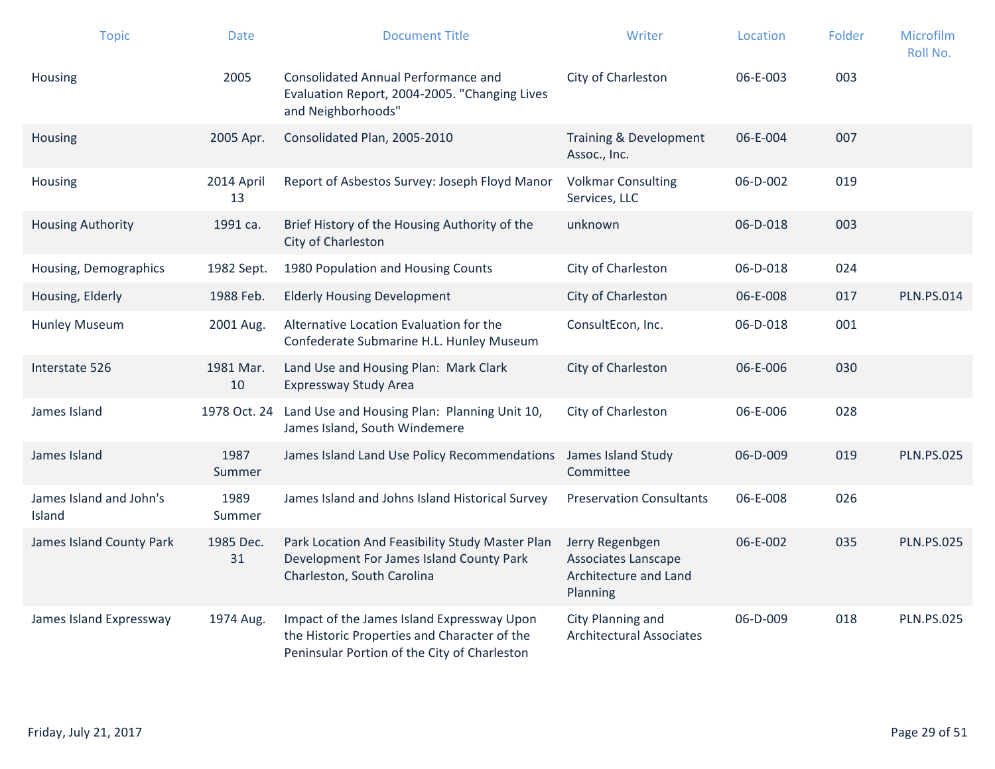| <b>Topic</b>                      | <b>Date</b>      | <b>Document Title</b>                                                                                                                      | Writer                                                                      | Location | Folder | Microfilm<br>Roll No. |
|-----------------------------------|------------------|--------------------------------------------------------------------------------------------------------------------------------------------|-----------------------------------------------------------------------------|----------|--------|-----------------------|
| <b>Housing</b>                    | 2005             | Consolidated Annual Performance and<br>Evaluation Report, 2004-2005. "Changing Lives<br>and Neighborhoods"                                 | City of Charleston                                                          | 06-E-003 | 003    |                       |
| Housing                           | 2005 Apr.        | Consolidated Plan, 2005-2010                                                                                                               | Training & Development<br>Assoc., Inc.                                      | 06-E-004 | 007    |                       |
| <b>Housing</b>                    | 2014 April<br>13 | Report of Asbestos Survey: Joseph Floyd Manor                                                                                              | <b>Volkmar Consulting</b><br>Services, LLC                                  | 06-D-002 | 019    |                       |
| <b>Housing Authority</b>          | 1991 ca.         | Brief History of the Housing Authority of the<br>City of Charleston                                                                        | unknown                                                                     | 06-D-018 | 003    |                       |
| Housing, Demographics             | 1982 Sept.       | 1980 Population and Housing Counts                                                                                                         | City of Charleston                                                          | 06-D-018 | 024    |                       |
| Housing, Elderly                  | 1988 Feb.        | <b>Elderly Housing Development</b>                                                                                                         | City of Charleston                                                          | 06-E-008 | 017    | <b>PLN.PS.014</b>     |
| <b>Hunley Museum</b>              | 2001 Aug.        | Alternative Location Evaluation for the<br>Confederate Submarine H.L. Hunley Museum                                                        | ConsultEcon, Inc.                                                           | 06-D-018 | 001    |                       |
| Interstate 526                    | 1981 Mar.<br>10  | Land Use and Housing Plan: Mark Clark<br>Expressway Study Area                                                                             | City of Charleston                                                          | 06-E-006 | 030    |                       |
| James Island                      |                  | 1978 Oct. 24 Land Use and Housing Plan: Planning Unit 10,<br>James Island, South Windemere                                                 | City of Charleston                                                          | 06-E-006 | 028    |                       |
| James Island                      | 1987<br>Summer   | James Island Land Use Policy Recommendations                                                                                               | James Island Study<br>Committee                                             | 06-D-009 | 019    | <b>PLN.PS.025</b>     |
| James Island and John's<br>Island | 1989<br>Summer   | James Island and Johns Island Historical Survey                                                                                            | <b>Preservation Consultants</b>                                             | 06-E-008 | 026    |                       |
| James Island County Park          | 1985 Dec.<br>31  | Park Location And Feasibility Study Master Plan<br>Development For James Island County Park<br>Charleston, South Carolina                  | Jerry Regenbgen<br>Associates Lanscape<br>Architecture and Land<br>Planning | 06-E-002 | 035    | <b>PLN.PS.025</b>     |
| James Island Expressway           | 1974 Aug.        | Impact of the James Island Expressway Upon<br>the Historic Properties and Character of the<br>Peninsular Portion of the City of Charleston | City Planning and<br><b>Architectural Associates</b>                        | 06-D-009 | 018    | <b>PLN.PS.025</b>     |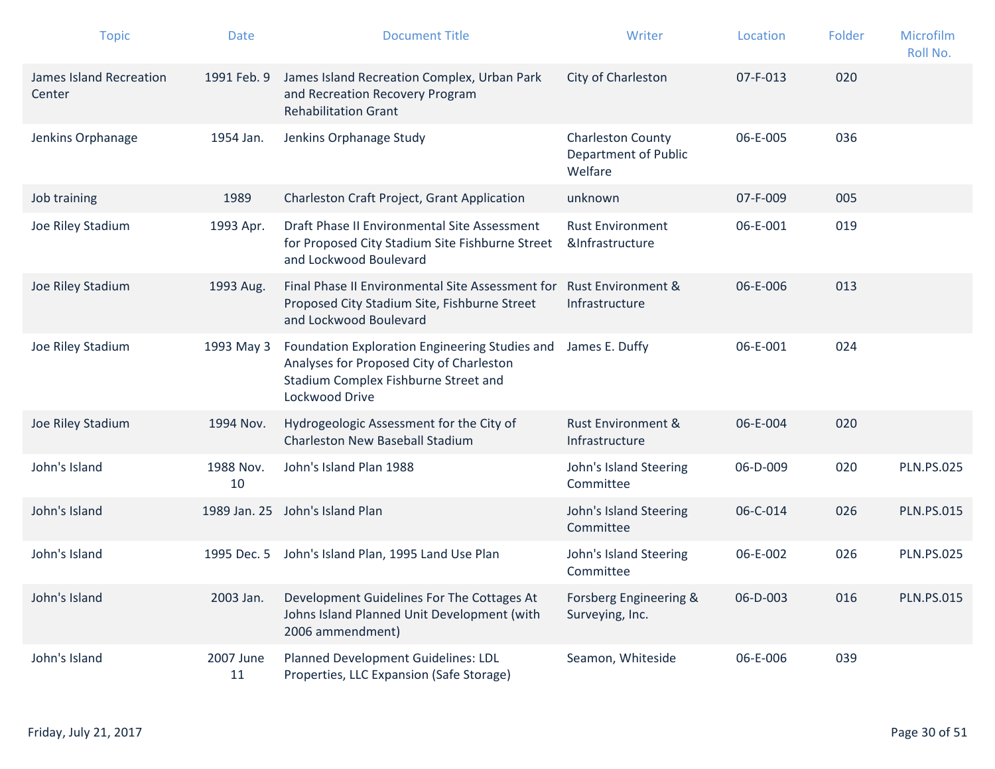| <b>Topic</b>                             | <b>Date</b>     | <b>Document Title</b>                                                                                                                                | Writer                                                      | Location | Folder | Microfilm<br>Roll No. |
|------------------------------------------|-----------------|------------------------------------------------------------------------------------------------------------------------------------------------------|-------------------------------------------------------------|----------|--------|-----------------------|
| <b>James Island Recreation</b><br>Center | 1991 Feb. 9     | James Island Recreation Complex, Urban Park<br>and Recreation Recovery Program<br><b>Rehabilitation Grant</b>                                        | City of Charleston                                          | 07-F-013 | 020    |                       |
| Jenkins Orphanage                        | 1954 Jan.       | Jenkins Orphanage Study                                                                                                                              | <b>Charleston County</b><br>Department of Public<br>Welfare | 06-E-005 | 036    |                       |
| Job training                             | 1989            | Charleston Craft Project, Grant Application                                                                                                          | unknown                                                     | 07-F-009 | 005    |                       |
| Joe Riley Stadium                        | 1993 Apr.       | Draft Phase II Environmental Site Assessment<br>for Proposed City Stadium Site Fishburne Street<br>and Lockwood Boulevard                            | <b>Rust Environment</b><br>&Infrastructure                  | 06-E-001 | 019    |                       |
| Joe Riley Stadium                        | 1993 Aug.       | Final Phase II Environmental Site Assessment for<br>Proposed City Stadium Site, Fishburne Street<br>and Lockwood Boulevard                           | <b>Rust Environment &amp;</b><br>Infrastructure             | 06-E-006 | 013    |                       |
| Joe Riley Stadium                        | 1993 May 3      | Foundation Exploration Engineering Studies and<br>Analyses for Proposed City of Charleston<br>Stadium Complex Fishburne Street and<br>Lockwood Drive | James E. Duffy                                              | 06-E-001 | 024    |                       |
| Joe Riley Stadium                        | 1994 Nov.       | Hydrogeologic Assessment for the City of<br><b>Charleston New Baseball Stadium</b>                                                                   | Rust Environment &<br>Infrastructure                        | 06-E-004 | 020    |                       |
| John's Island                            | 1988 Nov.<br>10 | John's Island Plan 1988                                                                                                                              | John's Island Steering<br>Committee                         | 06-D-009 | 020    | <b>PLN.PS.025</b>     |
| John's Island                            |                 | 1989 Jan. 25 John's Island Plan                                                                                                                      | John's Island Steering<br>Committee                         | 06-C-014 | 026    | <b>PLN.PS.015</b>     |
| John's Island                            | 1995 Dec. 5     | John's Island Plan, 1995 Land Use Plan                                                                                                               | John's Island Steering<br>Committee                         | 06-E-002 | 026    | <b>PLN.PS.025</b>     |
| John's Island                            | 2003 Jan.       | Development Guidelines For The Cottages At<br>Johns Island Planned Unit Development (with<br>2006 ammendment)                                        | Forsberg Engineering &<br>Surveying, Inc.                   | 06-D-003 | 016    | <b>PLN.PS.015</b>     |
| John's Island                            | 2007 June<br>11 | Planned Development Guidelines: LDL<br>Properties, LLC Expansion (Safe Storage)                                                                      | Seamon, Whiteside                                           | 06-E-006 | 039    |                       |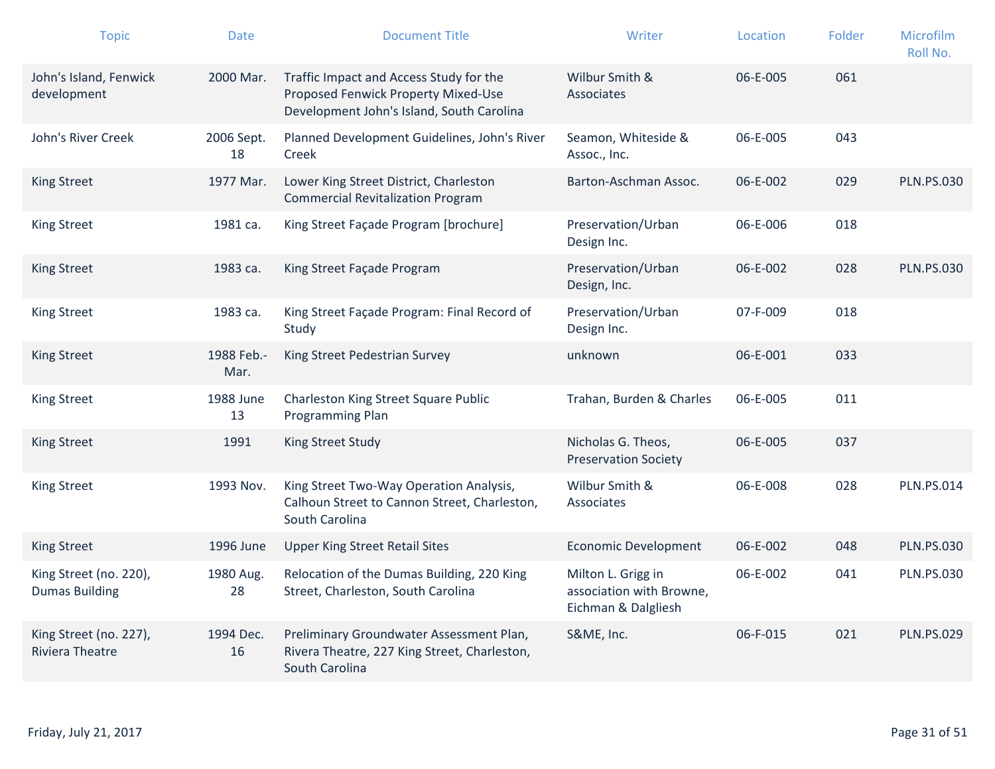| <b>Topic</b>                                     | <b>Date</b>        | <b>Document Title</b>                                                                                                       | Writer                                                                | Location | Folder | Microfilm<br>Roll No. |
|--------------------------------------------------|--------------------|-----------------------------------------------------------------------------------------------------------------------------|-----------------------------------------------------------------------|----------|--------|-----------------------|
| John's Island, Fenwick<br>development            | 2000 Mar.          | Traffic Impact and Access Study for the<br>Proposed Fenwick Property Mixed-Use<br>Development John's Island, South Carolina | Wilbur Smith &<br>Associates                                          | 06-E-005 | 061    |                       |
| John's River Creek                               | 2006 Sept.<br>18   | Planned Development Guidelines, John's River<br>Creek                                                                       | Seamon, Whiteside &<br>Assoc., Inc.                                   | 06-E-005 | 043    |                       |
| <b>King Street</b>                               | 1977 Mar.          | Lower King Street District, Charleston<br><b>Commercial Revitalization Program</b>                                          | Barton-Aschman Assoc.                                                 | 06-E-002 | 029    | <b>PLN.PS.030</b>     |
| <b>King Street</b>                               | 1981 ca.           | King Street Façade Program [brochure]                                                                                       | Preservation/Urban<br>Design Inc.                                     | 06-E-006 | 018    |                       |
| <b>King Street</b>                               | 1983 ca.           | King Street Façade Program                                                                                                  | Preservation/Urban<br>Design, Inc.                                    | 06-E-002 | 028    | <b>PLN.PS.030</b>     |
| <b>King Street</b>                               | 1983 ca.           | King Street Façade Program: Final Record of<br>Study                                                                        | Preservation/Urban<br>Design Inc.                                     | 07-F-009 | 018    |                       |
| <b>King Street</b>                               | 1988 Feb.-<br>Mar. | King Street Pedestrian Survey                                                                                               | unknown                                                               | 06-E-001 | 033    |                       |
| <b>King Street</b>                               | 1988 June<br>13    | <b>Charleston King Street Square Public</b><br>Programming Plan                                                             | Trahan, Burden & Charles                                              | 06-E-005 | 011    |                       |
| <b>King Street</b>                               | 1991               | King Street Study                                                                                                           | Nicholas G. Theos,<br><b>Preservation Society</b>                     | 06-E-005 | 037    |                       |
| <b>King Street</b>                               | 1993 Nov.          | King Street Two-Way Operation Analysis,<br>Calhoun Street to Cannon Street, Charleston,<br>South Carolina                   | Wilbur Smith &<br>Associates                                          | 06-E-008 | 028    | <b>PLN.PS.014</b>     |
| <b>King Street</b>                               | 1996 June          | <b>Upper King Street Retail Sites</b>                                                                                       | <b>Economic Development</b>                                           | 06-E-002 | 048    | <b>PLN.PS.030</b>     |
| King Street (no. 220),<br><b>Dumas Building</b>  | 1980 Aug.<br>28    | Relocation of the Dumas Building, 220 King<br>Street, Charleston, South Carolina                                            | Milton L. Grigg in<br>association with Browne,<br>Eichman & Dalgliesh | 06-E-002 | 041    | <b>PLN.PS.030</b>     |
| King Street (no. 227),<br><b>Riviera Theatre</b> | 1994 Dec.<br>16    | Preliminary Groundwater Assessment Plan,<br>Rivera Theatre, 227 King Street, Charleston,<br>South Carolina                  | S&ME, Inc.                                                            | 06-F-015 | 021    | <b>PLN.PS.029</b>     |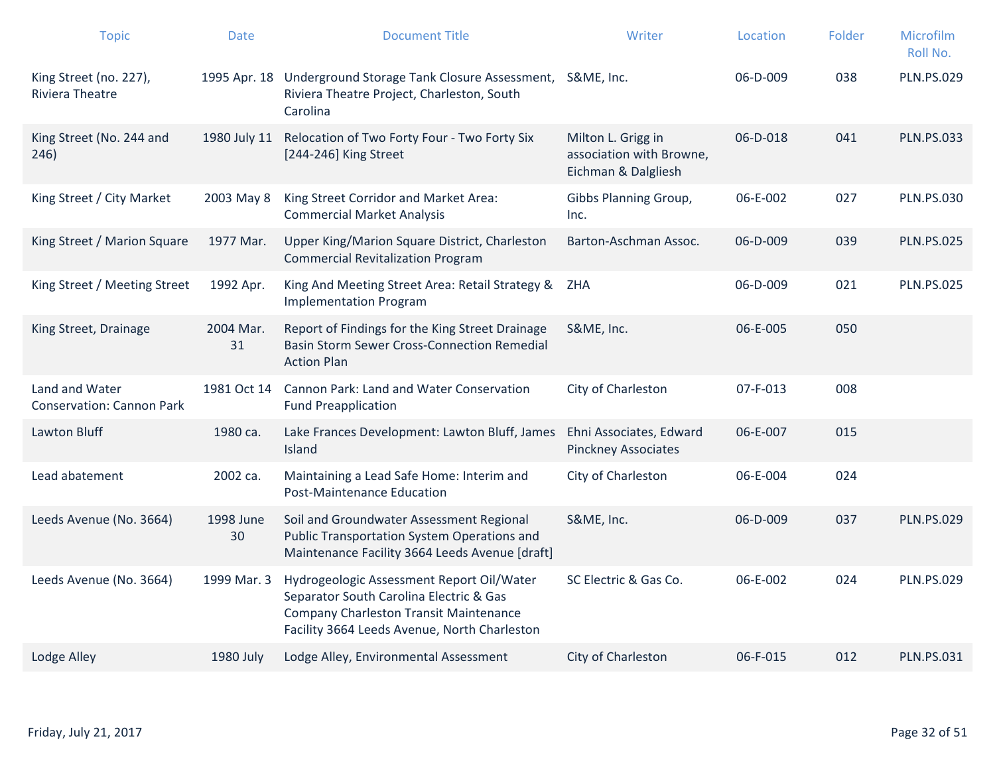| <b>Topic</b>                                       | <b>Date</b>     | <b>Document Title</b>                                                                                                                                                          | Writer                                                                | Location       | Folder | Microfilm<br>Roll No. |
|----------------------------------------------------|-----------------|--------------------------------------------------------------------------------------------------------------------------------------------------------------------------------|-----------------------------------------------------------------------|----------------|--------|-----------------------|
| King Street (no. 227),<br><b>Riviera Theatre</b>   |                 | 1995 Apr. 18 Underground Storage Tank Closure Assessment, S&ME, Inc.<br>Riviera Theatre Project, Charleston, South<br>Carolina                                                 |                                                                       | 06-D-009       | 038    | <b>PLN.PS.029</b>     |
| King Street (No. 244 and<br>246)                   | 1980 July 11    | Relocation of Two Forty Four - Two Forty Six<br>[244-246] King Street                                                                                                          | Milton L. Grigg in<br>association with Browne,<br>Eichman & Dalgliesh | 06-D-018       | 041    | <b>PLN.PS.033</b>     |
| King Street / City Market                          | 2003 May 8      | King Street Corridor and Market Area:<br><b>Commercial Market Analysis</b>                                                                                                     | Gibbs Planning Group,<br>Inc.                                         | 06-E-002       | 027    | <b>PLN.PS.030</b>     |
| King Street / Marion Square                        | 1977 Mar.       | Upper King/Marion Square District, Charleston<br><b>Commercial Revitalization Program</b>                                                                                      | Barton-Aschman Assoc.                                                 | $06 - D - 009$ | 039    | <b>PLN.PS.025</b>     |
| King Street / Meeting Street                       | 1992 Apr.       | King And Meeting Street Area: Retail Strategy &<br><b>Implementation Program</b>                                                                                               | ZHA                                                                   | 06-D-009       | 021    | <b>PLN.PS.025</b>     |
| King Street, Drainage                              | 2004 Mar.<br>31 | Report of Findings for the King Street Drainage<br><b>Basin Storm Sewer Cross-Connection Remedial</b><br><b>Action Plan</b>                                                    | S&ME, Inc.                                                            | 06-E-005       | 050    |                       |
| Land and Water<br><b>Conservation: Cannon Park</b> | 1981 Oct 14     | Cannon Park: Land and Water Conservation<br><b>Fund Preapplication</b>                                                                                                         | City of Charleston                                                    | 07-F-013       | 008    |                       |
| Lawton Bluff                                       | 1980 са.        | Lake Frances Development: Lawton Bluff, James<br>Island                                                                                                                        | Ehni Associates, Edward<br><b>Pinckney Associates</b>                 | 06-E-007       | 015    |                       |
| Lead abatement                                     | 2002 ca.        | Maintaining a Lead Safe Home: Interim and<br>Post-Maintenance Education                                                                                                        | City of Charleston                                                    | 06-E-004       | 024    |                       |
| Leeds Avenue (No. 3664)                            | 1998 June<br>30 | Soil and Groundwater Assessment Regional<br><b>Public Transportation System Operations and</b><br>Maintenance Facility 3664 Leeds Avenue [draft]                               | S&ME, Inc.                                                            | 06-D-009       | 037    | <b>PLN.PS.029</b>     |
| Leeds Avenue (No. 3664)                            | 1999 Mar. 3     | Hydrogeologic Assessment Report Oil/Water<br>Separator South Carolina Electric & Gas<br>Company Charleston Transit Maintenance<br>Facility 3664 Leeds Avenue, North Charleston | SC Electric & Gas Co.                                                 | 06-E-002       | 024    | <b>PLN.PS.029</b>     |
| Lodge Alley                                        | 1980 July       | Lodge Alley, Environmental Assessment                                                                                                                                          | City of Charleston                                                    | 06-F-015       | 012    | <b>PLN.PS.031</b>     |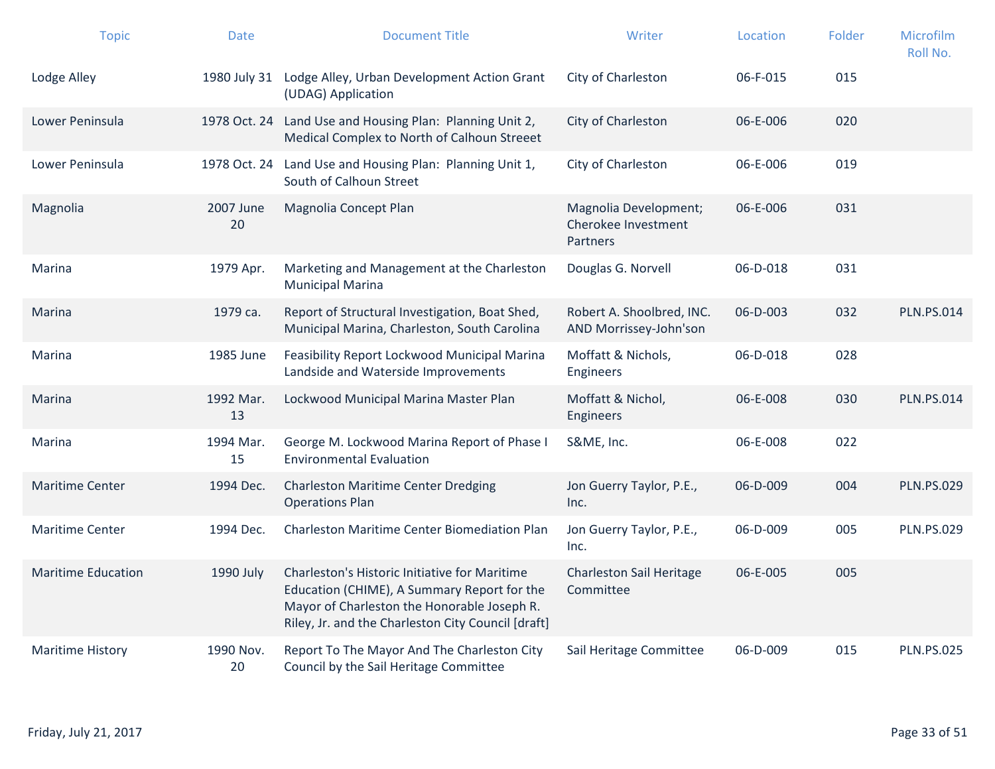| <b>Topic</b>              | <b>Date</b>     | <b>Document Title</b>                                                                                                                                                                             | Writer                                                   | Location | Folder | Microfilm<br>Roll No. |
|---------------------------|-----------------|---------------------------------------------------------------------------------------------------------------------------------------------------------------------------------------------------|----------------------------------------------------------|----------|--------|-----------------------|
| Lodge Alley               |                 | 1980 July 31 Lodge Alley, Urban Development Action Grant<br>(UDAG) Application                                                                                                                    | City of Charleston                                       | 06-F-015 | 015    |                       |
| Lower Peninsula           |                 | 1978 Oct. 24 Land Use and Housing Plan: Planning Unit 2,<br>Medical Complex to North of Calhoun Streeet                                                                                           | City of Charleston                                       | 06-E-006 | 020    |                       |
| Lower Peninsula           |                 | 1978 Oct. 24 Land Use and Housing Plan: Planning Unit 1,<br>South of Calhoun Street                                                                                                               | City of Charleston                                       | 06-E-006 | 019    |                       |
| Magnolia                  | 2007 June<br>20 | Magnolia Concept Plan                                                                                                                                                                             | Magnolia Development;<br>Cherokee Investment<br>Partners | 06-E-006 | 031    |                       |
| Marina                    | 1979 Apr.       | Marketing and Management at the Charleston<br><b>Municipal Marina</b>                                                                                                                             | Douglas G. Norvell                                       | 06-D-018 | 031    |                       |
| Marina                    | 1979 са.        | Report of Structural Investigation, Boat Shed,<br>Municipal Marina, Charleston, South Carolina                                                                                                    | Robert A. Shoolbred, INC.<br>AND Morrissey-John'son      | 06-D-003 | 032    | <b>PLN.PS.014</b>     |
| Marina                    | 1985 June       | Feasibility Report Lockwood Municipal Marina<br>Landside and Waterside Improvements                                                                                                               | Moffatt & Nichols,<br><b>Engineers</b>                   | 06-D-018 | 028    |                       |
| Marina                    | 1992 Mar.<br>13 | Lockwood Municipal Marina Master Plan                                                                                                                                                             | Moffatt & Nichol,<br><b>Engineers</b>                    | 06-E-008 | 030    | <b>PLN.PS.014</b>     |
| Marina                    | 1994 Mar.<br>15 | George M. Lockwood Marina Report of Phase I<br><b>Environmental Evaluation</b>                                                                                                                    | S&ME, Inc.                                               | 06-E-008 | 022    |                       |
| <b>Maritime Center</b>    | 1994 Dec.       | <b>Charleston Maritime Center Dredging</b><br><b>Operations Plan</b>                                                                                                                              | Jon Guerry Taylor, P.E.,<br>Inc.                         | 06-D-009 | 004    | <b>PLN.PS.029</b>     |
| <b>Maritime Center</b>    | 1994 Dec.       | Charleston Maritime Center Biomediation Plan                                                                                                                                                      | Jon Guerry Taylor, P.E.,<br>Inc.                         | 06-D-009 | 005    | <b>PLN.PS.029</b>     |
| <b>Maritime Education</b> | 1990 July       | Charleston's Historic Initiative for Maritime<br>Education (CHIME), A Summary Report for the<br>Mayor of Charleston the Honorable Joseph R.<br>Riley, Jr. and the Charleston City Council [draft] | Charleston Sail Heritage<br>Committee                    | 06-E-005 | 005    |                       |
| <b>Maritime History</b>   | 1990 Nov.<br>20 | Report To The Mayor And The Charleston City<br>Council by the Sail Heritage Committee                                                                                                             | Sail Heritage Committee                                  | 06-D-009 | 015    | <b>PLN.PS.025</b>     |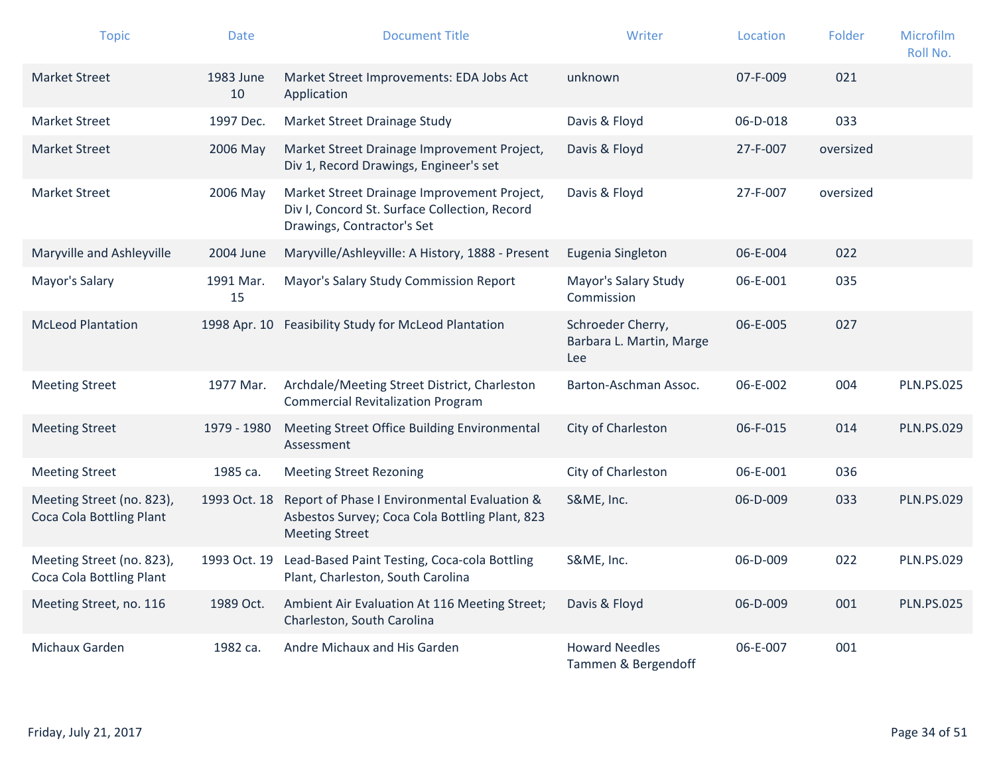| <b>Topic</b>                                          | <b>Date</b>     | <b>Document Title</b>                                                                                                      | Writer                                               | Location | Folder    | Microfilm<br>Roll No. |
|-------------------------------------------------------|-----------------|----------------------------------------------------------------------------------------------------------------------------|------------------------------------------------------|----------|-----------|-----------------------|
| <b>Market Street</b>                                  | 1983 June<br>10 | Market Street Improvements: EDA Jobs Act<br>Application                                                                    | unknown                                              | 07-F-009 | 021       |                       |
| <b>Market Street</b>                                  | 1997 Dec.       | Market Street Drainage Study                                                                                               | Davis & Floyd                                        | 06-D-018 | 033       |                       |
| <b>Market Street</b>                                  | 2006 May        | Market Street Drainage Improvement Project,<br>Div 1, Record Drawings, Engineer's set                                      | Davis & Floyd                                        | 27-F-007 | oversized |                       |
| <b>Market Street</b>                                  | 2006 May        | Market Street Drainage Improvement Project,<br>Div I, Concord St. Surface Collection, Record<br>Drawings, Contractor's Set | Davis & Floyd                                        | 27-F-007 | oversized |                       |
| Maryville and Ashleyville                             | 2004 June       | Maryville/Ashleyville: A History, 1888 - Present                                                                           | Eugenia Singleton                                    | 06-E-004 | 022       |                       |
| Mayor's Salary                                        | 1991 Mar.<br>15 | Mayor's Salary Study Commission Report                                                                                     | Mayor's Salary Study<br>Commission                   | 06-E-001 | 035       |                       |
| <b>McLeod Plantation</b>                              | 1998 Apr. 10    | Feasibility Study for McLeod Plantation                                                                                    | Schroeder Cherry,<br>Barbara L. Martin, Marge<br>Lee | 06-E-005 | 027       |                       |
| <b>Meeting Street</b>                                 | 1977 Mar.       | Archdale/Meeting Street District, Charleston<br><b>Commercial Revitalization Program</b>                                   | Barton-Aschman Assoc.                                | 06-E-002 | 004       | <b>PLN.PS.025</b>     |
| <b>Meeting Street</b>                                 | 1979 - 1980     | Meeting Street Office Building Environmental<br>Assessment                                                                 | City of Charleston                                   | 06-F-015 | 014       | <b>PLN.PS.029</b>     |
| <b>Meeting Street</b>                                 | 1985 ca.        | <b>Meeting Street Rezoning</b>                                                                                             | City of Charleston                                   | 06-E-001 | 036       |                       |
| Meeting Street (no. 823),<br>Coca Cola Bottling Plant | 1993 Oct. 18    | Report of Phase I Environmental Evaluation &<br>Asbestos Survey; Coca Cola Bottling Plant, 823<br><b>Meeting Street</b>    | S&ME, Inc.                                           | 06-D-009 | 033       | <b>PLN.PS.029</b>     |
| Meeting Street (no. 823),<br>Coca Cola Bottling Plant | 1993 Oct. 19    | Lead-Based Paint Testing, Coca-cola Bottling<br>Plant, Charleston, South Carolina                                          | S&ME, Inc.                                           | 06-D-009 | 022       | <b>PLN.PS.029</b>     |
| Meeting Street, no. 116                               | 1989 Oct.       | Ambient Air Evaluation At 116 Meeting Street;<br>Charleston, South Carolina                                                | Davis & Floyd                                        | 06-D-009 | 001       | <b>PLN.PS.025</b>     |
| Michaux Garden                                        | 1982 ca.        | Andre Michaux and His Garden                                                                                               | <b>Howard Needles</b><br>Tammen & Bergendoff         | 06-E-007 | 001       |                       |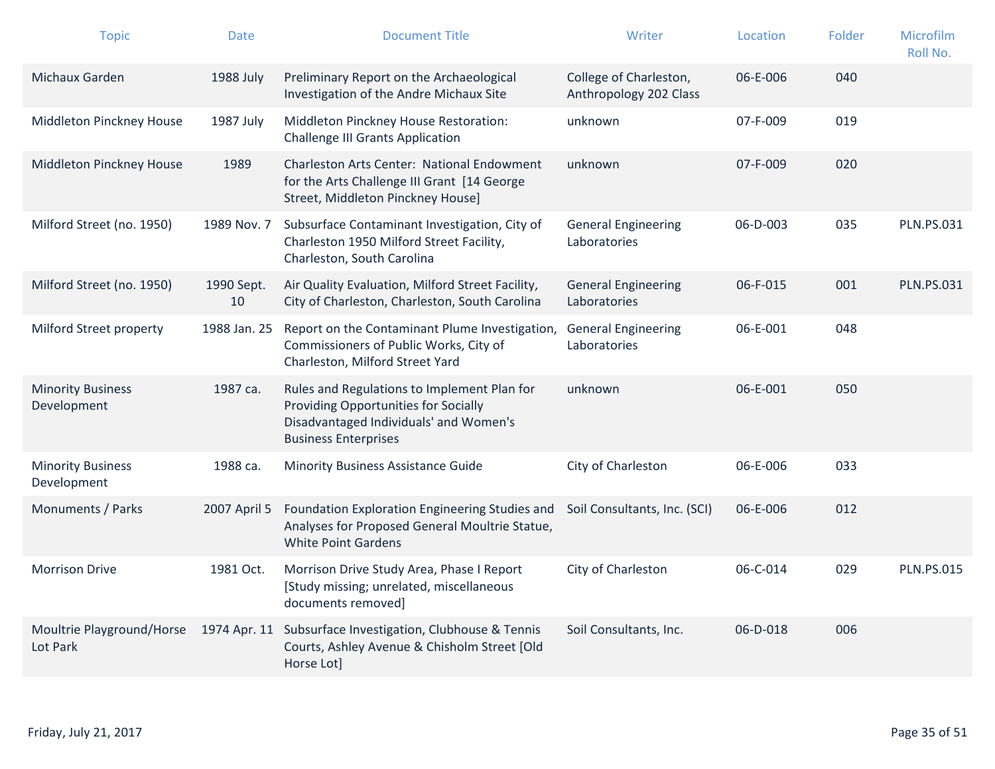| <b>Topic</b>                            | <b>Date</b>      | <b>Document Title</b>                                                                                                                                        | Writer                                           | Location | Folder | Microfilm<br>Roll No. |
|-----------------------------------------|------------------|--------------------------------------------------------------------------------------------------------------------------------------------------------------|--------------------------------------------------|----------|--------|-----------------------|
| Michaux Garden                          | 1988 July        | Preliminary Report on the Archaeological<br>Investigation of the Andre Michaux Site                                                                          | College of Charleston,<br>Anthropology 202 Class | 06-E-006 | 040    |                       |
| Middleton Pinckney House                | 1987 July        | Middleton Pinckney House Restoration:<br><b>Challenge III Grants Application</b>                                                                             | unknown                                          | 07-F-009 | 019    |                       |
| Middleton Pinckney House                | 1989             | Charleston Arts Center: National Endowment<br>for the Arts Challenge III Grant [14 George<br>Street, Middleton Pinckney House]                               | unknown                                          | 07-F-009 | 020    |                       |
| Milford Street (no. 1950)               | 1989 Nov. 7      | Subsurface Contaminant Investigation, City of<br>Charleston 1950 Milford Street Facility,<br>Charleston, South Carolina                                      | <b>General Engineering</b><br>Laboratories       | 06-D-003 | 035    | <b>PLN.PS.031</b>     |
| Milford Street (no. 1950)               | 1990 Sept.<br>10 | Air Quality Evaluation, Milford Street Facility,<br>City of Charleston, Charleston, South Carolina                                                           | <b>General Engineering</b><br>Laboratories       | 06-F-015 | 001    | <b>PLN.PS.031</b>     |
| Milford Street property                 | 1988 Jan. 25     | Report on the Contaminant Plume Investigation,<br>Commissioners of Public Works, City of<br>Charleston, Milford Street Yard                                  | <b>General Engineering</b><br>Laboratories       | 06-E-001 | 048    |                       |
| <b>Minority Business</b><br>Development | 1987 са.         | Rules and Regulations to Implement Plan for<br>Providing Opportunities for Socially<br>Disadvantaged Individuals' and Women's<br><b>Business Enterprises</b> | unknown                                          | 06-E-001 | 050    |                       |
| <b>Minority Business</b><br>Development | 1988 ca.         | <b>Minority Business Assistance Guide</b>                                                                                                                    | City of Charleston                               | 06-E-006 | 033    |                       |
| Monuments / Parks                       | 2007 April 5     | Foundation Exploration Engineering Studies and<br>Analyses for Proposed General Moultrie Statue,<br><b>White Point Gardens</b>                               | Soil Consultants, Inc. (SCI)                     | 06-E-006 | 012    |                       |
| <b>Morrison Drive</b>                   | 1981 Oct.        | Morrison Drive Study Area, Phase I Report<br>[Study missing; unrelated, miscellaneous<br>documents removed]                                                  | City of Charleston                               | 06-C-014 | 029    | <b>PLN.PS.015</b>     |
| Moultrie Playground/Horse<br>Lot Park   | 1974 Apr. 11     | Subsurface Investigation, Clubhouse & Tennis<br>Courts, Ashley Avenue & Chisholm Street [Old<br>Horse Lot]                                                   | Soil Consultants, Inc.                           | 06-D-018 | 006    |                       |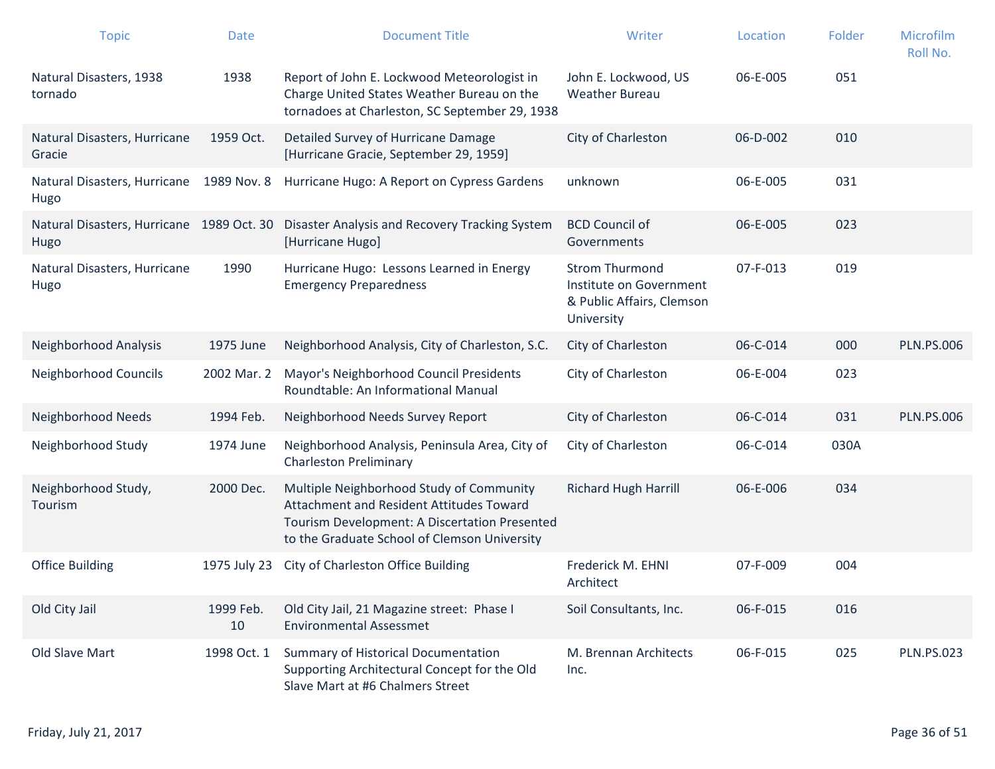| <b>Topic</b>                                      | <b>Date</b>     | <b>Document Title</b>                                                                                                                                                                 | Writer                                                                                      | Location | Folder | Microfilm<br>Roll No. |
|---------------------------------------------------|-----------------|---------------------------------------------------------------------------------------------------------------------------------------------------------------------------------------|---------------------------------------------------------------------------------------------|----------|--------|-----------------------|
| Natural Disasters, 1938<br>tornado                | 1938            | Report of John E. Lockwood Meteorologist in<br>Charge United States Weather Bureau on the<br>tornadoes at Charleston, SC September 29, 1938                                           | John E. Lockwood, US<br><b>Weather Bureau</b>                                               | 06-E-005 | 051    |                       |
| Natural Disasters, Hurricane<br>Gracie            | 1959 Oct.       | Detailed Survey of Hurricane Damage<br>[Hurricane Gracie, September 29, 1959]                                                                                                         | City of Charleston                                                                          | 06-D-002 | 010    |                       |
| Natural Disasters, Hurricane<br>Hugo              | 1989 Nov. 8     | Hurricane Hugo: A Report on Cypress Gardens                                                                                                                                           | unknown                                                                                     | 06-E-005 | 031    |                       |
| Natural Disasters, Hurricane 1989 Oct. 30<br>Hugo |                 | Disaster Analysis and Recovery Tracking System<br>[Hurricane Hugo]                                                                                                                    | <b>BCD Council of</b><br>Governments                                                        | 06-E-005 | 023    |                       |
| Natural Disasters, Hurricane<br>Hugo              | 1990            | Hurricane Hugo: Lessons Learned in Energy<br><b>Emergency Preparedness</b>                                                                                                            | <b>Strom Thurmond</b><br>Institute on Government<br>& Public Affairs, Clemson<br>University | 07-F-013 | 019    |                       |
| Neighborhood Analysis                             | 1975 June       | Neighborhood Analysis, City of Charleston, S.C.                                                                                                                                       | City of Charleston                                                                          | 06-C-014 | 000    | <b>PLN.PS.006</b>     |
| Neighborhood Councils                             | 2002 Mar. 2     | Mayor's Neighborhood Council Presidents<br>Roundtable: An Informational Manual                                                                                                        | City of Charleston                                                                          | 06-E-004 | 023    |                       |
| Neighborhood Needs                                | 1994 Feb.       | Neighborhood Needs Survey Report                                                                                                                                                      | City of Charleston                                                                          | 06-C-014 | 031    | <b>PLN.PS.006</b>     |
| Neighborhood Study                                | 1974 June       | Neighborhood Analysis, Peninsula Area, City of<br><b>Charleston Preliminary</b>                                                                                                       | City of Charleston                                                                          | 06-C-014 | 030A   |                       |
| Neighborhood Study,<br>Tourism                    | 2000 Dec.       | Multiple Neighborhood Study of Community<br>Attachment and Resident Attitudes Toward<br>Tourism Development: A Discertation Presented<br>to the Graduate School of Clemson University | <b>Richard Hugh Harrill</b>                                                                 | 06-E-006 | 034    |                       |
| <b>Office Building</b>                            | 1975 July 23    | City of Charleston Office Building                                                                                                                                                    | Frederick M. EHNI<br>Architect                                                              | 07-F-009 | 004    |                       |
| Old City Jail                                     | 1999 Feb.<br>10 | Old City Jail, 21 Magazine street: Phase I<br><b>Environmental Assessmet</b>                                                                                                          | Soil Consultants, Inc.                                                                      | 06-F-015 | 016    |                       |
| Old Slave Mart                                    | 1998 Oct. 1     | <b>Summary of Historical Documentation</b><br>Supporting Architectural Concept for the Old<br>Slave Mart at #6 Chalmers Street                                                        | M. Brennan Architects<br>Inc.                                                               | 06-F-015 | 025    | <b>PLN.PS.023</b>     |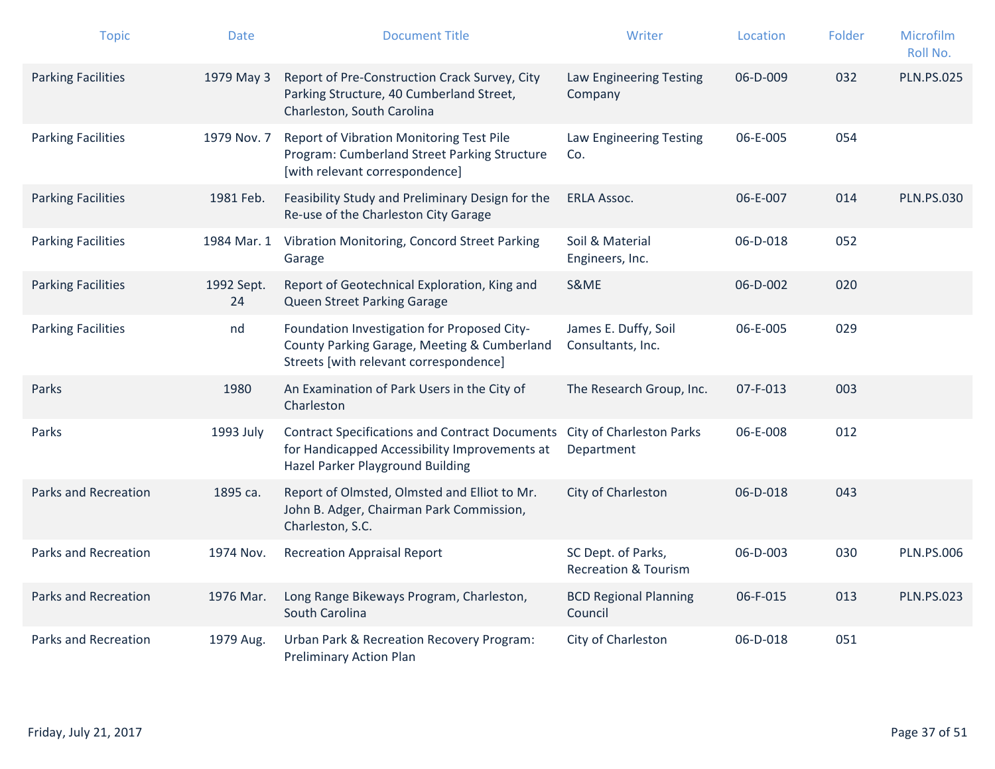| <b>Topic</b>                | Date             | <b>Document Title</b>                                                                                                                      | Writer                                                | Location       | Folder | Microfilm<br>Roll No. |
|-----------------------------|------------------|--------------------------------------------------------------------------------------------------------------------------------------------|-------------------------------------------------------|----------------|--------|-----------------------|
| <b>Parking Facilities</b>   | 1979 May 3       | Report of Pre-Construction Crack Survey, City<br>Parking Structure, 40 Cumberland Street,<br>Charleston, South Carolina                    | Law Engineering Testing<br>Company                    | 06-D-009       | 032    | <b>PLN.PS.025</b>     |
| <b>Parking Facilities</b>   | 1979 Nov. 7      | Report of Vibration Monitoring Test Pile<br>Program: Cumberland Street Parking Structure<br>[with relevant correspondence]                 | Law Engineering Testing<br>Co.                        | 06-E-005       | 054    |                       |
| <b>Parking Facilities</b>   | 1981 Feb.        | Feasibility Study and Preliminary Design for the<br>Re-use of the Charleston City Garage                                                   | <b>ERLA Assoc.</b>                                    | 06-E-007       | 014    | <b>PLN.PS.030</b>     |
| <b>Parking Facilities</b>   | 1984 Mar. 1      | Vibration Monitoring, Concord Street Parking<br>Garage                                                                                     | Soil & Material<br>Engineers, Inc.                    | 06-D-018       | 052    |                       |
| <b>Parking Facilities</b>   | 1992 Sept.<br>24 | Report of Geotechnical Exploration, King and<br>Queen Street Parking Garage                                                                | S&ME                                                  | $06 - D - 002$ | 020    |                       |
| <b>Parking Facilities</b>   | nd               | Foundation Investigation for Proposed City-<br>County Parking Garage, Meeting & Cumberland<br>Streets [with relevant correspondence]       | James E. Duffy, Soil<br>Consultants, Inc.             | 06-E-005       | 029    |                       |
| Parks                       | 1980             | An Examination of Park Users in the City of<br>Charleston                                                                                  | The Research Group, Inc.                              | 07-F-013       | 003    |                       |
| Parks                       | 1993 July        | <b>Contract Specifications and Contract Documents</b><br>for Handicapped Accessibility Improvements at<br>Hazel Parker Playground Building | <b>City of Charleston Parks</b><br>Department         | 06-E-008       | 012    |                       |
| <b>Parks and Recreation</b> | 1895 ca.         | Report of Olmsted, Olmsted and Elliot to Mr.<br>John B. Adger, Chairman Park Commission,<br>Charleston, S.C.                               | City of Charleston                                    | 06-D-018       | 043    |                       |
| <b>Parks and Recreation</b> | 1974 Nov.        | <b>Recreation Appraisal Report</b>                                                                                                         | SC Dept. of Parks,<br><b>Recreation &amp; Tourism</b> | 06-D-003       | 030    | <b>PLN.PS.006</b>     |
| <b>Parks and Recreation</b> | 1976 Mar.        | Long Range Bikeways Program, Charleston,<br>South Carolina                                                                                 | <b>BCD Regional Planning</b><br>Council               | 06-F-015       | 013    | <b>PLN.PS.023</b>     |
| Parks and Recreation        | 1979 Aug.        | <b>Urban Park &amp; Recreation Recovery Program:</b><br>Preliminary Action Plan                                                            | City of Charleston                                    | 06-D-018       | 051    |                       |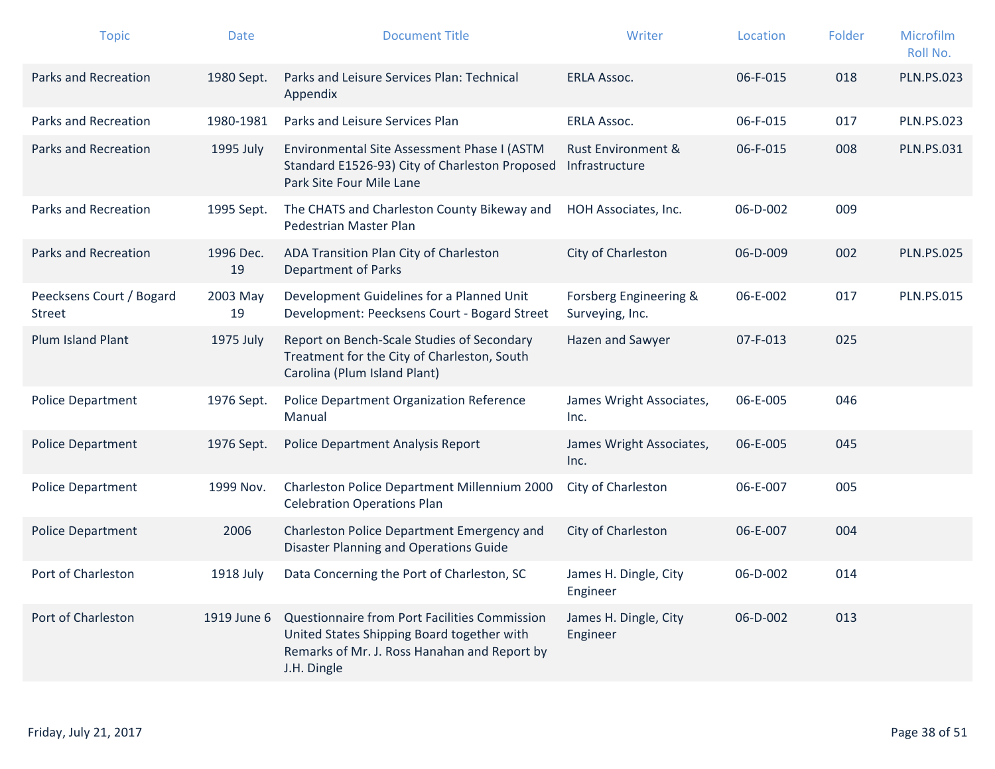| <b>Topic</b>                              | <b>Date</b>     | <b>Document Title</b>                                                                                                                                      | Writer                                          | Location | Folder | Microfilm<br>Roll No. |
|-------------------------------------------|-----------------|------------------------------------------------------------------------------------------------------------------------------------------------------------|-------------------------------------------------|----------|--------|-----------------------|
| <b>Parks and Recreation</b>               | 1980 Sept.      | Parks and Leisure Services Plan: Technical<br>Appendix                                                                                                     | <b>ERLA Assoc.</b>                              | 06-F-015 | 018    | <b>PLN.PS.023</b>     |
| <b>Parks and Recreation</b>               | 1980-1981       | Parks and Leisure Services Plan                                                                                                                            | <b>ERLA Assoc.</b>                              | 06-F-015 | 017    | <b>PLN.PS.023</b>     |
| <b>Parks and Recreation</b>               | 1995 July       | Environmental Site Assessment Phase I (ASTM<br>Standard E1526-93) City of Charleston Proposed<br>Park Site Four Mile Lane                                  | <b>Rust Environment &amp;</b><br>Infrastructure | 06-F-015 | 008    | <b>PLN.PS.031</b>     |
| <b>Parks and Recreation</b>               | 1995 Sept.      | The CHATS and Charleston County Bikeway and<br>Pedestrian Master Plan                                                                                      | HOH Associates, Inc.                            | 06-D-002 | 009    |                       |
| <b>Parks and Recreation</b>               | 1996 Dec.<br>19 | ADA Transition Plan City of Charleston<br><b>Department of Parks</b>                                                                                       | City of Charleston                              | 06-D-009 | 002    | <b>PLN.PS.025</b>     |
| Peecksens Court / Bogard<br><b>Street</b> | 2003 May<br>19  | Development Guidelines for a Planned Unit<br>Development: Peecksens Court - Bogard Street                                                                  | Forsberg Engineering &<br>Surveying, Inc.       | 06-E-002 | 017    | <b>PLN.PS.015</b>     |
| <b>Plum Island Plant</b>                  | 1975 July       | Report on Bench-Scale Studies of Secondary<br>Treatment for the City of Charleston, South<br>Carolina (Plum Island Plant)                                  | Hazen and Sawyer                                | 07-F-013 | 025    |                       |
| <b>Police Department</b>                  | 1976 Sept.      | Police Department Organization Reference<br>Manual                                                                                                         | James Wright Associates,<br>Inc.                | 06-E-005 | 046    |                       |
| <b>Police Department</b>                  | 1976 Sept.      | <b>Police Department Analysis Report</b>                                                                                                                   | James Wright Associates,<br>Inc.                | 06-E-005 | 045    |                       |
| Police Department                         | 1999 Nov.       | Charleston Police Department Millennium 2000<br><b>Celebration Operations Plan</b>                                                                         | City of Charleston                              | 06-E-007 | 005    |                       |
| <b>Police Department</b>                  | 2006            | Charleston Police Department Emergency and<br><b>Disaster Planning and Operations Guide</b>                                                                | City of Charleston                              | 06-E-007 | 004    |                       |
| Port of Charleston                        | 1918 July       | Data Concerning the Port of Charleston, SC                                                                                                                 | James H. Dingle, City<br>Engineer               | 06-D-002 | 014    |                       |
| Port of Charleston                        | 1919 June 6     | Questionnaire from Port Facilities Commission<br>United States Shipping Board together with<br>Remarks of Mr. J. Ross Hanahan and Report by<br>J.H. Dingle | James H. Dingle, City<br>Engineer               | 06-D-002 | 013    |                       |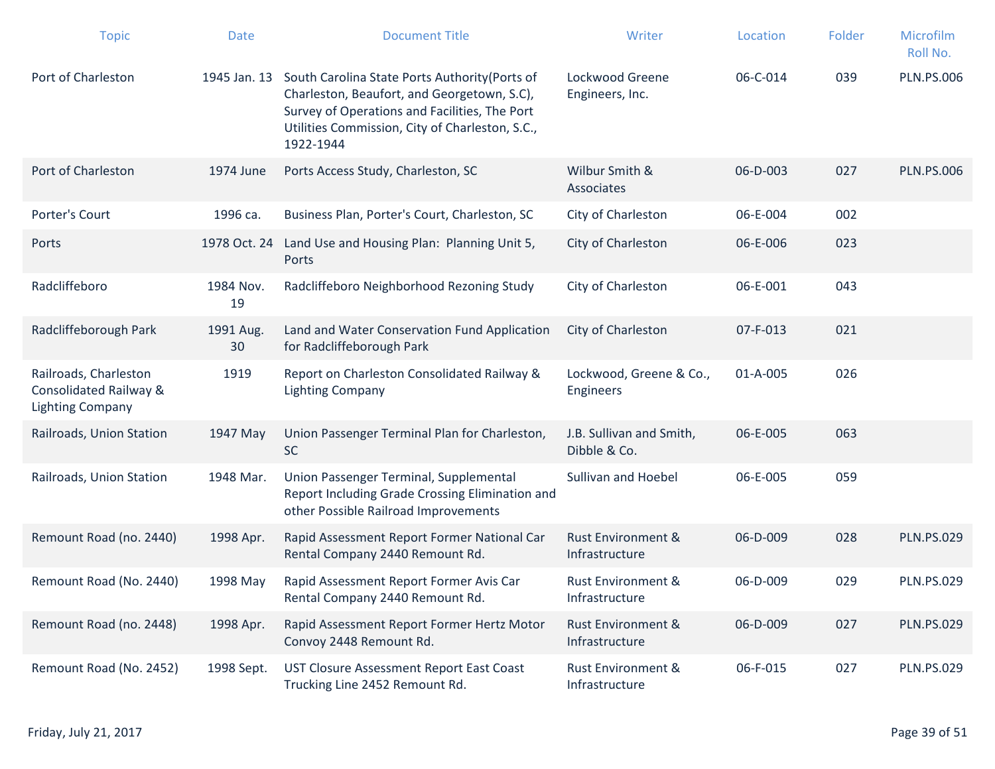| <b>Topic</b>                                                               | <b>Date</b>     | <b>Document Title</b>                                                                                                                                                                                                       | Writer                                          | Location | Folder | Microfilm<br>Roll No. |
|----------------------------------------------------------------------------|-----------------|-----------------------------------------------------------------------------------------------------------------------------------------------------------------------------------------------------------------------------|-------------------------------------------------|----------|--------|-----------------------|
| Port of Charleston                                                         |                 | 1945 Jan. 13 South Carolina State Ports Authority (Ports of<br>Charleston, Beaufort, and Georgetown, S.C),<br>Survey of Operations and Facilities, The Port<br>Utilities Commission, City of Charleston, S.C.,<br>1922-1944 | Lockwood Greene<br>Engineers, Inc.              | 06-C-014 | 039    | <b>PLN.PS.006</b>     |
| Port of Charleston                                                         | 1974 June       | Ports Access Study, Charleston, SC                                                                                                                                                                                          | Wilbur Smith &<br>Associates                    | 06-D-003 | 027    | <b>PLN.PS.006</b>     |
| Porter's Court                                                             | 1996 са.        | Business Plan, Porter's Court, Charleston, SC                                                                                                                                                                               | City of Charleston                              | 06-E-004 | 002    |                       |
| Ports                                                                      |                 | 1978 Oct. 24 Land Use and Housing Plan: Planning Unit 5,<br>Ports                                                                                                                                                           | City of Charleston                              | 06-E-006 | 023    |                       |
| Radcliffeboro                                                              | 1984 Nov.<br>19 | Radcliffeboro Neighborhood Rezoning Study                                                                                                                                                                                   | City of Charleston                              | 06-E-001 | 043    |                       |
| Radcliffeborough Park                                                      | 1991 Aug.<br>30 | Land and Water Conservation Fund Application<br>for Radcliffeborough Park                                                                                                                                                   | City of Charleston                              | 07-F-013 | 021    |                       |
| Railroads, Charleston<br>Consolidated Railway &<br><b>Lighting Company</b> | 1919            | Report on Charleston Consolidated Railway &<br><b>Lighting Company</b>                                                                                                                                                      | Lockwood, Greene & Co.,<br><b>Engineers</b>     | 01-A-005 | 026    |                       |
| Railroads, Union Station                                                   | 1947 May        | Union Passenger Terminal Plan for Charleston,<br><b>SC</b>                                                                                                                                                                  | J.B. Sullivan and Smith,<br>Dibble & Co.        | 06-E-005 | 063    |                       |
| Railroads, Union Station                                                   | 1948 Mar.       | Union Passenger Terminal, Supplemental<br>Report Including Grade Crossing Elimination and<br>other Possible Railroad Improvements                                                                                           | Sullivan and Hoebel                             | 06-E-005 | 059    |                       |
| Remount Road (no. 2440)                                                    | 1998 Apr.       | Rapid Assessment Report Former National Car<br>Rental Company 2440 Remount Rd.                                                                                                                                              | <b>Rust Environment &amp;</b><br>Infrastructure | 06-D-009 | 028    | <b>PLN.PS.029</b>     |
| Remount Road (No. 2440)                                                    | 1998 May        | Rapid Assessment Report Former Avis Car<br>Rental Company 2440 Remount Rd.                                                                                                                                                  | <b>Rust Environment &amp;</b><br>Infrastructure | 06-D-009 | 029    | <b>PLN.PS.029</b>     |
| Remount Road (no. 2448)                                                    | 1998 Apr.       | Rapid Assessment Report Former Hertz Motor<br>Convoy 2448 Remount Rd.                                                                                                                                                       | <b>Rust Environment &amp;</b><br>Infrastructure | 06-D-009 | 027    | <b>PLN.PS.029</b>     |
| Remount Road (No. 2452)                                                    | 1998 Sept.      | UST Closure Assessment Report East Coast<br>Trucking Line 2452 Remount Rd.                                                                                                                                                  | <b>Rust Environment &amp;</b><br>Infrastructure | 06-F-015 | 027    | <b>PLN.PS.029</b>     |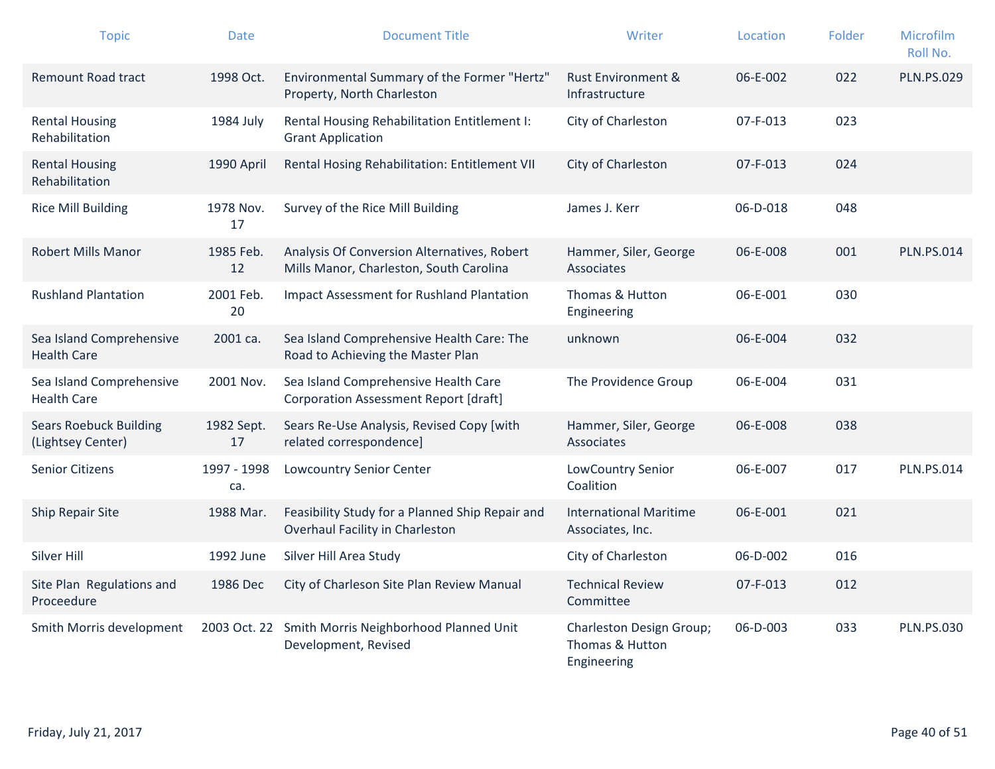| <b>Topic</b>                                       | <b>Date</b>        | <b>Document Title</b>                                                                  | Writer                                                     | Location       | Folder | Microfilm<br>Roll No. |
|----------------------------------------------------|--------------------|----------------------------------------------------------------------------------------|------------------------------------------------------------|----------------|--------|-----------------------|
| <b>Remount Road tract</b>                          | 1998 Oct.          | Environmental Summary of the Former "Hertz"<br>Property, North Charleston              | <b>Rust Environment &amp;</b><br>Infrastructure            | 06-E-002       | 022    | <b>PLN.PS.029</b>     |
| <b>Rental Housing</b><br>Rehabilitation            | 1984 July          | Rental Housing Rehabilitation Entitlement I:<br><b>Grant Application</b>               | City of Charleston                                         | 07-F-013       | 023    |                       |
| <b>Rental Housing</b><br>Rehabilitation            | 1990 April         | Rental Hosing Rehabilitation: Entitlement VII                                          | City of Charleston                                         | $07 - F - 013$ | 024    |                       |
| <b>Rice Mill Building</b>                          | 1978 Nov.<br>17    | Survey of the Rice Mill Building                                                       | James J. Kerr                                              | 06-D-018       | 048    |                       |
| <b>Robert Mills Manor</b>                          | 1985 Feb.<br>12    | Analysis Of Conversion Alternatives, Robert<br>Mills Manor, Charleston, South Carolina | Hammer, Siler, George<br>Associates                        | 06-E-008       | 001    | <b>PLN.PS.014</b>     |
| <b>Rushland Plantation</b>                         | 2001 Feb.<br>20    | <b>Impact Assessment for Rushland Plantation</b>                                       | Thomas & Hutton<br>Engineering                             | 06-E-001       | 030    |                       |
| Sea Island Comprehensive<br><b>Health Care</b>     | 2001 ca.           | Sea Island Comprehensive Health Care: The<br>Road to Achieving the Master Plan         | unknown                                                    | 06-E-004       | 032    |                       |
| Sea Island Comprehensive<br><b>Health Care</b>     | 2001 Nov.          | Sea Island Comprehensive Health Care<br><b>Corporation Assessment Report [draft]</b>   | The Providence Group                                       | 06-E-004       | 031    |                       |
| <b>Sears Roebuck Building</b><br>(Lightsey Center) | 1982 Sept.<br>17   | Sears Re-Use Analysis, Revised Copy [with<br>related correspondence]                   | Hammer, Siler, George<br>Associates                        | 06-E-008       | 038    |                       |
| <b>Senior Citizens</b>                             | 1997 - 1998<br>ca. | <b>Lowcountry Senior Center</b>                                                        | LowCountry Senior<br>Coalition                             | 06-E-007       | 017    | <b>PLN.PS.014</b>     |
| Ship Repair Site                                   | 1988 Mar.          | Feasibility Study for a Planned Ship Repair and<br>Overhaul Facility in Charleston     | <b>International Maritime</b><br>Associates, Inc.          | 06-E-001       | 021    |                       |
| Silver Hill                                        | 1992 June          | Silver Hill Area Study                                                                 | City of Charleston                                         | 06-D-002       | 016    |                       |
| Site Plan Regulations and<br>Proceedure            | 1986 Dec           | City of Charleson Site Plan Review Manual                                              | <b>Technical Review</b><br>Committee                       | 07-F-013       | 012    |                       |
| Smith Morris development                           |                    | 2003 Oct. 22 Smith Morris Neighborhood Planned Unit<br>Development, Revised            | Charleston Design Group;<br>Thomas & Hutton<br>Engineering | 06-D-003       | 033    | <b>PLN.PS.030</b>     |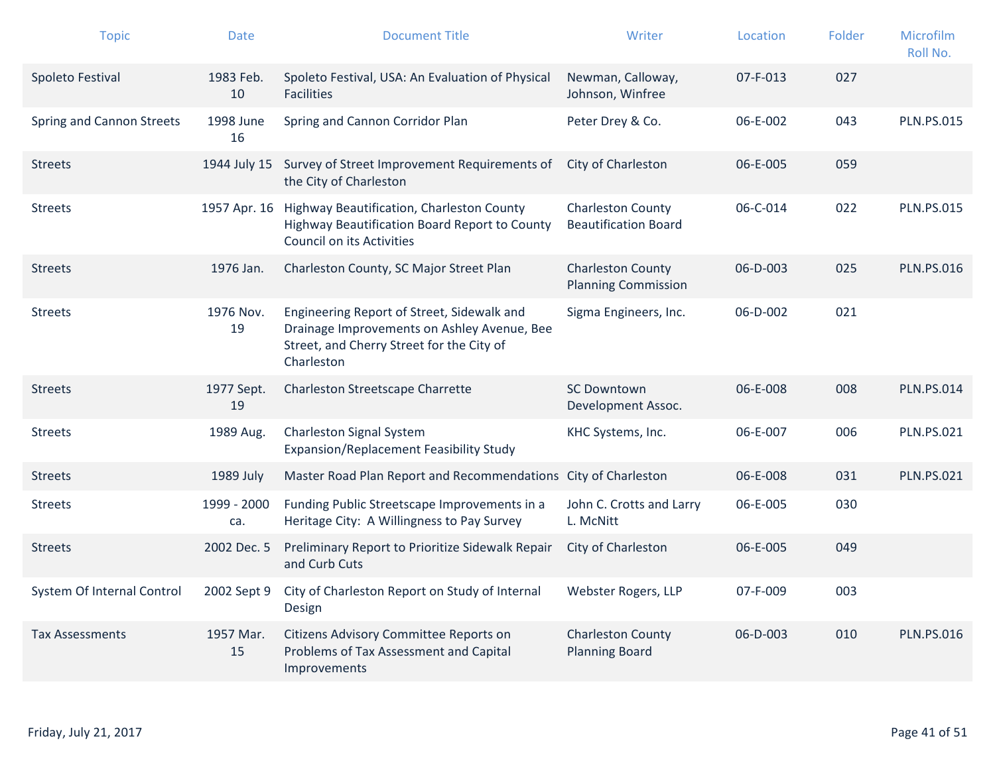| <b>Topic</b>               | <b>Date</b>        | <b>Document Title</b>                                                                                                                                | Writer                                                  | Location | Folder | Microfilm<br>Roll No. |
|----------------------------|--------------------|------------------------------------------------------------------------------------------------------------------------------------------------------|---------------------------------------------------------|----------|--------|-----------------------|
| Spoleto Festival           | 1983 Feb.<br>10    | Spoleto Festival, USA: An Evaluation of Physical<br><b>Facilities</b>                                                                                | Newman, Calloway,<br>Johnson, Winfree                   | 07-F-013 | 027    |                       |
| Spring and Cannon Streets  | 1998 June<br>16    | Spring and Cannon Corridor Plan                                                                                                                      | Peter Drey & Co.                                        | 06-E-002 | 043    | <b>PLN.PS.015</b>     |
| <b>Streets</b>             | 1944 July 15       | Survey of Street Improvement Requirements of<br>the City of Charleston                                                                               | City of Charleston                                      | 06-E-005 | 059    |                       |
| <b>Streets</b>             | 1957 Apr. 16       | Highway Beautification, Charleston County<br>Highway Beautification Board Report to County<br>Council on its Activities                              | <b>Charleston County</b><br><b>Beautification Board</b> | 06-C-014 | 022    | <b>PLN.PS.015</b>     |
| <b>Streets</b>             | 1976 Jan.          | Charleston County, SC Major Street Plan                                                                                                              | <b>Charleston County</b><br><b>Planning Commission</b>  | 06-D-003 | 025    | <b>PLN.PS.016</b>     |
| <b>Streets</b>             | 1976 Nov.<br>19    | Engineering Report of Street, Sidewalk and<br>Drainage Improvements on Ashley Avenue, Bee<br>Street, and Cherry Street for the City of<br>Charleston | Sigma Engineers, Inc.                                   | 06-D-002 | 021    |                       |
| <b>Streets</b>             | 1977 Sept.<br>19   | Charleston Streetscape Charrette                                                                                                                     | <b>SC Downtown</b><br>Development Assoc.                | 06-E-008 | 008    | <b>PLN.PS.014</b>     |
| <b>Streets</b>             | 1989 Aug.          | Charleston Signal System<br>Expansion/Replacement Feasibility Study                                                                                  | KHC Systems, Inc.                                       | 06-E-007 | 006    | <b>PLN.PS.021</b>     |
| <b>Streets</b>             | 1989 July          | Master Road Plan Report and Recommendations City of Charleston                                                                                       |                                                         | 06-E-008 | 031    | <b>PLN.PS.021</b>     |
| <b>Streets</b>             | 1999 - 2000<br>ca. | Funding Public Streetscape Improvements in a<br>Heritage City: A Willingness to Pay Survey                                                           | John C. Crotts and Larry<br>L. McNitt                   | 06-E-005 | 030    |                       |
| <b>Streets</b>             | 2002 Dec. 5        | Preliminary Report to Prioritize Sidewalk Repair<br>and Curb Cuts                                                                                    | City of Charleston                                      | 06-E-005 | 049    |                       |
| System Of Internal Control | 2002 Sept 9        | City of Charleston Report on Study of Internal<br>Design                                                                                             | Webster Rogers, LLP                                     | 07-F-009 | 003    |                       |
| <b>Tax Assessments</b>     | 1957 Mar.<br>15    | Citizens Advisory Committee Reports on<br>Problems of Tax Assessment and Capital<br>Improvements                                                     | <b>Charleston County</b><br><b>Planning Board</b>       | 06-D-003 | 010    | <b>PLN.PS.016</b>     |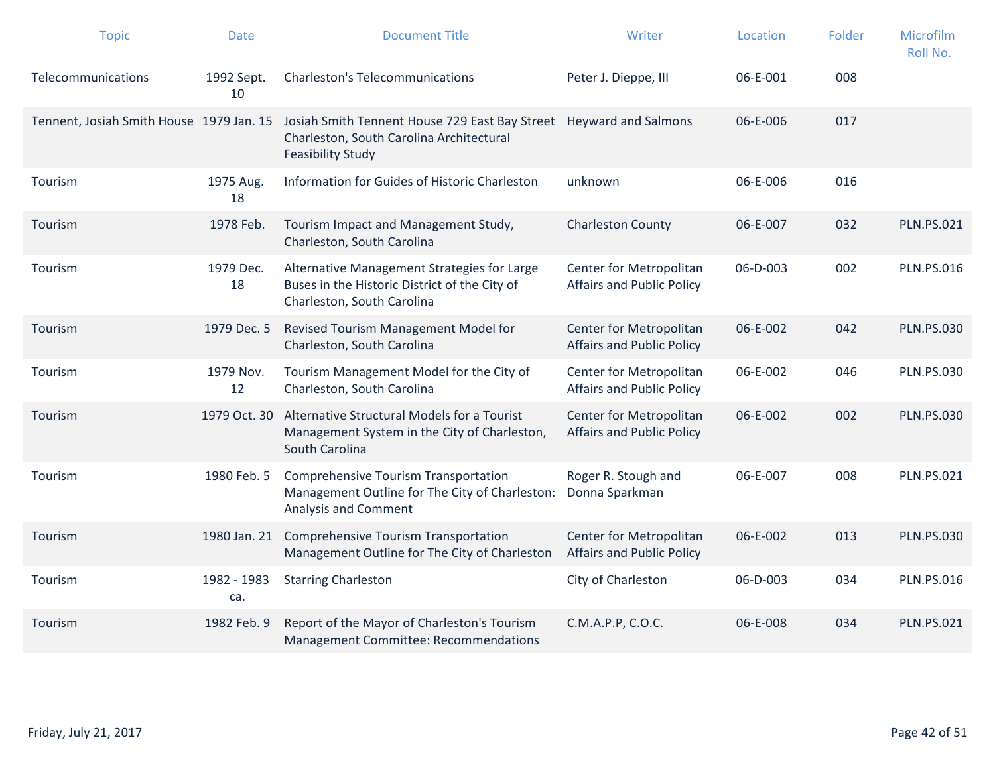| <b>Topic</b>                             | <b>Date</b>        | <b>Document Title</b>                                                                                                                      | Writer                                                      | Location | Folder | Microfilm<br>Roll No. |
|------------------------------------------|--------------------|--------------------------------------------------------------------------------------------------------------------------------------------|-------------------------------------------------------------|----------|--------|-----------------------|
| Telecommunications                       | 1992 Sept.<br>10   | <b>Charleston's Telecommunications</b>                                                                                                     | Peter J. Dieppe, III                                        | 06-E-001 | 008    |                       |
| Tennent, Josiah Smith House 1979 Jan. 15 |                    | Josiah Smith Tennent House 729 East Bay Street Heyward and Salmons<br>Charleston, South Carolina Architectural<br><b>Feasibility Study</b> |                                                             | 06-E-006 | 017    |                       |
| Tourism                                  | 1975 Aug.<br>18    | Information for Guides of Historic Charleston                                                                                              | unknown                                                     | 06-E-006 | 016    |                       |
| Tourism                                  | 1978 Feb.          | Tourism Impact and Management Study,<br>Charleston, South Carolina                                                                         | <b>Charleston County</b>                                    | 06-E-007 | 032    | <b>PLN.PS.021</b>     |
| Tourism                                  | 1979 Dec.<br>18    | Alternative Management Strategies for Large<br>Buses in the Historic District of the City of<br>Charleston, South Carolina                 | Center for Metropolitan<br><b>Affairs and Public Policy</b> | 06-D-003 | 002    | <b>PLN.PS.016</b>     |
| Tourism                                  | 1979 Dec. 5        | Revised Tourism Management Model for<br>Charleston, South Carolina                                                                         | Center for Metropolitan<br><b>Affairs and Public Policy</b> | 06-E-002 | 042    | <b>PLN.PS.030</b>     |
| Tourism                                  | 1979 Nov.<br>12    | Tourism Management Model for the City of<br>Charleston, South Carolina                                                                     | Center for Metropolitan<br><b>Affairs and Public Policy</b> | 06-E-002 | 046    | <b>PLN.PS.030</b>     |
| Tourism                                  | 1979 Oct. 30       | Alternative Structural Models for a Tourist<br>Management System in the City of Charleston,<br>South Carolina                              | Center for Metropolitan<br><b>Affairs and Public Policy</b> | 06-E-002 | 002    | <b>PLN.PS.030</b>     |
| Tourism                                  | 1980 Feb. 5        | <b>Comprehensive Tourism Transportation</b><br>Management Outline for The City of Charleston:<br>Analysis and Comment                      | Roger R. Stough and<br>Donna Sparkman                       | 06-E-007 | 008    | <b>PLN.PS.021</b>     |
| Tourism                                  | 1980 Jan. 21       | <b>Comprehensive Tourism Transportation</b><br>Management Outline for The City of Charleston                                               | Center for Metropolitan<br><b>Affairs and Public Policy</b> | 06-E-002 | 013    | <b>PLN.PS.030</b>     |
| Tourism                                  | 1982 - 1983<br>ca. | <b>Starring Charleston</b>                                                                                                                 | City of Charleston                                          | 06-D-003 | 034    | <b>PLN.PS.016</b>     |
| Tourism                                  | 1982 Feb. 9        | Report of the Mayor of Charleston's Tourism<br>Management Committee: Recommendations                                                       | C.M.A.P.P, C.O.C.                                           | 06-E-008 | 034    | <b>PLN.PS.021</b>     |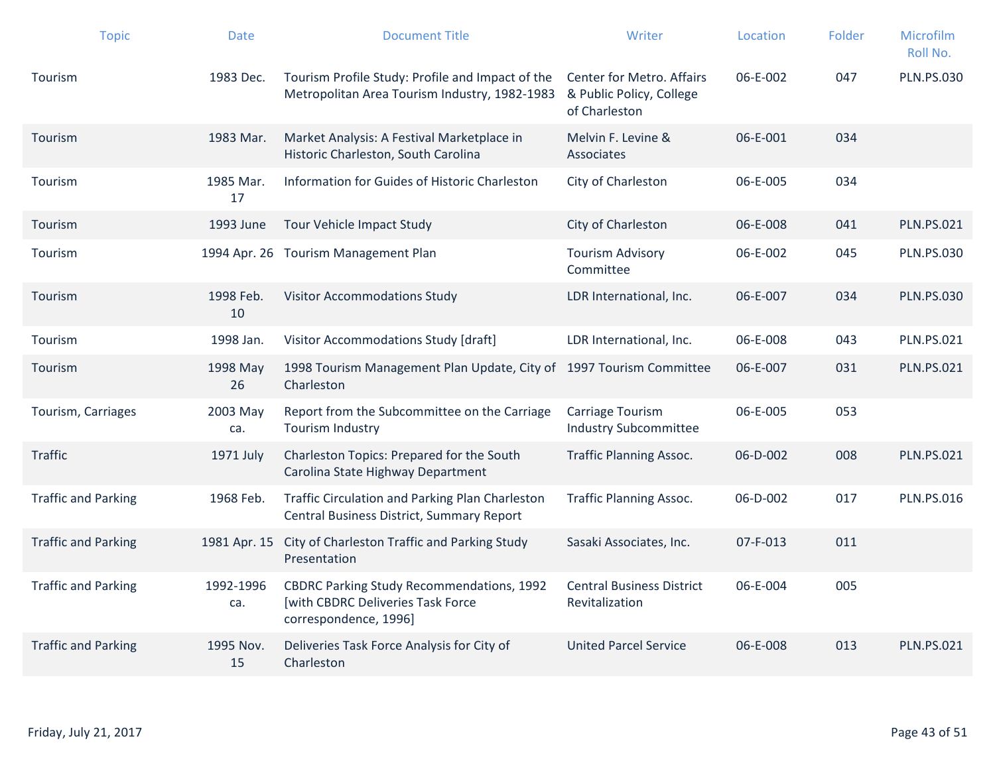| <b>Topic</b>               | <b>Date</b>      | <b>Document Title</b>                                                                                          | Writer                                                                        | Location       | Folder | Microfilm<br>Roll No. |
|----------------------------|------------------|----------------------------------------------------------------------------------------------------------------|-------------------------------------------------------------------------------|----------------|--------|-----------------------|
| Tourism                    | 1983 Dec.        | Tourism Profile Study: Profile and Impact of the<br>Metropolitan Area Tourism Industry, 1982-1983              | <b>Center for Metro. Affairs</b><br>& Public Policy, College<br>of Charleston | 06-E-002       | 047    | <b>PLN.PS.030</b>     |
| Tourism                    | 1983 Mar.        | Market Analysis: A Festival Marketplace in<br>Historic Charleston, South Carolina                              | Melvin F. Levine &<br>Associates                                              | 06-E-001       | 034    |                       |
| Tourism                    | 1985 Mar.<br>17  | Information for Guides of Historic Charleston                                                                  | City of Charleston                                                            | 06-E-005       | 034    |                       |
| Tourism                    | 1993 June        | Tour Vehicle Impact Study                                                                                      | City of Charleston                                                            | 06-E-008       | 041    | <b>PLN.PS.021</b>     |
| Tourism                    |                  | 1994 Apr. 26 Tourism Management Plan                                                                           | <b>Tourism Advisory</b><br>Committee                                          | 06-E-002       | 045    | <b>PLN.PS.030</b>     |
| Tourism                    | 1998 Feb.<br>10  | <b>Visitor Accommodations Study</b>                                                                            | LDR International, Inc.                                                       | 06-E-007       | 034    | <b>PLN.PS.030</b>     |
| Tourism                    | 1998 Jan.        | Visitor Accommodations Study [draft]                                                                           | LDR International, Inc.                                                       | 06-E-008       | 043    | <b>PLN.PS.021</b>     |
| Tourism                    | 1998 May<br>26   | 1998 Tourism Management Plan Update, City of 1997 Tourism Committee<br>Charleston                              |                                                                               | 06-E-007       | 031    | <b>PLN.PS.021</b>     |
| Tourism, Carriages         | 2003 May<br>ca.  | Report from the Subcommittee on the Carriage<br><b>Tourism Industry</b>                                        | Carriage Tourism<br><b>Industry Subcommittee</b>                              | 06-E-005       | 053    |                       |
| <b>Traffic</b>             | 1971 July        | Charleston Topics: Prepared for the South<br>Carolina State Highway Department                                 | <b>Traffic Planning Assoc.</b>                                                | $06 - D - 002$ | 008    | <b>PLN.PS.021</b>     |
| <b>Traffic and Parking</b> | 1968 Feb.        | <b>Traffic Circulation and Parking Plan Charleston</b><br>Central Business District, Summary Report            | <b>Traffic Planning Assoc.</b>                                                | $06 - D - 002$ | 017    | <b>PLN.PS.016</b>     |
| <b>Traffic and Parking</b> | 1981 Apr. 15     | City of Charleston Traffic and Parking Study<br>Presentation                                                   | Sasaki Associates, Inc.                                                       | 07-F-013       | 011    |                       |
| <b>Traffic and Parking</b> | 1992-1996<br>ca. | <b>CBDRC Parking Study Recommendations, 1992</b><br>[with CBDRC Deliveries Task Force<br>correspondence, 1996] | <b>Central Business District</b><br>Revitalization                            | 06-E-004       | 005    |                       |
| <b>Traffic and Parking</b> | 1995 Nov.<br>15  | Deliveries Task Force Analysis for City of<br>Charleston                                                       | <b>United Parcel Service</b>                                                  | 06-E-008       | 013    | <b>PLN.PS.021</b>     |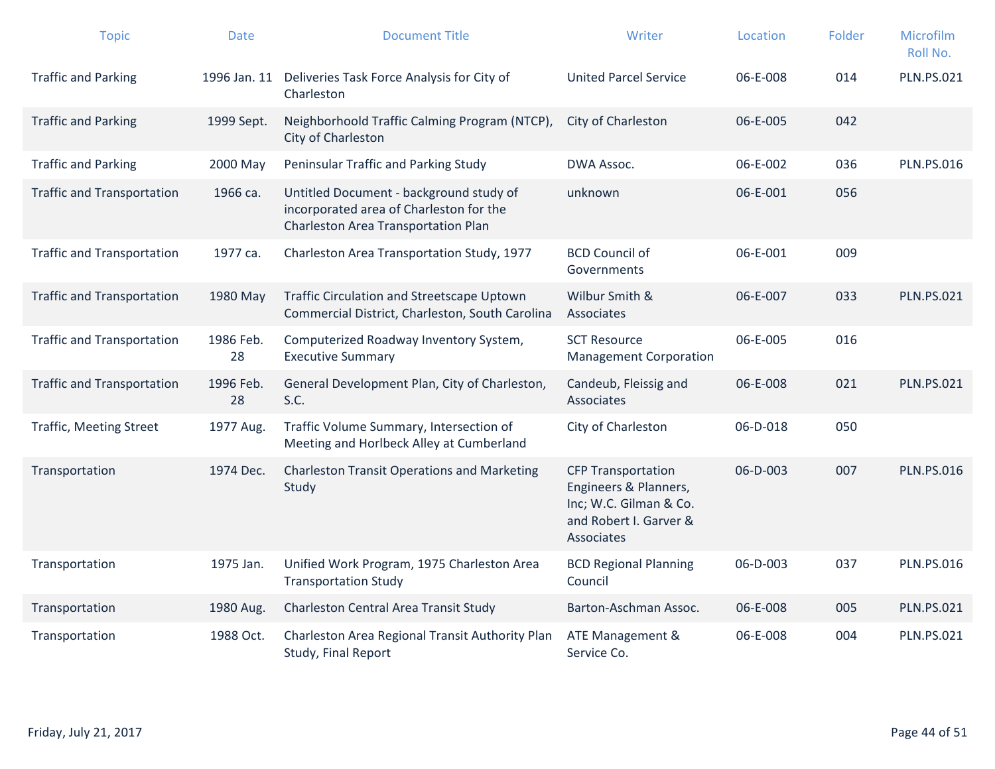| <b>Topic</b>                      | <b>Date</b>     | <b>Document Title</b>                                                                                                     | Writer                                                                                                               | Location       | Folder | Microfilm<br>Roll No. |
|-----------------------------------|-----------------|---------------------------------------------------------------------------------------------------------------------------|----------------------------------------------------------------------------------------------------------------------|----------------|--------|-----------------------|
| <b>Traffic and Parking</b>        | 1996 Jan. 11    | Deliveries Task Force Analysis for City of<br>Charleston                                                                  | <b>United Parcel Service</b>                                                                                         | 06-E-008       | 014    | <b>PLN.PS.021</b>     |
| <b>Traffic and Parking</b>        | 1999 Sept.      | Neighborhoold Traffic Calming Program (NTCP),<br>City of Charleston                                                       | City of Charleston                                                                                                   | 06-E-005       | 042    |                       |
| <b>Traffic and Parking</b>        | 2000 May        | Peninsular Traffic and Parking Study                                                                                      | DWA Assoc.                                                                                                           | 06-E-002       | 036    | <b>PLN.PS.016</b>     |
| <b>Traffic and Transportation</b> | 1966 ca.        | Untitled Document - background study of<br>incorporated area of Charleston for the<br>Charleston Area Transportation Plan | unknown                                                                                                              | 06-E-001       | 056    |                       |
| <b>Traffic and Transportation</b> | 1977 са.        | Charleston Area Transportation Study, 1977                                                                                | <b>BCD Council of</b><br>Governments                                                                                 | 06-E-001       | 009    |                       |
| <b>Traffic and Transportation</b> | 1980 May        | Traffic Circulation and Streetscape Uptown<br>Commercial District, Charleston, South Carolina                             | Wilbur Smith &<br>Associates                                                                                         | 06-E-007       | 033    | <b>PLN.PS.021</b>     |
| <b>Traffic and Transportation</b> | 1986 Feb.<br>28 | Computerized Roadway Inventory System,<br><b>Executive Summary</b>                                                        | <b>SCT Resource</b><br><b>Management Corporation</b>                                                                 | 06-E-005       | 016    |                       |
| <b>Traffic and Transportation</b> | 1996 Feb.<br>28 | General Development Plan, City of Charleston,<br>S.C.                                                                     | Candeub, Fleissig and<br>Associates                                                                                  | 06-E-008       | 021    | <b>PLN.PS.021</b>     |
| <b>Traffic, Meeting Street</b>    | 1977 Aug.       | Traffic Volume Summary, Intersection of<br>Meeting and Horlbeck Alley at Cumberland                                       | City of Charleston                                                                                                   | 06-D-018       | 050    |                       |
| Transportation                    | 1974 Dec.       | <b>Charleston Transit Operations and Marketing</b><br>Study                                                               | <b>CFP Transportation</b><br>Engineers & Planners,<br>Inc; W.C. Gilman & Co.<br>and Robert I. Garver &<br>Associates | $06 - D - 003$ | 007    | <b>PLN.PS.016</b>     |
| Transportation                    | 1975 Jan.       | Unified Work Program, 1975 Charleston Area<br><b>Transportation Study</b>                                                 | <b>BCD Regional Planning</b><br>Council                                                                              | 06-D-003       | 037    | <b>PLN.PS.016</b>     |
| Transportation                    | 1980 Aug.       | Charleston Central Area Transit Study                                                                                     | Barton-Aschman Assoc.                                                                                                | 06-E-008       | 005    | <b>PLN.PS.021</b>     |
| Transportation                    | 1988 Oct.       | Charleston Area Regional Transit Authority Plan<br>Study, Final Report                                                    | ATE Management &<br>Service Co.                                                                                      | 06-E-008       | 004    | <b>PLN.PS.021</b>     |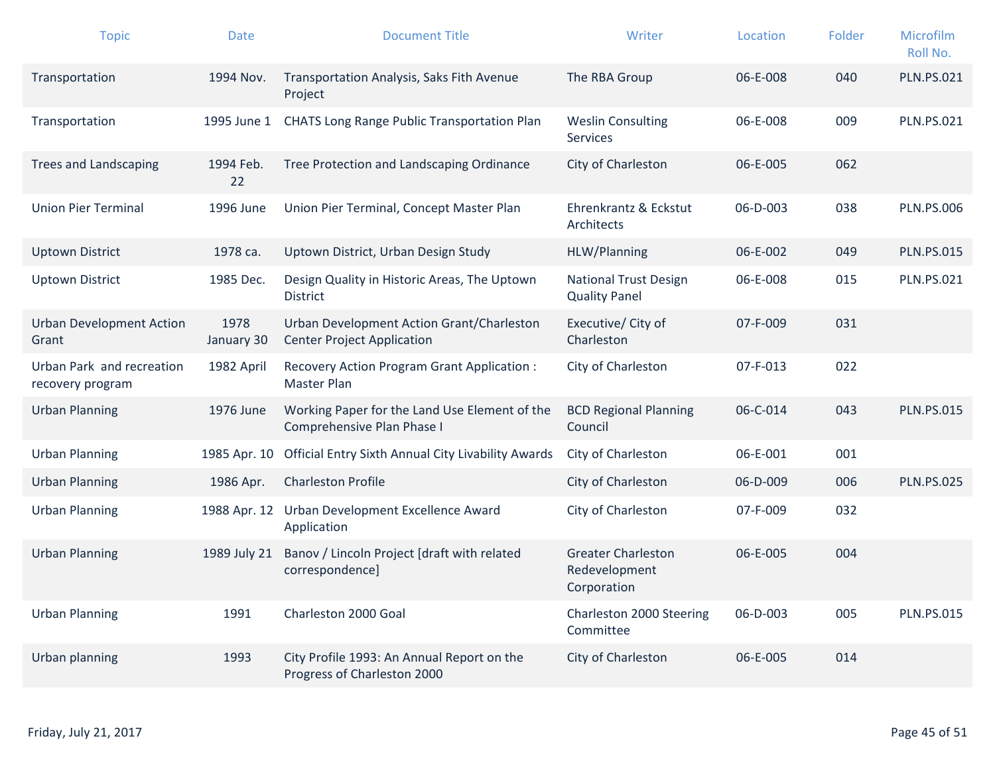| <b>Topic</b>                                  | <b>Date</b>        | <b>Document Title</b>                                                          | Writer                                                    | Location | Folder | Microfilm<br>Roll No. |
|-----------------------------------------------|--------------------|--------------------------------------------------------------------------------|-----------------------------------------------------------|----------|--------|-----------------------|
| Transportation                                | 1994 Nov.          | Transportation Analysis, Saks Fith Avenue<br>Project                           | The RBA Group                                             | 06-E-008 | 040    | <b>PLN.PS.021</b>     |
| Transportation                                | 1995 June 1        | <b>CHATS Long Range Public Transportation Plan</b>                             | <b>Weslin Consulting</b><br><b>Services</b>               | 06-E-008 | 009    | <b>PLN.PS.021</b>     |
| <b>Trees and Landscaping</b>                  | 1994 Feb.<br>22    | Tree Protection and Landscaping Ordinance                                      | City of Charleston                                        | 06-E-005 | 062    |                       |
| <b>Union Pier Terminal</b>                    | 1996 June          | Union Pier Terminal, Concept Master Plan                                       | Ehrenkrantz & Eckstut<br>Architects                       | 06-D-003 | 038    | <b>PLN.PS.006</b>     |
| <b>Uptown District</b>                        | 1978 ca.           | Uptown District, Urban Design Study                                            | HLW/Planning                                              | 06-E-002 | 049    | <b>PLN.PS.015</b>     |
| <b>Uptown District</b>                        | 1985 Dec.          | Design Quality in Historic Areas, The Uptown<br>District                       | <b>National Trust Design</b><br><b>Quality Panel</b>      | 06-E-008 | 015    | <b>PLN.PS.021</b>     |
| <b>Urban Development Action</b><br>Grant      | 1978<br>January 30 | Urban Development Action Grant/Charleston<br><b>Center Project Application</b> | Executive/ City of<br>Charleston                          | 07-F-009 | 031    |                       |
| Urban Park and recreation<br>recovery program | 1982 April         | Recovery Action Program Grant Application :<br>Master Plan                     | City of Charleston                                        | 07-F-013 | 022    |                       |
| <b>Urban Planning</b>                         | 1976 June          | Working Paper for the Land Use Element of the<br>Comprehensive Plan Phase I    | <b>BCD Regional Planning</b><br>Council                   | 06-C-014 | 043    | <b>PLN.PS.015</b>     |
| <b>Urban Planning</b>                         | 1985 Apr. 10       | Official Entry Sixth Annual City Livability Awards                             | City of Charleston                                        | 06-E-001 | 001    |                       |
| <b>Urban Planning</b>                         | 1986 Apr.          | <b>Charleston Profile</b>                                                      | City of Charleston                                        | 06-D-009 | 006    | <b>PLN.PS.025</b>     |
| <b>Urban Planning</b>                         | 1988 Apr. 12       | Urban Development Excellence Award<br>Application                              | City of Charleston                                        | 07-F-009 | 032    |                       |
| <b>Urban Planning</b>                         | 1989 July 21       | Banov / Lincoln Project [draft with related<br>correspondence]                 | <b>Greater Charleston</b><br>Redevelopment<br>Corporation | 06-E-005 | 004    |                       |
| <b>Urban Planning</b>                         | 1991               | Charleston 2000 Goal                                                           | Charleston 2000 Steering<br>Committee                     | 06-D-003 | 005    | <b>PLN.PS.015</b>     |
| Urban planning                                | 1993               | City Profile 1993: An Annual Report on the<br>Progress of Charleston 2000      | City of Charleston                                        | 06-E-005 | 014    |                       |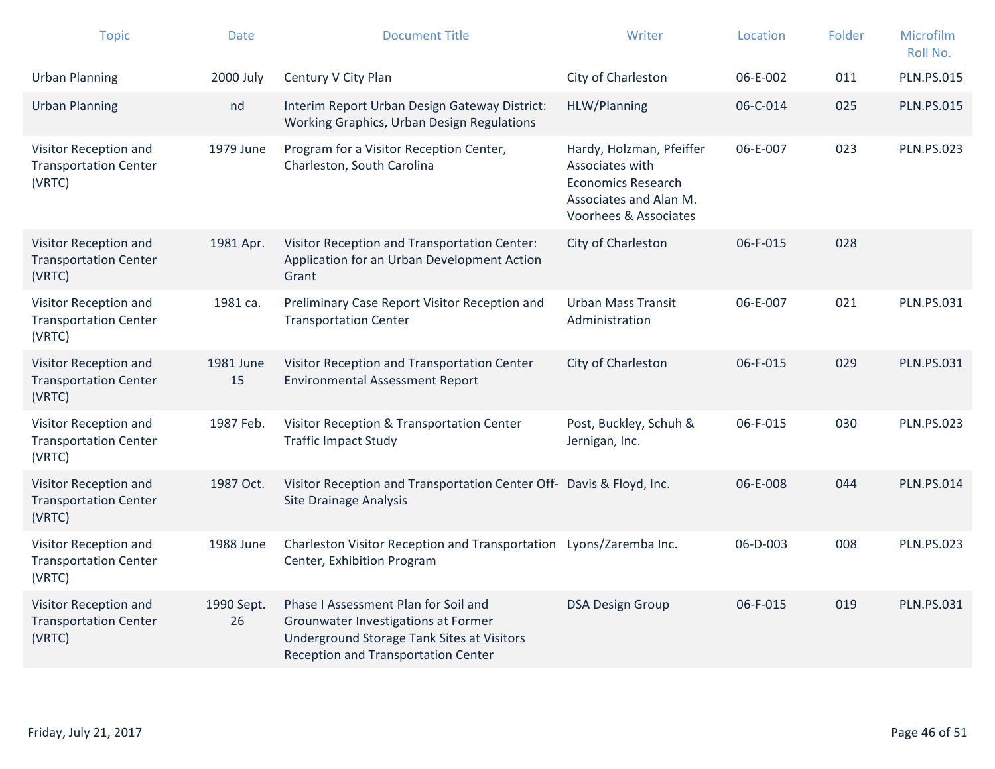| <b>Topic</b>                                                    | <b>Date</b>      | <b>Document Title</b>                                                                                                                                            | Writer                                                                                                                      | Location | Folder | Microfilm<br>Roll No. |
|-----------------------------------------------------------------|------------------|------------------------------------------------------------------------------------------------------------------------------------------------------------------|-----------------------------------------------------------------------------------------------------------------------------|----------|--------|-----------------------|
| <b>Urban Planning</b>                                           | 2000 July        | Century V City Plan                                                                                                                                              | City of Charleston                                                                                                          | 06-E-002 | 011    | <b>PLN.PS.015</b>     |
| <b>Urban Planning</b>                                           | nd               | Interim Report Urban Design Gateway District:<br>Working Graphics, Urban Design Regulations                                                                      | HLW/Planning                                                                                                                | 06-C-014 | 025    | <b>PLN.PS.015</b>     |
| Visitor Reception and<br><b>Transportation Center</b><br>(VRTC) | 1979 June        | Program for a Visitor Reception Center,<br>Charleston, South Carolina                                                                                            | Hardy, Holzman, Pfeiffer<br>Associates with<br><b>Economics Research</b><br>Associates and Alan M.<br>Voorhees & Associates | 06-E-007 | 023    | <b>PLN.PS.023</b>     |
| Visitor Reception and<br><b>Transportation Center</b><br>(VRTC) | 1981 Apr.        | Visitor Reception and Transportation Center:<br>Application for an Urban Development Action<br>Grant                                                             | City of Charleston                                                                                                          | 06-F-015 | 028    |                       |
| Visitor Reception and<br><b>Transportation Center</b><br>(VRTC) | 1981 са.         | Preliminary Case Report Visitor Reception and<br><b>Transportation Center</b>                                                                                    | <b>Urban Mass Transit</b><br>Administration                                                                                 | 06-E-007 | 021    | <b>PLN.PS.031</b>     |
| Visitor Reception and<br><b>Transportation Center</b><br>(VRTC) | 1981 June<br>15  | Visitor Reception and Transportation Center<br><b>Environmental Assessment Report</b>                                                                            | City of Charleston                                                                                                          | 06-F-015 | 029    | <b>PLN.PS.031</b>     |
| Visitor Reception and<br><b>Transportation Center</b><br>(VRTC) | 1987 Feb.        | Visitor Reception & Transportation Center<br><b>Traffic Impact Study</b>                                                                                         | Post, Buckley, Schuh &<br>Jernigan, Inc.                                                                                    | 06-F-015 | 030    | <b>PLN.PS.023</b>     |
| Visitor Reception and<br><b>Transportation Center</b><br>(VRTC) | 1987 Oct.        | Visitor Reception and Transportation Center Off- Davis & Floyd, Inc.<br><b>Site Drainage Analysis</b>                                                            |                                                                                                                             | 06-E-008 | 044    | <b>PLN.PS.014</b>     |
| Visitor Reception and<br><b>Transportation Center</b><br>(VRTC) | 1988 June        | Charleston Visitor Reception and Transportation Lyons/Zaremba Inc.<br>Center, Exhibition Program                                                                 |                                                                                                                             | 06-D-003 | 008    | <b>PLN.PS.023</b>     |
| Visitor Reception and<br><b>Transportation Center</b><br>(VRTC) | 1990 Sept.<br>26 | Phase I Assessment Plan for Soil and<br>Grounwater Investigations at Former<br>Underground Storage Tank Sites at Visitors<br>Reception and Transportation Center | <b>DSA Design Group</b>                                                                                                     | 06-F-015 | 019    | <b>PLN.PS.031</b>     |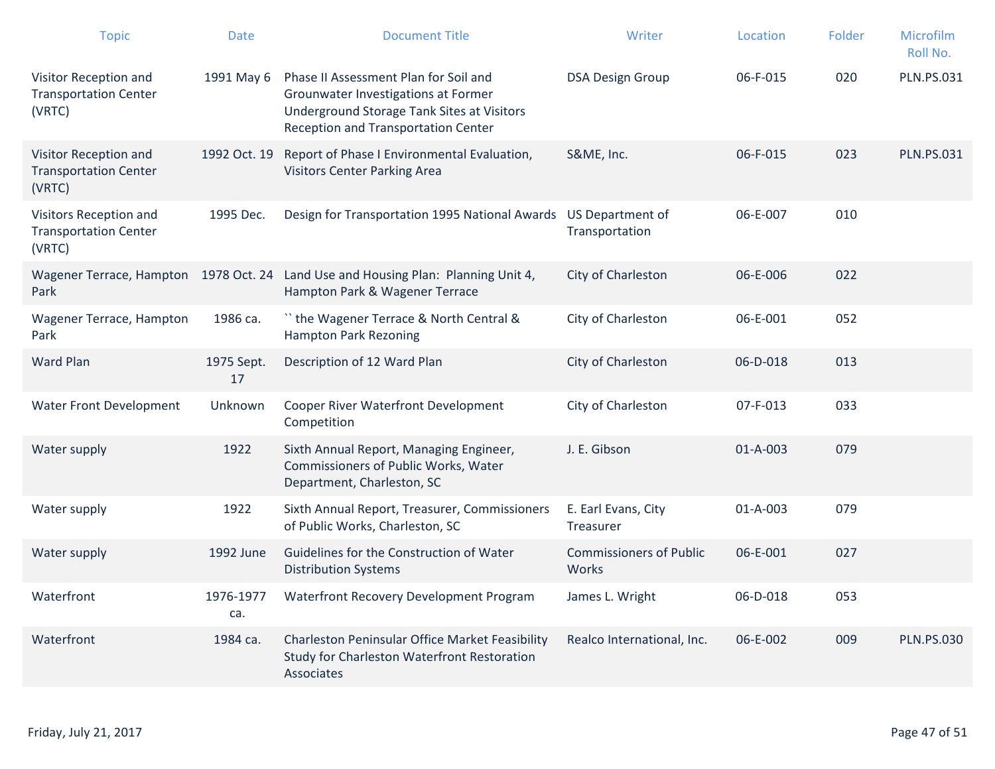| <b>Topic</b>                                                     | <b>Date</b>      | <b>Document Title</b>                                                                                                                                             | Writer                                  | Location | Folder | Microfilm<br>Roll No. |
|------------------------------------------------------------------|------------------|-------------------------------------------------------------------------------------------------------------------------------------------------------------------|-----------------------------------------|----------|--------|-----------------------|
| Visitor Reception and<br><b>Transportation Center</b><br>(VRTC)  | 1991 May 6       | Phase II Assessment Plan for Soil and<br>Grounwater Investigations at Former<br>Underground Storage Tank Sites at Visitors<br>Reception and Transportation Center | <b>DSA Design Group</b>                 | 06-F-015 | 020    | <b>PLN.PS.031</b>     |
| Visitor Reception and<br><b>Transportation Center</b><br>(VRTC)  | 1992 Oct. 19     | Report of Phase I Environmental Evaluation,<br><b>Visitors Center Parking Area</b>                                                                                | S&ME, Inc.                              | 06-F-015 | 023    | <b>PLN.PS.031</b>     |
| Visitors Reception and<br><b>Transportation Center</b><br>(VRTC) | 1995 Dec.        | Design for Transportation 1995 National Awards US Department of                                                                                                   | Transportation                          | 06-E-007 | 010    |                       |
| Park                                                             |                  | Wagener Terrace, Hampton 1978 Oct. 24 Land Use and Housing Plan: Planning Unit 4,<br>Hampton Park & Wagener Terrace                                               | City of Charleston                      | 06-E-006 | 022    |                       |
| Wagener Terrace, Hampton<br>Park                                 | 1986 ca.         | "the Wagener Terrace & North Central &<br><b>Hampton Park Rezoning</b>                                                                                            | City of Charleston                      | 06-E-001 | 052    |                       |
| <b>Ward Plan</b>                                                 | 1975 Sept.<br>17 | Description of 12 Ward Plan                                                                                                                                       | City of Charleston                      | 06-D-018 | 013    |                       |
| Water Front Development                                          | Unknown          | Cooper River Waterfront Development<br>Competition                                                                                                                | City of Charleston                      | 07-F-013 | 033    |                       |
| Water supply                                                     | 1922             | Sixth Annual Report, Managing Engineer,<br>Commissioners of Public Works, Water<br>Department, Charleston, SC                                                     | J. E. Gibson                            | 01-A-003 | 079    |                       |
| Water supply                                                     | 1922             | Sixth Annual Report, Treasurer, Commissioners<br>of Public Works, Charleston, SC                                                                                  | E. Earl Evans, City<br>Treasurer        | 01-A-003 | 079    |                       |
| Water supply                                                     | 1992 June        | Guidelines for the Construction of Water<br><b>Distribution Systems</b>                                                                                           | <b>Commissioners of Public</b><br>Works | 06-E-001 | 027    |                       |
| Waterfront                                                       | 1976-1977<br>ca. | Waterfront Recovery Development Program                                                                                                                           | James L. Wright                         | 06-D-018 | 053    |                       |
| Waterfront                                                       | 1984 ca.         | Charleston Peninsular Office Market Feasibility<br>Study for Charleston Waterfront Restoration<br>Associates                                                      | Realco International, Inc.              | 06-E-002 | 009    | <b>PLN.PS.030</b>     |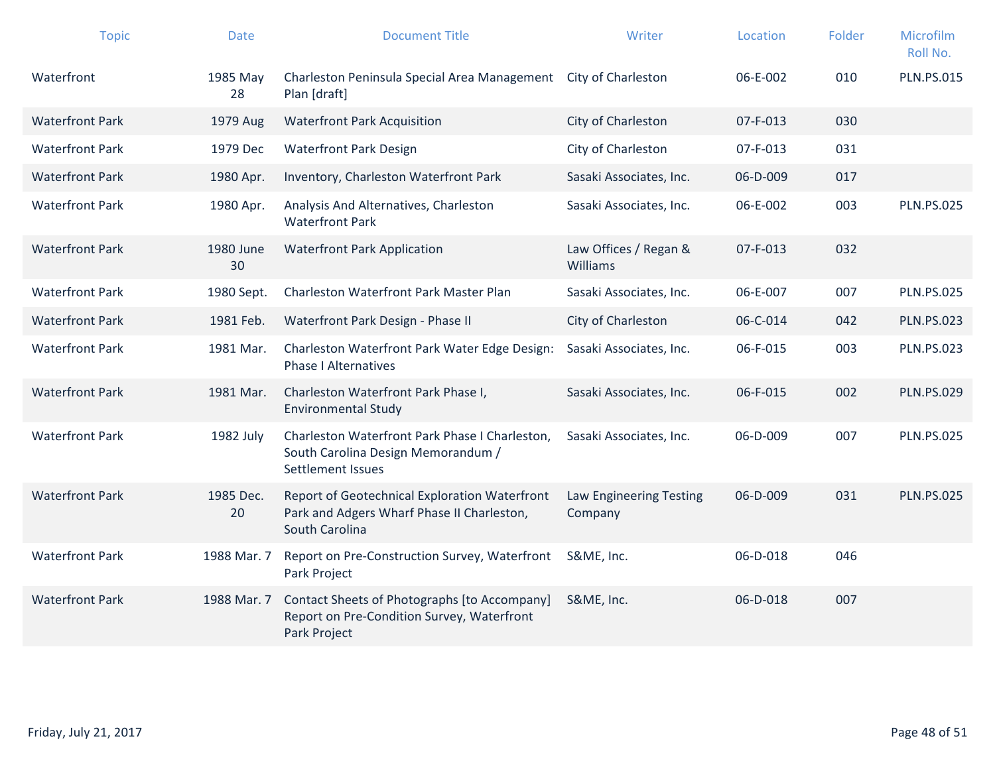| <b>Topic</b>           | <b>Date</b>     | <b>Document Title</b>                                                                                         | Writer                                   | Location | Folder | Microfilm<br>Roll No. |
|------------------------|-----------------|---------------------------------------------------------------------------------------------------------------|------------------------------------------|----------|--------|-----------------------|
| Waterfront             | 1985 May<br>28  | Charleston Peninsula Special Area Management<br>Plan [draft]                                                  | <b>City of Charleston</b>                | 06-E-002 | 010    | <b>PLN.PS.015</b>     |
| <b>Waterfront Park</b> | 1979 Aug        | <b>Waterfront Park Acquisition</b>                                                                            | City of Charleston                       | 07-F-013 | 030    |                       |
| <b>Waterfront Park</b> | 1979 Dec        | <b>Waterfront Park Design</b>                                                                                 | City of Charleston                       | 07-F-013 | 031    |                       |
| <b>Waterfront Park</b> | 1980 Apr.       | Inventory, Charleston Waterfront Park                                                                         | Sasaki Associates, Inc.                  | 06-D-009 | 017    |                       |
| <b>Waterfront Park</b> | 1980 Apr.       | Analysis And Alternatives, Charleston<br><b>Waterfront Park</b>                                               | Sasaki Associates, Inc.                  | 06-E-002 | 003    | <b>PLN.PS.025</b>     |
| <b>Waterfront Park</b> | 1980 June<br>30 | <b>Waterfront Park Application</b>                                                                            | Law Offices / Regan &<br><b>Williams</b> | 07-F-013 | 032    |                       |
| <b>Waterfront Park</b> | 1980 Sept.      | Charleston Waterfront Park Master Plan                                                                        | Sasaki Associates, Inc.                  | 06-E-007 | 007    | <b>PLN.PS.025</b>     |
| <b>Waterfront Park</b> | 1981 Feb.       | Waterfront Park Design - Phase II                                                                             | City of Charleston                       | 06-C-014 | 042    | <b>PLN.PS.023</b>     |
| <b>Waterfront Park</b> | 1981 Mar.       | Charleston Waterfront Park Water Edge Design:<br><b>Phase I Alternatives</b>                                  | Sasaki Associates, Inc.                  | 06-F-015 | 003    | <b>PLN.PS.023</b>     |
| <b>Waterfront Park</b> | 1981 Mar.       | Charleston Waterfront Park Phase I,<br><b>Environmental Study</b>                                             | Sasaki Associates, Inc.                  | 06-F-015 | 002    | <b>PLN.PS.029</b>     |
| <b>Waterfront Park</b> | 1982 July       | Charleston Waterfront Park Phase I Charleston,<br>South Carolina Design Memorandum /<br>Settlement Issues     | Sasaki Associates, Inc.                  | 06-D-009 | 007    | <b>PLN.PS.025</b>     |
| <b>Waterfront Park</b> | 1985 Dec.<br>20 | Report of Geotechnical Exploration Waterfront<br>Park and Adgers Wharf Phase II Charleston,<br>South Carolina | Law Engineering Testing<br>Company       | 06-D-009 | 031    | <b>PLN.PS.025</b>     |
| <b>Waterfront Park</b> | 1988 Mar. 7     | Report on Pre-Construction Survey, Waterfront<br>Park Project                                                 | S&ME, Inc.                               | 06-D-018 | 046    |                       |
| <b>Waterfront Park</b> | 1988 Mar. 7     | Contact Sheets of Photographs [to Accompany]<br>Report on Pre-Condition Survey, Waterfront<br>Park Project    | S&ME, Inc.                               | 06-D-018 | 007    |                       |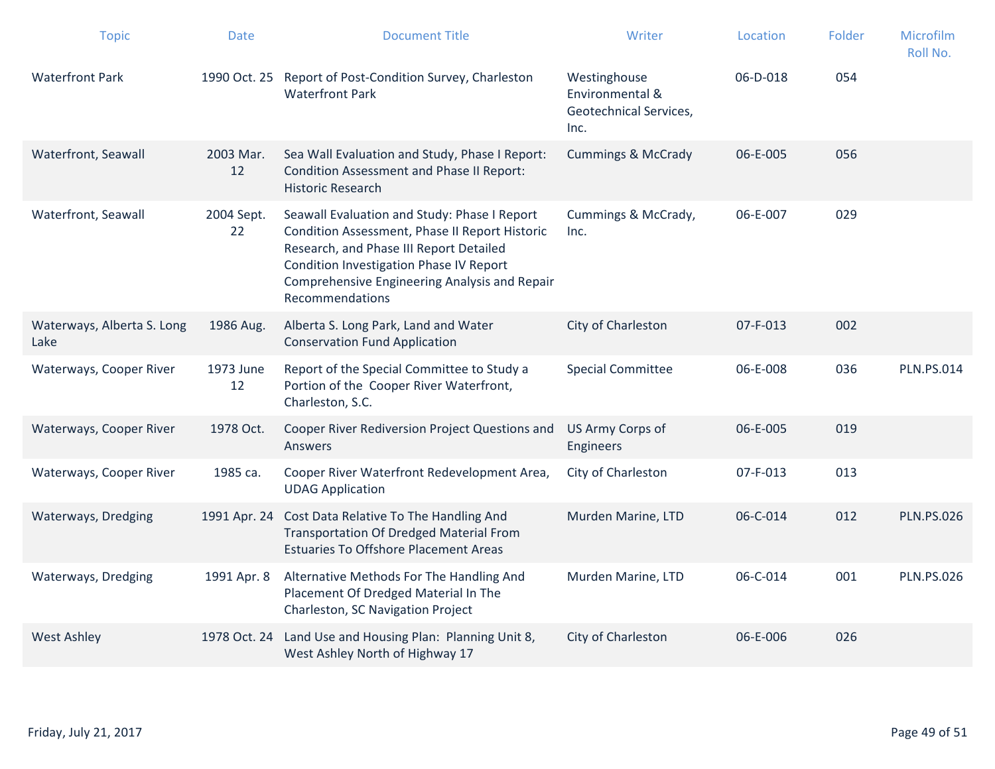| <b>Topic</b>                       | <b>Date</b>      | <b>Document Title</b>                                                                                                                                                                                                                                    | Writer                                                            | Location | Folder | Microfilm<br>Roll No. |
|------------------------------------|------------------|----------------------------------------------------------------------------------------------------------------------------------------------------------------------------------------------------------------------------------------------------------|-------------------------------------------------------------------|----------|--------|-----------------------|
| <b>Waterfront Park</b>             | 1990 Oct. 25     | Report of Post-Condition Survey, Charleston<br><b>Waterfront Park</b>                                                                                                                                                                                    | Westinghouse<br>Environmental &<br>Geotechnical Services,<br>Inc. | 06-D-018 | 054    |                       |
| Waterfront, Seawall                | 2003 Mar.<br>12  | Sea Wall Evaluation and Study, Phase I Report:<br><b>Condition Assessment and Phase II Report:</b><br><b>Historic Research</b>                                                                                                                           | <b>Cummings &amp; McCrady</b>                                     | 06-E-005 | 056    |                       |
| Waterfront, Seawall                | 2004 Sept.<br>22 | Seawall Evaluation and Study: Phase I Report<br>Condition Assessment, Phase II Report Historic<br>Research, and Phase III Report Detailed<br>Condition Investigation Phase IV Report<br>Comprehensive Engineering Analysis and Repair<br>Recommendations | Cummings & McCrady,<br>Inc.                                       | 06-E-007 | 029    |                       |
| Waterways, Alberta S. Long<br>Lake | 1986 Aug.        | Alberta S. Long Park, Land and Water<br><b>Conservation Fund Application</b>                                                                                                                                                                             | City of Charleston                                                | 07-F-013 | 002    |                       |
| Waterways, Cooper River            | 1973 June<br>12  | Report of the Special Committee to Study a<br>Portion of the Cooper River Waterfront,<br>Charleston, S.C.                                                                                                                                                | <b>Special Committee</b>                                          | 06-E-008 | 036    | <b>PLN.PS.014</b>     |
| Waterways, Cooper River            | 1978 Oct.        | Cooper River Rediversion Project Questions and<br>Answers                                                                                                                                                                                                | US Army Corps of<br>Engineers                                     | 06-E-005 | 019    |                       |
| Waterways, Cooper River            | 1985 ca.         | Cooper River Waterfront Redevelopment Area,<br><b>UDAG Application</b>                                                                                                                                                                                   | City of Charleston                                                | 07-F-013 | 013    |                       |
| Waterways, Dredging                | 1991 Apr. 24     | Cost Data Relative To The Handling And<br><b>Transportation Of Dredged Material From</b><br><b>Estuaries To Offshore Placement Areas</b>                                                                                                                 | Murden Marine, LTD                                                | 06-C-014 | 012    | <b>PLN.PS.026</b>     |
| Waterways, Dredging                | 1991 Apr. 8      | Alternative Methods For The Handling And<br>Placement Of Dredged Material In The<br>Charleston, SC Navigation Project                                                                                                                                    | Murden Marine, LTD                                                | 06-C-014 | 001    | <b>PLN.PS.026</b>     |
| <b>West Ashley</b>                 | 1978 Oct. 24     | Land Use and Housing Plan: Planning Unit 8,<br>West Ashley North of Highway 17                                                                                                                                                                           | City of Charleston                                                | 06-E-006 | 026    |                       |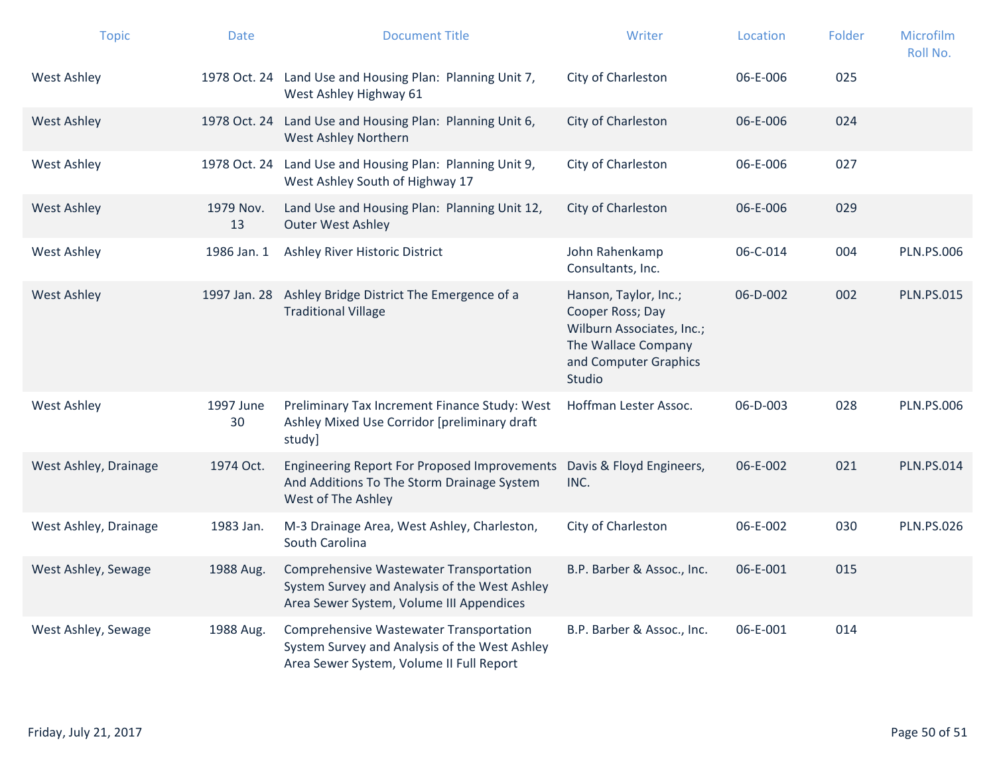| <b>Topic</b>          | <b>Date</b>     | <b>Document Title</b>                                                                                                                | Writer                                                                                                                           | Location       | Folder | Microfilm<br>Roll No. |
|-----------------------|-----------------|--------------------------------------------------------------------------------------------------------------------------------------|----------------------------------------------------------------------------------------------------------------------------------|----------------|--------|-----------------------|
| <b>West Ashley</b>    |                 | 1978 Oct. 24 Land Use and Housing Plan: Planning Unit 7,<br>West Ashley Highway 61                                                   | City of Charleston                                                                                                               | 06-E-006       | 025    |                       |
| <b>West Ashley</b>    |                 | 1978 Oct. 24 Land Use and Housing Plan: Planning Unit 6,<br>West Ashley Northern                                                     | City of Charleston                                                                                                               | 06-E-006       | 024    |                       |
| <b>West Ashley</b>    |                 | 1978 Oct. 24 Land Use and Housing Plan: Planning Unit 9,<br>West Ashley South of Highway 17                                          | City of Charleston                                                                                                               | 06-E-006       | 027    |                       |
| <b>West Ashley</b>    | 1979 Nov.<br>13 | Land Use and Housing Plan: Planning Unit 12,<br><b>Outer West Ashley</b>                                                             | City of Charleston                                                                                                               | 06-E-006       | 029    |                       |
| <b>West Ashley</b>    | 1986 Jan. 1     | Ashley River Historic District                                                                                                       | John Rahenkamp<br>Consultants, Inc.                                                                                              | 06-C-014       | 004    | <b>PLN.PS.006</b>     |
| <b>West Ashley</b>    | 1997 Jan. 28    | Ashley Bridge District The Emergence of a<br><b>Traditional Village</b>                                                              | Hanson, Taylor, Inc.;<br>Cooper Ross; Day<br>Wilburn Associates, Inc.;<br>The Wallace Company<br>and Computer Graphics<br>Studio | $06 - D - 002$ | 002    | <b>PLN.PS.015</b>     |
| <b>West Ashley</b>    | 1997 June<br>30 | Preliminary Tax Increment Finance Study: West<br>Ashley Mixed Use Corridor [preliminary draft<br>study]                              | Hoffman Lester Assoc.                                                                                                            | 06-D-003       | 028    | <b>PLN.PS.006</b>     |
| West Ashley, Drainage | 1974 Oct.       | <b>Engineering Report For Proposed Improvements</b><br>And Additions To The Storm Drainage System<br>West of The Ashley              | Davis & Floyd Engineers,<br>INC.                                                                                                 | 06-E-002       | 021    | <b>PLN.PS.014</b>     |
| West Ashley, Drainage | 1983 Jan.       | M-3 Drainage Area, West Ashley, Charleston,<br>South Carolina                                                                        | City of Charleston                                                                                                               | 06-E-002       | 030    | <b>PLN.PS.026</b>     |
| West Ashley, Sewage   | 1988 Aug.       | Comprehensive Wastewater Transportation<br>System Survey and Analysis of the West Ashley<br>Area Sewer System, Volume III Appendices | B.P. Barber & Assoc., Inc.                                                                                                       | 06-E-001       | 015    |                       |
| West Ashley, Sewage   | 1988 Aug.       | Comprehensive Wastewater Transportation<br>System Survey and Analysis of the West Ashley<br>Area Sewer System, Volume II Full Report | B.P. Barber & Assoc., Inc.                                                                                                       | 06-E-001       | 014    |                       |